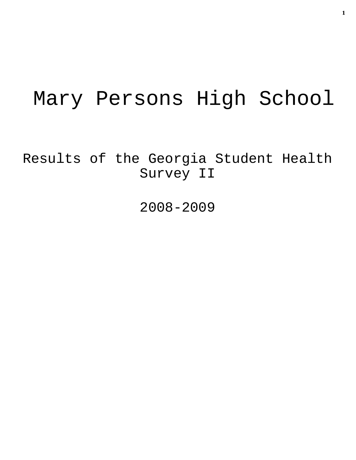# Mary Persons High School

Results of the Georgia Student Health Survey II

2008-2009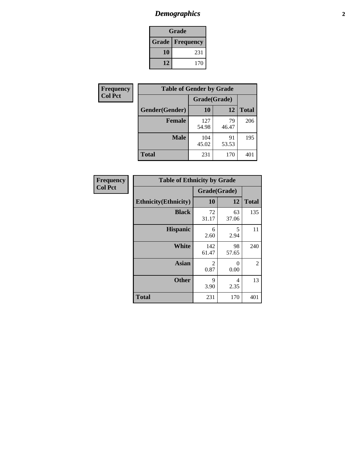# *Demographics* **2**

| Grade                    |     |  |  |  |
|--------------------------|-----|--|--|--|
| <b>Grade   Frequency</b> |     |  |  |  |
| 10                       | 231 |  |  |  |
| 12                       | 170 |  |  |  |

| <b>Frequency</b> | <b>Table of Gender by Grade</b> |              |             |              |  |  |
|------------------|---------------------------------|--------------|-------------|--------------|--|--|
| <b>Col Pct</b>   |                                 | Grade(Grade) |             |              |  |  |
|                  | Gender(Gender)                  | 10           | 12          | <b>Total</b> |  |  |
|                  | <b>Female</b>                   | 127<br>54.98 | 79<br>46.47 | 206          |  |  |
|                  | <b>Male</b>                     | 104<br>45.02 | 91<br>53.53 | 195          |  |  |
|                  | <b>Total</b>                    | 231          | 170         | 401          |  |  |

| <b>Frequency</b> |
|------------------|
| <b>Col Pct</b>   |

| <b>Table of Ethnicity by Grade</b> |              |             |              |  |  |  |
|------------------------------------|--------------|-------------|--------------|--|--|--|
|                                    | Grade(Grade) |             |              |  |  |  |
| <b>Ethnicity</b> (Ethnicity)       | 10           | 12          | <b>Total</b> |  |  |  |
| <b>Black</b>                       | 72<br>31.17  | 63<br>37.06 | 135          |  |  |  |
| <b>Hispanic</b>                    | 6<br>2.60    | 5<br>2.94   | 11           |  |  |  |
| White                              | 142<br>61.47 | 98<br>57.65 | 240          |  |  |  |
| <b>Asian</b>                       | 2<br>0.87    | 0<br>0.00   | 2            |  |  |  |
| <b>Other</b>                       | 9<br>3.90    | 4<br>2.35   | 13           |  |  |  |
| <b>Total</b>                       | 231          | 170         | 401          |  |  |  |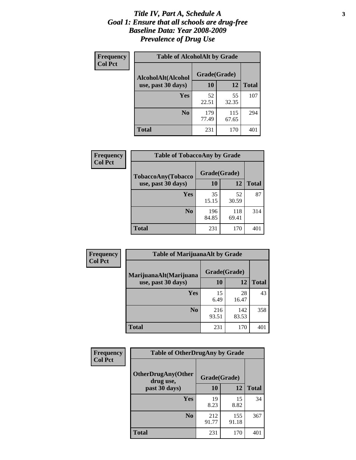#### *Title IV, Part A, Schedule A* **3** *Goal 1: Ensure that all schools are drug-free Baseline Data: Year 2008-2009 Prevalence of Drug Use*

| Frequency<br><b>Col Pct</b> | <b>Table of AlcoholAlt by Grade</b> |              |              |              |  |  |
|-----------------------------|-------------------------------------|--------------|--------------|--------------|--|--|
|                             | AlcoholAlt(Alcohol                  | Grade(Grade) |              |              |  |  |
|                             | use, past 30 days)                  | 10           | 12           | <b>Total</b> |  |  |
|                             | Yes                                 | 52<br>22.51  | 55<br>32.35  | 107          |  |  |
|                             | N <sub>0</sub>                      | 179<br>77.49 | 115<br>67.65 | 294          |  |  |
|                             | <b>Total</b>                        | 231          | 170          | 401          |  |  |

| Frequency<br><b>Col Pct</b> | <b>Table of TobaccoAny by Grade</b> |              |              |              |  |  |
|-----------------------------|-------------------------------------|--------------|--------------|--------------|--|--|
|                             | TobaccoAny(Tobacco                  | Grade(Grade) |              |              |  |  |
|                             | use, past 30 days)                  | 10           | 12           | <b>Total</b> |  |  |
|                             | <b>Yes</b>                          | 35<br>15.15  | 52<br>30.59  | 87           |  |  |
|                             | N <sub>0</sub>                      | 196<br>84.85 | 118<br>69.41 | 314          |  |  |
|                             | <b>Total</b>                        | 231          | 170          | 401          |  |  |

| Frequency      | <b>Table of MarijuanaAlt by Grade</b> |              |              |              |  |
|----------------|---------------------------------------|--------------|--------------|--------------|--|
| <b>Col Pct</b> | MarijuanaAlt(Marijuana                | Grade(Grade) |              |              |  |
|                | use, past 30 days)                    | 10           | 12           | <b>Total</b> |  |
|                | Yes                                   | 15<br>6.49   | 28<br>16.47  | 43           |  |
|                | N <sub>0</sub>                        | 216<br>93.51 | 142<br>83.53 | 358          |  |
|                | <b>Total</b>                          | 231          | 170          | 401          |  |

| <b>Frequency</b> | <b>Table of OtherDrugAny by Grade</b>  |              |              |              |  |  |
|------------------|----------------------------------------|--------------|--------------|--------------|--|--|
| <b>Col Pct</b>   | <b>OtherDrugAny(Other</b><br>drug use, | Grade(Grade) |              |              |  |  |
|                  | past 30 days)                          | 10           | 12           | <b>Total</b> |  |  |
|                  | Yes                                    | 19<br>8.23   | 15<br>8.82   | 34           |  |  |
|                  | N <sub>0</sub>                         | 212<br>91.77 | 155<br>91.18 | 367          |  |  |
|                  | <b>Total</b>                           | 231          | 170          | 401          |  |  |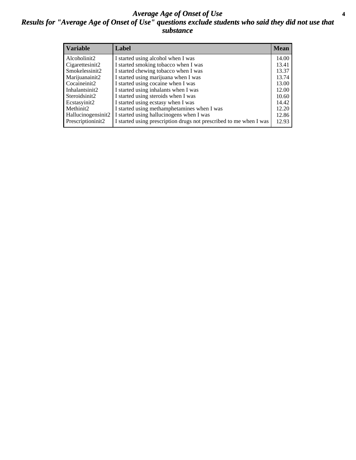#### *Average Age of Onset of Use* **4** *Results for "Average Age of Onset of Use" questions exclude students who said they did not use that substance*

| <b>Variable</b>    | Label                                                              | <b>Mean</b> |
|--------------------|--------------------------------------------------------------------|-------------|
| Alcoholinit2       | I started using alcohol when I was                                 | 14.00       |
| Cigarettesinit2    | I started smoking tobacco when I was                               | 13.41       |
| Smokelessinit2     | I started chewing tobacco when I was                               | 13.37       |
| Marijuanainit2     | I started using marijuana when I was                               | 13.74       |
| Cocaineinit2       | I started using cocaine when I was                                 | 13.00       |
| Inhalantsinit2     | I started using inhalants when I was                               | 12.00       |
| Steroidsinit2      | I started using steroids when I was                                | 10.60       |
| Ecstasyinit2       | I started using ecstasy when I was                                 | 14.42       |
| Methinit2          | I started using methamphetamines when I was                        | 12.20       |
| Hallucinogensinit2 | I started using hallucinogens when I was                           | 12.86       |
| Prescriptioninit2  | I started using prescription drugs not prescribed to me when I was | 12.93       |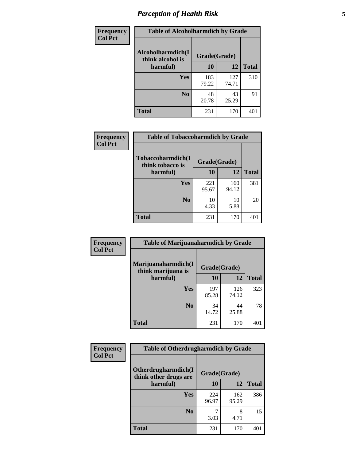# *Perception of Health Risk* **5**

| Frequency      | <b>Table of Alcoholharmdich by Grade</b> |              |              |              |  |
|----------------|------------------------------------------|--------------|--------------|--------------|--|
| <b>Col Pct</b> | Alcoholharmdich(I<br>think alcohol is    | Grade(Grade) |              |              |  |
|                | harmful)                                 | 10           | 12           | <b>Total</b> |  |
|                | <b>Yes</b>                               | 183<br>79.22 | 127<br>74.71 | 310          |  |
|                | N <sub>0</sub>                           | 48<br>20.78  | 43<br>25.29  | 91           |  |
|                | <b>Total</b>                             | 231          | 170          | 401          |  |

| Frequency      | <b>Table of Tobaccoharmdich by Grade</b> |              |              |              |  |
|----------------|------------------------------------------|--------------|--------------|--------------|--|
| <b>Col Pct</b> | Tobaccoharmdich(I<br>think tobacco is    | Grade(Grade) |              |              |  |
|                | harmful)                                 | 10           | 12           | <b>Total</b> |  |
|                | Yes                                      | 221<br>95.67 | 160<br>94.12 | 381          |  |
|                | N <sub>0</sub>                           | 10<br>4.33   | 10<br>5.88   | 20           |  |
|                | <b>Total</b>                             | 231          | 170          | 401          |  |

| Frequency      | <b>Table of Marijuanaharmdich by Grade</b> |              |              |              |  |
|----------------|--------------------------------------------|--------------|--------------|--------------|--|
| <b>Col Pct</b> | Marijuanaharmdich(I<br>think marijuana is  | Grade(Grade) |              |              |  |
|                | harmful)                                   | 10           | 12           | <b>Total</b> |  |
|                | <b>Yes</b>                                 | 197<br>85.28 | 126<br>74.12 | 323          |  |
|                | N <sub>0</sub>                             | 34<br>14.72  | 44<br>25.88  | 78           |  |
|                | <b>Total</b>                               | 231          | 170          | 401          |  |

| <b>Frequency</b> | <b>Table of Otherdrugharmdich by Grade</b>   |              |              |              |  |  |  |  |
|------------------|----------------------------------------------|--------------|--------------|--------------|--|--|--|--|
| <b>Col Pct</b>   | Otherdrugharmdich(I<br>think other drugs are | Grade(Grade) |              |              |  |  |  |  |
|                  | harmful)                                     | 10           | 12           | <b>Total</b> |  |  |  |  |
|                  | <b>Yes</b>                                   | 224<br>96.97 | 162<br>95.29 | 386          |  |  |  |  |
|                  | N <sub>0</sub>                               | 3.03         | 8<br>4.71    | 15           |  |  |  |  |
|                  | <b>Total</b>                                 | 231          | 170          | 401          |  |  |  |  |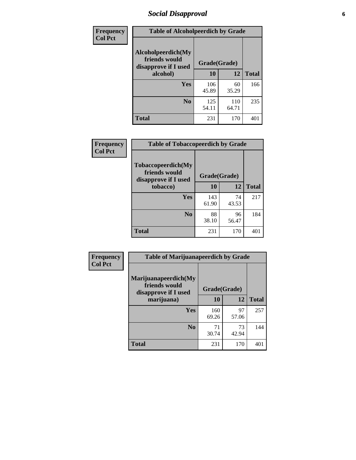# *Social Disapproval* **6**

| Frequency      | <b>Table of Alcoholpeerdich by Grade</b>                    |              |              |              |
|----------------|-------------------------------------------------------------|--------------|--------------|--------------|
| <b>Col Pct</b> | Alcoholpeerdich(My<br>friends would<br>disapprove if I used | Grade(Grade) |              |              |
|                | alcohol)                                                    | 10           | 12           | <b>Total</b> |
|                | <b>Yes</b>                                                  | 106<br>45.89 | 60<br>35.29  | 166          |
|                | N <sub>0</sub>                                              | 125<br>54.11 | 110<br>64.71 | 235          |
|                | <b>Total</b>                                                | 231          | 170          | 401          |

| <b>Frequency</b> |
|------------------|
| <b>Col Pct</b>   |

| <b>Table of Tobaccopeerdich by Grade</b>                    |              |             |              |  |  |  |
|-------------------------------------------------------------|--------------|-------------|--------------|--|--|--|
| Tobaccopeerdich(My<br>friends would<br>disapprove if I used | Grade(Grade) |             |              |  |  |  |
| tobacco)                                                    | 10           | 12          | <b>Total</b> |  |  |  |
| Yes                                                         | 143<br>61.90 | 74<br>43.53 | 217          |  |  |  |
| N <sub>0</sub>                                              | 88<br>38.10  | 96<br>56.47 | 184          |  |  |  |
| <b>Total</b>                                                | 231          | 170         | 40           |  |  |  |

| Frequency      | <b>Table of Marijuanapeerdich by Grade</b>                    |              |             |              |  |  |  |  |
|----------------|---------------------------------------------------------------|--------------|-------------|--------------|--|--|--|--|
| <b>Col Pct</b> | Marijuanapeerdich(My<br>friends would<br>disapprove if I used | Grade(Grade) |             |              |  |  |  |  |
|                | marijuana)                                                    | 10           | 12          | <b>Total</b> |  |  |  |  |
|                | <b>Yes</b>                                                    | 160<br>69.26 | 97<br>57.06 | 257          |  |  |  |  |
|                | N <sub>0</sub>                                                | 71<br>30.74  | 73<br>42.94 | 144          |  |  |  |  |
|                | <b>Total</b>                                                  | 231          | 170         | 401          |  |  |  |  |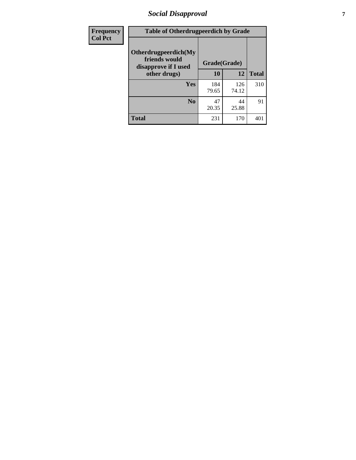# *Social Disapproval* **7**

| Frequency      | <b>Table of Otherdrugpeerdich by Grade</b>                    |              |              |              |  |  |  |  |
|----------------|---------------------------------------------------------------|--------------|--------------|--------------|--|--|--|--|
| <b>Col Pct</b> | Otherdrugpeerdich(My<br>friends would<br>disapprove if I used | Grade(Grade) |              |              |  |  |  |  |
|                | other drugs)                                                  | 10           | 12           | <b>Total</b> |  |  |  |  |
|                | <b>Yes</b>                                                    | 184<br>79.65 | 126<br>74.12 | 310          |  |  |  |  |
|                | N <sub>0</sub>                                                | 47<br>20.35  | 44<br>25.88  | 91           |  |  |  |  |
|                | <b>Total</b>                                                  | 231          | 170          | 401          |  |  |  |  |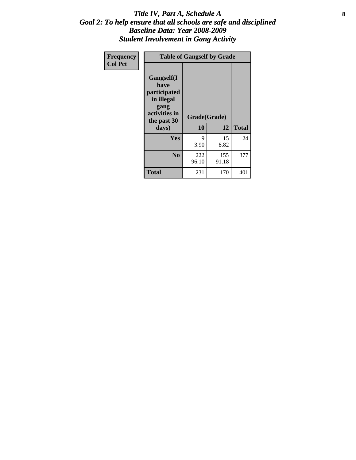#### Title IV, Part A, Schedule A **8** *Goal 2: To help ensure that all schools are safe and disciplined Baseline Data: Year 2008-2009 Student Involvement in Gang Activity*

| Frequency      | <b>Table of Gangself by Grade</b>                                                                 |                    |              |              |
|----------------|---------------------------------------------------------------------------------------------------|--------------------|--------------|--------------|
| <b>Col Pct</b> | Gangself(I<br>have<br>participated<br>in illegal<br>gang<br>activities in<br>the past 30<br>days) | Grade(Grade)<br>10 | 12           | <b>Total</b> |
|                | Yes                                                                                               | 9<br>3.90          | 15<br>8.82   | 24           |
|                | N <sub>0</sub>                                                                                    | 222<br>96.10       | 155<br>91.18 | 377          |
|                | <b>Total</b>                                                                                      | 231                | 170          | 401          |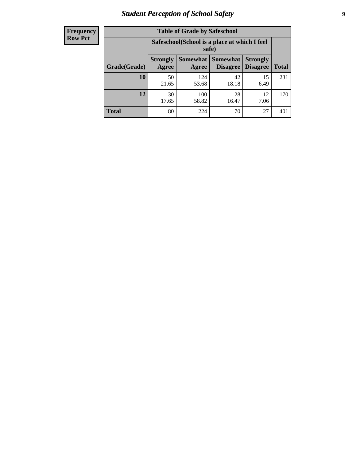# *Student Perception of School Safety* **9**

| <b>Frequency</b><br>Row Pct |
|-----------------------------|
|                             |

| <b>Table of Grade by Safeschool</b> |                                                                                                                                                  |              |             |            |     |  |  |
|-------------------------------------|--------------------------------------------------------------------------------------------------------------------------------------------------|--------------|-------------|------------|-----|--|--|
|                                     | Safeschool (School is a place at which I feel<br>safe)                                                                                           |              |             |            |     |  |  |
| Grade(Grade)                        | <b>Somewhat</b><br><b>Somewhat</b><br><b>Strongly</b><br><b>Strongly</b><br><b>Disagree</b><br>Agree<br><b>Disagree</b><br><b>Total</b><br>Agree |              |             |            |     |  |  |
| 10                                  | 50<br>21.65                                                                                                                                      | 124<br>53.68 | 42<br>18.18 | 15<br>6.49 | 231 |  |  |
| 12                                  | 30<br>17.65                                                                                                                                      | 100<br>58.82 | 28<br>16.47 | 12<br>7.06 | 170 |  |  |
| <b>Total</b>                        | 80                                                                                                                                               | 224          | 70          | 27         | 401 |  |  |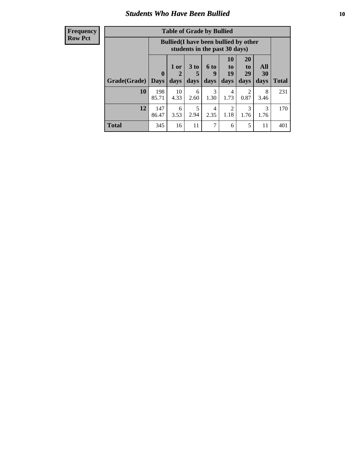#### *Students Who Have Been Bullied* **10**

| <b>Frequency</b> |
|------------------|
| Row Pct          |

| <b>Table of Grade by Bullied</b> |                             |                                                                               |                              |                   |                               |                               |                          |              |
|----------------------------------|-----------------------------|-------------------------------------------------------------------------------|------------------------------|-------------------|-------------------------------|-------------------------------|--------------------------|--------------|
|                                  |                             | <b>Bullied</b> (I have been bullied by other<br>students in the past 30 days) |                              |                   |                               |                               |                          |              |
| Grade(Grade)                     | $\mathbf{0}$<br><b>Days</b> | 1 or<br>2<br>days                                                             | 3 <sub>to</sub><br>5<br>days | 6 to<br>9<br>days | <b>10</b><br>to<br>19<br>days | <b>20</b><br>to<br>29<br>days | <b>All</b><br>30<br>days | <b>Total</b> |
| 10                               | 198<br>85.71                | 10<br>4.33                                                                    | 6<br>2.60                    | 3<br>1.30         | 4<br>1.73                     | 2<br>0.87                     | 8<br>3.46                | 231          |
| 12                               | 147<br>86.47                | 6<br>3.53                                                                     | 5<br>2.94                    | 4<br>2.35         | 2<br>1.18                     | 3<br>1.76                     | 3<br>1.76                | 170          |
| Total                            | 345                         | 16                                                                            | 11                           | 7                 | 6                             | 5                             | 11                       | 401          |

 $\overline{\phantom{0}}$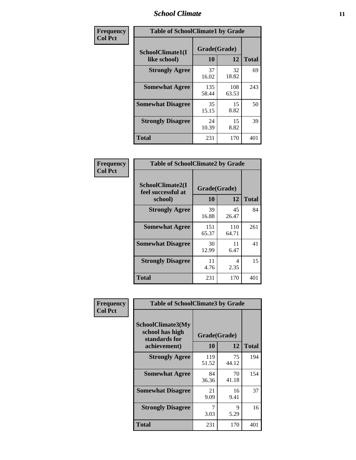### *School Climate* **11**

| Frequency      | <b>Table of SchoolClimate1 by Grade</b> |                    |              |              |  |  |  |
|----------------|-----------------------------------------|--------------------|--------------|--------------|--|--|--|
| <b>Col Pct</b> | SchoolClimate1(I<br>like school)        | Grade(Grade)<br>10 | 12           | <b>Total</b> |  |  |  |
|                | <b>Strongly Agree</b>                   | 37<br>16.02        | 32<br>18.82  | 69           |  |  |  |
|                | <b>Somewhat Agree</b>                   | 135<br>58.44       | 108<br>63.53 | 243          |  |  |  |
|                | <b>Somewhat Disagree</b>                | 35<br>15.15        | 15<br>8.82   | 50           |  |  |  |
|                | <b>Strongly Disagree</b>                | 24<br>10.39        | 15<br>8.82   | 39           |  |  |  |
|                | <b>Total</b>                            | 231                | 170          | 401          |  |  |  |

| Frequency |  |  |
|-----------|--|--|
| Col Pct   |  |  |
|           |  |  |

┑

| <b>Table of SchoolClimate2 by Grade</b>           |              |              |     |  |  |
|---------------------------------------------------|--------------|--------------|-----|--|--|
| SchoolClimate2(I<br>feel successful at<br>school) | <b>Total</b> |              |     |  |  |
| <b>Strongly Agree</b>                             | 39<br>16.88  | 45<br>26.47  | 84  |  |  |
| <b>Somewhat Agree</b>                             | 151<br>65.37 | 110<br>64.71 | 261 |  |  |
| <b>Somewhat Disagree</b>                          | 30<br>12.99  | 11<br>6.47   | 41  |  |  |
| <b>Strongly Disagree</b>                          | 11<br>4.76   | 4<br>2.35    | 15  |  |  |
| <b>Total</b>                                      | 231          | 170          | 401 |  |  |

| Frequency      | <b>Table of SchoolClimate3 by Grade</b>               |              |             |              |  |
|----------------|-------------------------------------------------------|--------------|-------------|--------------|--|
| <b>Col Pct</b> | SchoolClimate3(My<br>school has high<br>standards for | Grade(Grade) |             |              |  |
|                | achievement)                                          | <b>10</b>    | 12          | <b>Total</b> |  |
|                | <b>Strongly Agree</b>                                 | 119<br>51.52 | 75<br>44.12 | 194          |  |
|                | <b>Somewhat Agree</b>                                 | 84<br>36.36  | 70<br>41.18 | 154          |  |
|                | <b>Somewhat Disagree</b>                              | 21<br>9.09   | 16<br>9.41  | 37           |  |
|                | <b>Strongly Disagree</b>                              | 3.03         | 9<br>5.29   | 16           |  |
|                | Total                                                 | 231          | 170         | 401          |  |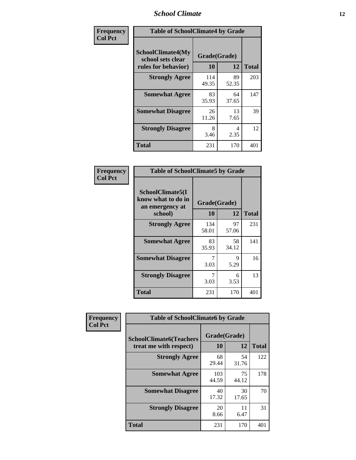### *School Climate* **12**

| Frequency      | <b>Table of SchoolClimate4 by Grade</b>                              |                    |             |              |
|----------------|----------------------------------------------------------------------|--------------------|-------------|--------------|
| <b>Col Pct</b> | <b>SchoolClimate4(My</b><br>school sets clear<br>rules for behavior) | Grade(Grade)<br>10 | 12          | <b>Total</b> |
|                | <b>Strongly Agree</b>                                                | 114<br>49.35       | 89<br>52.35 | 203          |
|                | <b>Somewhat Agree</b>                                                | 83<br>35.93        | 64<br>37.65 | 147          |
|                | <b>Somewhat Disagree</b>                                             | 26<br>11.26        | 13<br>7.65  | 39           |
|                | <b>Strongly Disagree</b>                                             | 8<br>3.46          | 4<br>2.35   | 12           |
|                | <b>Total</b>                                                         | 231                | 170         | 401          |

| <b>Table of SchoolClimate5 by Grade</b>                   |              |              |              |  |  |
|-----------------------------------------------------------|--------------|--------------|--------------|--|--|
| SchoolClimate5(I<br>know what to do in<br>an emergency at |              | Grade(Grade) |              |  |  |
| school)                                                   | 10           | 12           | <b>Total</b> |  |  |
| <b>Strongly Agree</b>                                     | 134<br>58.01 | 97<br>57.06  | 231          |  |  |
| <b>Somewhat Agree</b>                                     | 83<br>35.93  | 58<br>34.12  | 141          |  |  |
| <b>Somewhat Disagree</b>                                  | 7<br>3.03    | 9<br>5.29    | 16           |  |  |
| <b>Strongly Disagree</b>                                  | 3.03         | 6<br>3.53    | 13           |  |  |
| Total                                                     | 231          | 170          | 401          |  |  |

| Frequency      | <b>Table of SchoolClimate6 by Grade</b>                  |                    |             |              |
|----------------|----------------------------------------------------------|--------------------|-------------|--------------|
| <b>Col Pct</b> | <b>SchoolClimate6(Teachers</b><br>treat me with respect) | Grade(Grade)<br>10 | 12          | <b>Total</b> |
|                | <b>Strongly Agree</b>                                    | 68<br>29.44        | 54<br>31.76 | 122          |
|                | <b>Somewhat Agree</b>                                    | 103<br>44.59       | 75<br>44.12 | 178          |
|                | <b>Somewhat Disagree</b>                                 | 40<br>17.32        | 30<br>17.65 | 70           |
|                | <b>Strongly Disagree</b>                                 | 20<br>8.66         | 11<br>6.47  | 31           |
|                | Total                                                    | 231                | 170         | 401          |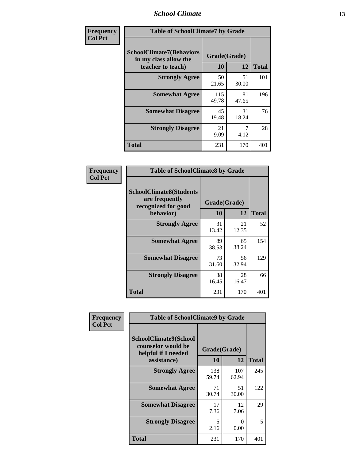### *School Climate* **13**

| Frequency      | <b>Table of SchoolClimate7 by Grade</b>                                       |                           |             |              |
|----------------|-------------------------------------------------------------------------------|---------------------------|-------------|--------------|
| <b>Col Pct</b> | <b>SchoolClimate7(Behaviors</b><br>in my class allow the<br>teacher to teach) | Grade(Grade)<br><b>10</b> | 12          | <b>Total</b> |
|                | <b>Strongly Agree</b>                                                         | 50<br>21.65               | 51<br>30.00 | 101          |
|                | <b>Somewhat Agree</b>                                                         | 115<br>49.78              | 81<br>47.65 | 196          |
|                | <b>Somewhat Disagree</b>                                                      | 45<br>19.48               | 31<br>18.24 | 76           |
|                | <b>Strongly Disagree</b>                                                      | 21<br>9.09                | 4.12        | 28           |
|                | <b>Total</b>                                                                  | 231                       | 170         | 401          |

| Frequency      | <b>Table of SchoolClimate8 by Grade</b>                                              |                    |             |              |  |
|----------------|--------------------------------------------------------------------------------------|--------------------|-------------|--------------|--|
| <b>Col Pct</b> | <b>SchoolClimate8(Students</b><br>are frequently<br>recognized for good<br>behavior) | Grade(Grade)<br>10 | 12          | <b>Total</b> |  |
|                | <b>Strongly Agree</b>                                                                | 31<br>13.42        | 21<br>12.35 | 52           |  |
|                | <b>Somewhat Agree</b>                                                                | 89<br>38.53        | 65<br>38.24 | 154          |  |
|                | <b>Somewhat Disagree</b>                                                             | 73<br>31.60        | 56<br>32.94 | 129          |  |
|                | <b>Strongly Disagree</b>                                                             | 38<br>16.45        | 28<br>16.47 | 66           |  |
|                | <b>Total</b>                                                                         | 231                | 170         | 401          |  |

| Frequency      | <b>Table of SchoolClimate9 by Grade</b>                                                  |                    |              |              |
|----------------|------------------------------------------------------------------------------------------|--------------------|--------------|--------------|
| <b>Col Pct</b> | <b>SchoolClimate9(School</b><br>counselor would be<br>helpful if I needed<br>assistance) | Grade(Grade)<br>10 | 12           | <b>Total</b> |
|                | <b>Strongly Agree</b>                                                                    | 138<br>59.74       | 107<br>62.94 | 245          |
|                | <b>Somewhat Agree</b>                                                                    | 71<br>30.74        | 51<br>30.00  | 122          |
|                | <b>Somewhat Disagree</b>                                                                 | 17<br>7.36         | 12<br>7.06   | 29           |
|                | <b>Strongly Disagree</b>                                                                 | 5<br>2.16          | 0<br>0.00    | 5            |
|                | <b>Total</b>                                                                             | 231                | 170          | 401          |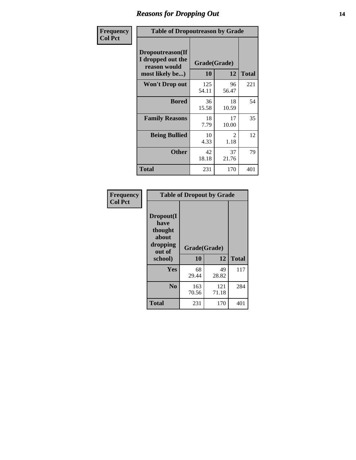### *Reasons for Dropping Out* **14**

| Frequency      | <b>Table of Dropoutreason by Grade</b>                                   |                    |             |              |
|----------------|--------------------------------------------------------------------------|--------------------|-------------|--------------|
| <b>Col Pct</b> | Dropoutreason(If<br>I dropped out the<br>reason would<br>most likely be) | Grade(Grade)<br>10 | 12          | <b>Total</b> |
|                | <b>Won't Drop out</b>                                                    | 125<br>54.11       | 96<br>56.47 | 221          |
|                | <b>Bored</b>                                                             | 36<br>15.58        | 18<br>10.59 | 54           |
|                | <b>Family Reasons</b>                                                    | 18<br>7.79         | 17<br>10.00 | 35           |
|                | <b>Being Bullied</b>                                                     | 10<br>4.33         | 2<br>1.18   | 12           |
|                | <b>Other</b>                                                             | 42<br>18.18        | 37<br>21.76 | 79           |
|                | Total                                                                    | 231                | 170         | 401          |

| Frequency<br><b>Col Pct</b> |                                                             | <b>Table of Dropout by Grade</b> |              |              |
|-----------------------------|-------------------------------------------------------------|----------------------------------|--------------|--------------|
|                             | Dropout(I<br>have<br>thought<br>about<br>dropping<br>out of | Grade(Grade)                     |              |              |
|                             | school)                                                     | 10                               | 12           | <b>Total</b> |
|                             | Yes                                                         | 68<br>29.44                      | 49<br>28.82  | 117          |
|                             | N <sub>0</sub>                                              | 163                              | 121<br>71.18 | 284          |
|                             |                                                             | 70.56                            |              |              |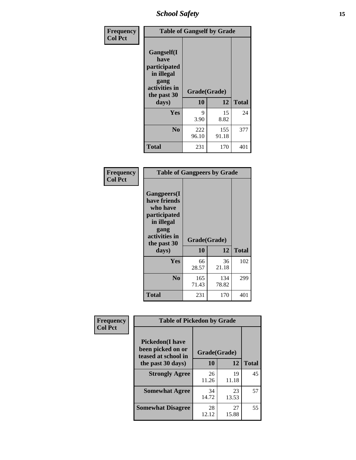*School Safety* **15**

| Frequency      | <b>Table of Gangself by Grade</b>                                                                 |                    |              |              |
|----------------|---------------------------------------------------------------------------------------------------|--------------------|--------------|--------------|
| <b>Col Pct</b> | Gangself(I<br>have<br>participated<br>in illegal<br>gang<br>activities in<br>the past 30<br>days) | Grade(Grade)<br>10 | 12           | <b>Total</b> |
|                | Yes                                                                                               | 9<br>3.90          | 15<br>8.82   | 24           |
|                | N <sub>0</sub>                                                                                    | 222<br>96.10       | 155<br>91.18 | 377          |
|                | <b>Total</b>                                                                                      | 231                | 170          | 401          |

| Frequency<br><b>Col Pct</b> | <b>Table of Gangpeers by Grade</b>                                                                                             |                    |              |              |  |  |  |  |  |  |
|-----------------------------|--------------------------------------------------------------------------------------------------------------------------------|--------------------|--------------|--------------|--|--|--|--|--|--|
|                             | <b>Gangpeers</b> (I<br>have friends<br>who have<br>participated<br>in illegal<br>gang<br>activities in<br>the past 30<br>days) | Grade(Grade)<br>10 | 12           | <b>Total</b> |  |  |  |  |  |  |
|                             | <b>Yes</b>                                                                                                                     | 66<br>28.57        | 36<br>21.18  | 102          |  |  |  |  |  |  |
|                             | N <sub>0</sub>                                                                                                                 | 165<br>71.43       | 134<br>78.82 | 299          |  |  |  |  |  |  |
|                             | <b>Total</b>                                                                                                                   | 231                | 170          | 401          |  |  |  |  |  |  |

| Frequency      |                                                                     | <b>Table of Pickedon by Grade</b> |             |              |  |  |  |  |  |  |  |
|----------------|---------------------------------------------------------------------|-----------------------------------|-------------|--------------|--|--|--|--|--|--|--|
| <b>Col Pct</b> | <b>Pickedon</b> (I have<br>been picked on or<br>teased at school in | Grade(Grade)                      |             |              |  |  |  |  |  |  |  |
|                | the past 30 days)                                                   | 10                                | 12          | <b>Total</b> |  |  |  |  |  |  |  |
|                | <b>Strongly Agree</b>                                               | 26<br>11.26                       | 19<br>11.18 | 45           |  |  |  |  |  |  |  |
|                | <b>Somewhat Agree</b>                                               | 34<br>14.72                       | 23<br>13.53 | 57           |  |  |  |  |  |  |  |
|                | <b>Somewhat Disagree</b>                                            | 28<br>12.12                       | 27<br>15.88 | 55           |  |  |  |  |  |  |  |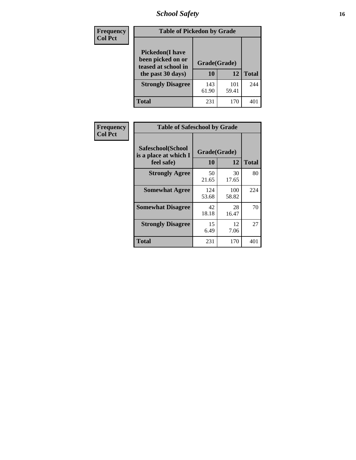# *School Safety* **16**

| <b>Frequency</b> | <b>Table of Pickedon by Grade</b>                                                        |                    |              |              |
|------------------|------------------------------------------------------------------------------------------|--------------------|--------------|--------------|
| <b>Col Pct</b>   | <b>Pickedon</b> (I have<br>been picked on or<br>teased at school in<br>the past 30 days) | Grade(Grade)<br>10 | 12           | <b>Total</b> |
|                  | <b>Strongly Disagree</b>                                                                 | 143<br>61.90       | 101<br>59.41 | 244          |
|                  | Total                                                                                    | 231                | 170          | 40           |

| Frequency      |                                                          | <b>Table of Safeschool by Grade</b> |              |     |  |  |  |  |  |  |  |  |
|----------------|----------------------------------------------------------|-------------------------------------|--------------|-----|--|--|--|--|--|--|--|--|
| <b>Col Pct</b> | Safeschool(School<br>is a place at which I<br>feel safe) | Grade(Grade)<br>10                  | <b>Total</b> |     |  |  |  |  |  |  |  |  |
|                | <b>Strongly Agree</b>                                    | 50<br>21.65                         | 30<br>17.65  | 80  |  |  |  |  |  |  |  |  |
|                | <b>Somewhat Agree</b>                                    | 124<br>53.68                        | 100<br>58.82 | 224 |  |  |  |  |  |  |  |  |
|                | <b>Somewhat Disagree</b>                                 | 42<br>18.18                         | 28<br>16.47  | 70  |  |  |  |  |  |  |  |  |
|                | <b>Strongly Disagree</b>                                 | 15<br>6.49                          | 12<br>7.06   | 27  |  |  |  |  |  |  |  |  |
|                | <b>Total</b>                                             | 231                                 | 170          | 401 |  |  |  |  |  |  |  |  |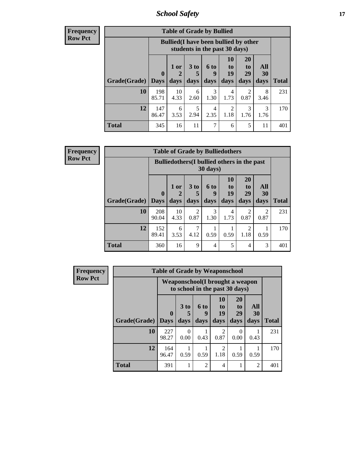*School Safety* **17**

**Frequency Row Pct**

| <b>Table of Grade by Bullied</b> |              |                                                                               |                              |                   |                        |                               |                          |              |  |  |  |
|----------------------------------|--------------|-------------------------------------------------------------------------------|------------------------------|-------------------|------------------------|-------------------------------|--------------------------|--------------|--|--|--|
|                                  |              | <b>Bullied</b> (I have been bullied by other<br>students in the past 30 days) |                              |                   |                        |                               |                          |              |  |  |  |
| <b>Grade</b> (Grade)   Days      | $\mathbf 0$  | 1 or<br>days                                                                  | 3 <sub>to</sub><br>5<br>days | 6 to<br>g<br>days | 10<br>to<br>19<br>days | <b>20</b><br>to<br>29<br>days | All<br><b>30</b><br>days | <b>Total</b> |  |  |  |
| 10                               | 198<br>85.71 | 10<br>4.33                                                                    | 6<br>2.60                    | 3<br>1.30         | 4<br>1.73              | 2<br>0.87                     | 8<br>3.46                | 231          |  |  |  |
| 12                               | 147<br>86.47 | 6<br>3.53                                                                     | 5<br>2.94                    | 4<br>2.35         | 2<br>1.18              | 3<br>1.76                     | 3<br>1.76                | 170          |  |  |  |
| Total                            | 345          | 16                                                                            | 11                           | 7                 | 6                      | 5                             | 11                       | 401          |  |  |  |

| <b>Frequency</b> |  |
|------------------|--|
| l Row Pct        |  |

**r** 

| <b>Table of Grade by Bulliedothers</b> |                             |                                                                         |              |                   |                        |                               |                   |              |  |  |  |
|----------------------------------------|-----------------------------|-------------------------------------------------------------------------|--------------|-------------------|------------------------|-------------------------------|-------------------|--------------|--|--|--|
|                                        |                             | <b>Bulliedothers</b> (I bullied others in the past<br>$30 \text{ days}$ |              |                   |                        |                               |                   |              |  |  |  |
| Grade(Grade)                           | $\mathbf{0}$<br><b>Days</b> | 1 or<br>$\overline{2}$<br>days                                          | 3 to<br>days | 6 to<br>9<br>days | 10<br>to<br>19<br>days | <b>20</b><br>to<br>29<br>days | All<br>30<br>days | <b>Total</b> |  |  |  |
| 10                                     | 208<br>90.04                | 10<br>4.33                                                              | 2<br>0.87    | 3<br>1.30         | 4<br>1.73              | 2<br>0.87                     | 2<br>0.87         | 231          |  |  |  |
| 12                                     | 152<br>89.41                | 6<br>3.53                                                               | 4.12         | 0.59              | 0.59                   | 2<br>1.18                     | 0.59              | 170          |  |  |  |
| <b>Total</b>                           | 360                         | 16                                                                      | 9            | $\overline{4}$    | 5                      | 4                             | 3                 | 401          |  |  |  |

| <b>Frequency</b> | <b>Table of Grade by Weaponschool</b> |                             |                                                                    |                          |                        |                        |                   |              |  |
|------------------|---------------------------------------|-----------------------------|--------------------------------------------------------------------|--------------------------|------------------------|------------------------|-------------------|--------------|--|
| <b>Row Pct</b>   |                                       |                             | Weaponschool (I brought a weapon<br>to school in the past 30 days) |                          |                        |                        |                   |              |  |
|                  | Grade(Grade)                          | $\mathbf{0}$<br><b>Days</b> | 3 <sub>to</sub><br>days                                            | <b>6 to</b><br>9<br>days | 10<br>to<br>19<br>days | 20<br>to<br>29<br>days | All<br>30<br>days | <b>Total</b> |  |
|                  | 10                                    | 227<br>98.27                | 0<br>0.00                                                          | 0.43                     | $\mathfrak{D}$<br>0.87 | 0<br>0.00              | 0.43              | 231          |  |
|                  | 12                                    | 164<br>96.47                | 0.59                                                               | 0.59                     | $\overline{2}$<br>1.18 | 0.59                   | 0.59              | 170          |  |
|                  | <b>Total</b>                          | 391                         |                                                                    | $\mathfrak{D}$           | 4                      |                        | $\overline{2}$    | 401          |  |

Ŧ.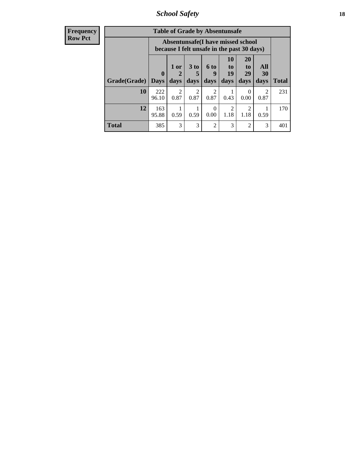*School Safety* **18**

| <b>Frequency</b> |              |              |                        |                      |                        | <b>Table of Grade by Absentunsafe</b>                                           |                       |                        |              |
|------------------|--------------|--------------|------------------------|----------------------|------------------------|---------------------------------------------------------------------------------|-----------------------|------------------------|--------------|
| <b>Row Pct</b>   |              |              |                        |                      |                        | Absentunsafe(I have missed school<br>because I felt unsafe in the past 30 days) |                       |                        |              |
|                  |              | $\mathbf{0}$ | 1 or<br>2              | 3 <sub>to</sub><br>5 | 6 to<br>9              | 10<br>to<br>19                                                                  | <b>20</b><br>to<br>29 | All<br>30              |              |
|                  | Grade(Grade) | <b>Days</b>  | days                   | days                 | days                   | days                                                                            | days                  | days                   | <b>Total</b> |
|                  | 10           | 222<br>96.10 | $\mathfrak{D}$<br>0.87 | 2<br>0.87            | $\mathfrak{D}$<br>0.87 | 0.43                                                                            | 0<br>0.00             | $\mathfrak{D}$<br>0.87 | 231          |
|                  | 12           | 163<br>95.88 | 1<br>0.59              | 0.59                 | $\Omega$<br>0.00       | $\overline{2}$<br>1.18                                                          | 2<br>1.18             | 0.59                   | 170          |
|                  | <b>Total</b> | 385          | 3                      | 3                    | $\overline{2}$         | 3                                                                               | $\overline{2}$        | 3                      | 401          |
|                  |              |              |                        |                      |                        |                                                                                 |                       |                        |              |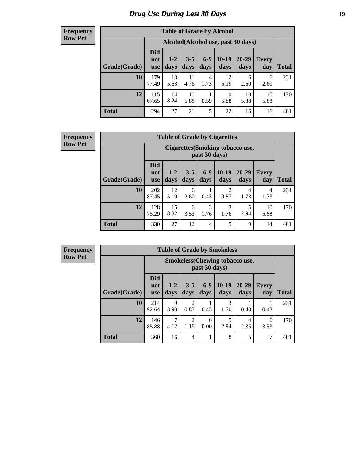# *Drug Use During Last 30 Days* **19**

#### **Frequency Row Pct**

| <b>Table of Grade by Alcohol</b> |                                 |                                    |                 |                 |                 |                   |              |              |  |  |  |  |
|----------------------------------|---------------------------------|------------------------------------|-----------------|-----------------|-----------------|-------------------|--------------|--------------|--|--|--|--|
|                                  |                                 | Alcohol(Alcohol use, past 30 days) |                 |                 |                 |                   |              |              |  |  |  |  |
| Grade(Grade)                     | <b>Did</b><br>not<br><b>use</b> | $1 - 2$<br>days                    | $3 - 5$<br>days | $6 - 9$<br>days | $10-19$<br>days | $20 - 29$<br>days | Every<br>day | <b>Total</b> |  |  |  |  |
| 10                               | 179<br>77.49                    | 13<br>5.63                         | 11<br>4.76      | 4<br>1.73       | 12<br>5.19      | 6<br>2.60         | 6<br>2.60    | 231          |  |  |  |  |
| 12                               | 115<br>67.65                    | 14<br>8.24                         | 10<br>5.88      | 1<br>0.59       | 10<br>5.88      | 10<br>5.88        | 10<br>5.88   | 170          |  |  |  |  |
| <b>Total</b>                     | 294                             | 27                                 | 21              | 5               | 22              | 16                | 16           | 401          |  |  |  |  |

#### **Frequency Row Pct**

| <b>Table of Grade by Cigarettes</b> |                                 |                                                          |                 |                |                 |                   |                     |              |  |  |  |  |
|-------------------------------------|---------------------------------|----------------------------------------------------------|-----------------|----------------|-----------------|-------------------|---------------------|--------------|--|--|--|--|
|                                     |                                 | <b>Cigarettes</b> (Smoking tobacco use,<br>past 30 days) |                 |                |                 |                   |                     |              |  |  |  |  |
| Grade(Grade)                        | <b>Did</b><br>not<br><b>use</b> | $1 - 2$<br>days                                          | $3 - 5$<br>days | $6-9$<br>days  | $10-19$<br>days | $20 - 29$<br>days | <b>Every</b><br>day | <b>Total</b> |  |  |  |  |
| 10                                  | 202<br>87.45                    | 12<br>5.19                                               | 6<br>2.60       | 0.43           | 2<br>0.87       | 4<br>1.73         | 4<br>1.73           | 231          |  |  |  |  |
| 12                                  | 128<br>75.29                    | 15<br>8.82                                               | 6<br>3.53       | 3<br>1.76      | 3<br>1.76       | 5<br>2.94         | 10<br>5.88          | 170          |  |  |  |  |
| <b>Total</b>                        | 330                             | 27                                                       | 12              | $\overline{4}$ | 5               | 9                 | 14                  | 401          |  |  |  |  |

**Frequency Row Pct**

| <b>Table of Grade by Smokeless</b> |                                 |                                                        |                        |                  |                 |                   |                     |              |  |  |  |  |  |
|------------------------------------|---------------------------------|--------------------------------------------------------|------------------------|------------------|-----------------|-------------------|---------------------|--------------|--|--|--|--|--|
|                                    |                                 | <b>Smokeless</b> (Chewing tobaccouse,<br>past 30 days) |                        |                  |                 |                   |                     |              |  |  |  |  |  |
| Grade(Grade)                       | <b>Did</b><br>not<br><b>use</b> | $1 - 2$<br>days                                        | $3 - 5$<br>days        | $6-9$<br>days    | $10-19$<br>days | $20 - 29$<br>days | <b>Every</b><br>day | <b>Total</b> |  |  |  |  |  |
| 10                                 | 214<br>92.64                    | 9<br>3.90                                              | 2<br>0.87              | 0.43             | 3<br>1.30       | 0.43              | 0.43                | 231          |  |  |  |  |  |
| 12                                 | 146<br>85.88                    | 4.12                                                   | $\overline{c}$<br>1.18 | $\Omega$<br>0.00 | 5<br>2.94       | 4<br>2.35         | 6<br>3.53           | 170          |  |  |  |  |  |
| <b>Total</b>                       | 360                             | 16                                                     | $\overline{4}$         |                  | 8               | 5                 | 7                   | 401          |  |  |  |  |  |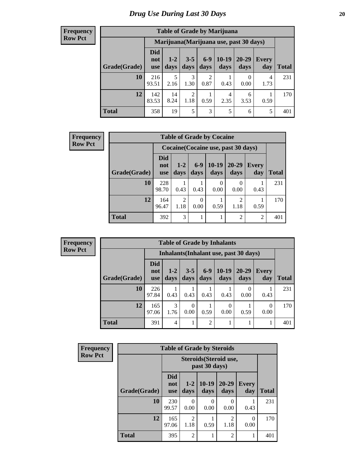#### **Frequency Row Pct**

| <b>Table of Grade by Marijuana</b> |                                 |                                         |                        |                        |                 |               |              |       |  |
|------------------------------------|---------------------------------|-----------------------------------------|------------------------|------------------------|-----------------|---------------|--------------|-------|--|
|                                    |                                 | Marijuana (Marijuana use, past 30 days) |                        |                        |                 |               |              |       |  |
| Grade(Grade)                       | <b>Did</b><br>not<br><b>use</b> | $1 - 2$<br>days                         | $3 - 5$<br>days        | $6-9$<br>days          | $10-19$<br>days | 20-29<br>days | Every<br>day | Total |  |
| 10                                 | 216<br>93.51                    | 5<br>2.16                               | 3<br>1.30              | $\overline{c}$<br>0.87 | 0.43            | 0.00          | 4<br>1.73    | 231   |  |
| 12                                 | 142<br>83.53                    | 14<br>8.24                              | $\overline{2}$<br>1.18 | 0.59                   | 4<br>2.35       | 6<br>3.53     | 0.59         | 170   |  |
| <b>Total</b>                       | 358                             | 19                                      | 5                      | 3                      | 5               | 6             | 5            | 401   |  |

| <b>Frequency</b> |              | <b>Table of Grade by Cocaine</b> |                                     |               |                  |                        |                |              |  |  |  |
|------------------|--------------|----------------------------------|-------------------------------------|---------------|------------------|------------------------|----------------|--------------|--|--|--|
| <b>Row Pct</b>   |              |                                  | Cocaine (Cocaine use, past 30 days) |               |                  |                        |                |              |  |  |  |
|                  | Grade(Grade) | <b>Did</b><br>not<br>use         | $1 - 2$<br>days                     | $6-9$<br>days | $10-19$<br>days  | $20 - 29$<br>days      | Every<br>day   | <b>Total</b> |  |  |  |
|                  | <b>10</b>    | 228<br>98.70                     | 0.43                                | 0.43          | $\theta$<br>0.00 | 0.00                   | 0.43           | 231          |  |  |  |
|                  | 12           | 164<br>96.47                     | $\overline{c}$<br>1.18              | 0.00          | 0.59             | $\mathfrak{D}$<br>1.18 | 0.59           | 170          |  |  |  |
|                  | <b>Total</b> | 392                              | 3                                   |               | 1                | $\overline{2}$         | $\overline{2}$ | 401          |  |  |  |

| <b>Frequency</b> |  |
|------------------|--|
| <b>Row Pct</b>   |  |

| <b>Table of Grade by Inhalants</b> |                          |                                        |                 |                |                 |                   |              |       |  |
|------------------------------------|--------------------------|----------------------------------------|-----------------|----------------|-----------------|-------------------|--------------|-------|--|
|                                    |                          | Inhalants (Inhalant use, past 30 days) |                 |                |                 |                   |              |       |  |
| Grade(Grade)                       | Did<br>not<br><b>use</b> | $1 - 2$<br>days                        | $3 - 5$<br>days | $6-9$<br>days  | $10-19$<br>days | $20 - 29$<br>days | Every<br>day | Total |  |
| 10                                 | 226<br>97.84             | 0.43                                   | 0.43            | 0.43           | 0.43            | 0.00              | 0.43         | 231   |  |
| 12                                 | 165<br>97.06             | 3<br>1.76                              | 0<br>0.00       | 0.59           | 0<br>0.00       | 0.59              | 0<br>0.00    | 170   |  |
| <b>Total</b>                       | 391                      | 4                                      |                 | $\overline{2}$ |                 |                   |              | 401   |  |

| <b>Frequency</b> | <b>Table of Grade by Steroids</b> |                                 |                        |                 |                        |                     |              |  |  |
|------------------|-----------------------------------|---------------------------------|------------------------|-----------------|------------------------|---------------------|--------------|--|--|
| <b>Row Pct</b>   |                                   |                                 |                        |                 |                        |                     |              |  |  |
|                  | Grade(Grade)                      | <b>Did</b><br>not<br><b>use</b> | $1 - 2$<br>days        | $10-19$<br>days | $20 - 29$<br>days      | <b>Every</b><br>day | <b>Total</b> |  |  |
|                  | 10                                | 230<br>99.57                    | $\Omega$<br>0.00       | 0<br>0.00       | 0.00                   | 0.43                | 231          |  |  |
|                  | 12                                | 165<br>97.06                    | $\overline{2}$<br>1.18 | 0.59            | $\mathfrak{D}$<br>1.18 | 0<br>0.00           | 170          |  |  |
|                  | <b>Total</b>                      | 395                             | $\overline{2}$         |                 | $\mathfrak{D}$         |                     | 401          |  |  |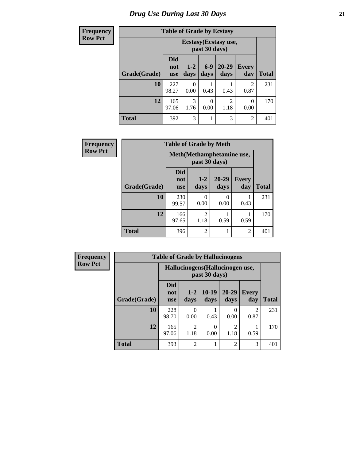# *Drug Use During Last 30 Days* **21**

| <b>Frequency</b> | <b>Table of Grade by Ecstasy</b> |                                        |                  |               |                        |                        |              |  |
|------------------|----------------------------------|----------------------------------------|------------------|---------------|------------------------|------------------------|--------------|--|
| <b>Row Pct</b>   |                                  | Ecstasy (Ecstasy use,<br>past 30 days) |                  |               |                        |                        |              |  |
|                  | Grade(Grade)                     | <b>Did</b><br>not<br><b>use</b>        | $1-2$<br>days    | $6-9$<br>days | 20-29<br>days          | <b>Every</b><br>day    | <b>Total</b> |  |
|                  | 10                               | 227<br>98.27                           | $\theta$<br>0.00 | 0.43          | 0.43                   | $\mathfrak{D}$<br>0.87 | 231          |  |
|                  | 12                               | 165<br>97.06                           | 3<br>1.76        | 0<br>0.00     | $\overline{2}$<br>1.18 | $\Omega$<br>0.00       | 170          |  |
|                  | <b>Total</b>                     | 392                                    | 3                | 1             | 3                      | 2                      | 401          |  |

| Frequency      |              |                                 | <b>Table of Grade by Meth</b> |                   |                     |              |
|----------------|--------------|---------------------------------|-------------------------------|-------------------|---------------------|--------------|
| <b>Row Pct</b> |              | Meth(Methamphetamine use,       |                               |                   |                     |              |
|                | Grade(Grade) | <b>Did</b><br>not<br><b>use</b> | $1-2$<br>days                 | $20 - 29$<br>days | <b>Every</b><br>day | <b>Total</b> |
|                | 10           | 230<br>99.57                    | 0<br>0.00                     | 0<br>0.00         | 0.43                | 231          |
|                | 12           | 166<br>97.65                    | 2<br>1.18                     | 0.59              | 0.59                | 170          |
|                | <b>Total</b> | 396                             | 2                             |                   | $\overline{2}$      | 401          |

| <b>Frequency</b> |              | <b>Table of Grade by Hallucinogens</b> |                        |                  |                        |                     |              |  |  |  |
|------------------|--------------|----------------------------------------|------------------------|------------------|------------------------|---------------------|--------------|--|--|--|
| <b>Row Pct</b>   |              | Hallucinogens (Hallucinogen use,       |                        |                  |                        |                     |              |  |  |  |
|                  | Grade(Grade) | <b>Did</b><br>not<br><b>use</b>        | $1-2$<br>days          | $10-19$<br>days  | $20 - 29$<br>days      | <b>Every</b><br>day | <b>Total</b> |  |  |  |
|                  | 10           | 228<br>98.70                           | 0.00                   | 0.43             | 0<br>0.00              | 2<br>0.87           | 231          |  |  |  |
|                  | 12           | 165<br>97.06                           | $\mathfrak{D}$<br>1.18 | $\Omega$<br>0.00 | $\mathfrak{D}$<br>1.18 | 0.59                | 170          |  |  |  |
|                  | <b>Total</b> | 393                                    | $\overline{c}$         |                  | $\overline{2}$         | 3                   | 401          |  |  |  |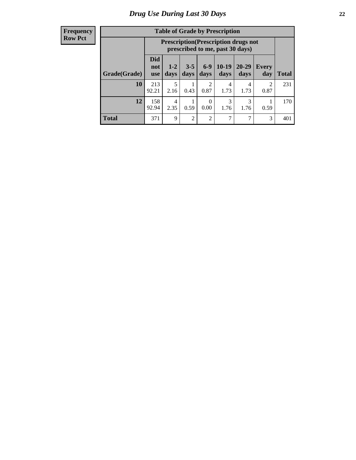#### **Frequency Row Pct**

| <b>Table of Grade by Prescription</b> |                                 |                                                                                |                 |                        |                 |                   |                        |       |
|---------------------------------------|---------------------------------|--------------------------------------------------------------------------------|-----------------|------------------------|-----------------|-------------------|------------------------|-------|
|                                       |                                 | <b>Prescription</b> (Prescription drugs not<br>prescribed to me, past 30 days) |                 |                        |                 |                   |                        |       |
| Grade(Grade)                          | <b>Did</b><br>not<br><b>use</b> | $1 - 2$<br>days                                                                | $3 - 5$<br>days | $6-9$<br>days          | $10-19$<br>days | $20 - 29$<br>days | Every<br>day           | Total |
| 10                                    | 213<br>92.21                    | 5<br>2.16                                                                      | 0.43            | $\overline{c}$<br>0.87 | 4<br>1.73       | 4<br>1.73         | $\mathfrak{D}$<br>0.87 | 231   |
| 12                                    | 158<br>92.94                    | 4<br>2.35                                                                      | 0.59            | 0<br>0.00              | 3<br>1.76       | 3<br>1.76         | 0.59                   | 170   |
| <b>Total</b>                          | 371                             | $\mathbf Q$                                                                    | $\overline{2}$  | $\overline{c}$         | 7               | 7                 | 3                      | 401   |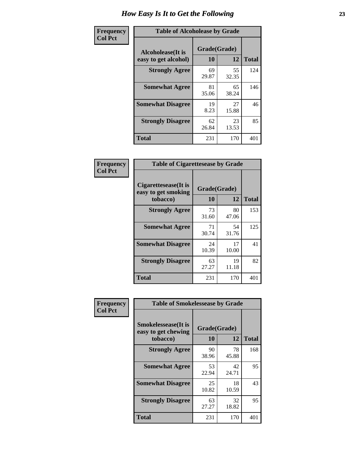| Frequency      | <b>Table of Alcoholease by Grade</b>              |                    |             |              |
|----------------|---------------------------------------------------|--------------------|-------------|--------------|
| <b>Col Pct</b> | <b>Alcoholease</b> (It is<br>easy to get alcohol) | Grade(Grade)<br>10 | 12          | <b>Total</b> |
|                | <b>Strongly Agree</b>                             | 69<br>29.87        | 55<br>32.35 | 124          |
|                | <b>Somewhat Agree</b>                             | 81<br>35.06        | 65<br>38.24 | 146          |
|                | <b>Somewhat Disagree</b>                          | 19<br>8.23         | 27<br>15.88 | 46           |
|                | <b>Strongly Disagree</b>                          | 62<br>26.84        | 23<br>13.53 | 85           |
|                | <b>Total</b>                                      | 231                | 170         | 401          |

| Frequency      | <b>Table of Cigarettesease by Grade</b>                  |                    |             |              |  |  |  |
|----------------|----------------------------------------------------------|--------------------|-------------|--------------|--|--|--|
| <b>Col Pct</b> | Cigarettesease (It is<br>easy to get smoking<br>tobacco) | Grade(Grade)<br>10 | 12          | <b>Total</b> |  |  |  |
|                | <b>Strongly Agree</b>                                    | 73<br>31.60        | 80<br>47.06 | 153          |  |  |  |
|                | <b>Somewhat Agree</b>                                    | 71<br>30.74        | 54<br>31.76 | 125          |  |  |  |
|                | <b>Somewhat Disagree</b>                                 | 24<br>10.39        | 17<br>10.00 | 41           |  |  |  |
|                | <b>Strongly Disagree</b>                                 | 63<br>27.27        | 19<br>11.18 | 82           |  |  |  |
|                | <b>Total</b>                                             | 231                | 170         | 401          |  |  |  |

| Frequency      | <b>Table of Smokelessease by Grade</b>             |              |             |              |
|----------------|----------------------------------------------------|--------------|-------------|--------------|
| <b>Col Pct</b> | <b>Smokelessease</b> (It is<br>easy to get chewing | Grade(Grade) |             |              |
|                | tobacco)                                           | 10           | 12          | <b>Total</b> |
|                | <b>Strongly Agree</b>                              | 90<br>38.96  | 78<br>45.88 | 168          |
|                | <b>Somewhat Agree</b>                              | 53<br>22.94  | 42<br>24.71 | 95           |
|                | <b>Somewhat Disagree</b>                           | 25<br>10.82  | 18<br>10.59 | 43           |
|                | <b>Strongly Disagree</b>                           | 63<br>27.27  | 32<br>18.82 | 95           |
|                | <b>Total</b>                                       | 231          | 170         | 401          |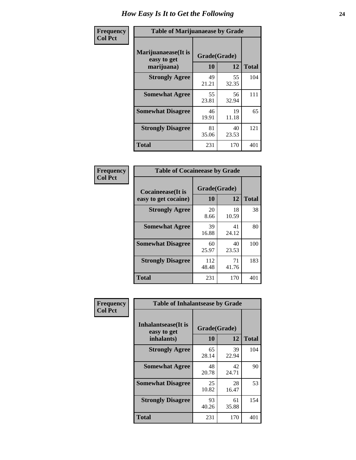| Frequency      | <b>Table of Marijuanaease by Grade</b>           |                           |              |     |  |  |  |  |
|----------------|--------------------------------------------------|---------------------------|--------------|-----|--|--|--|--|
| <b>Col Pct</b> | Marijuanaease(It is<br>easy to get<br>marijuana) | Grade(Grade)<br><b>10</b> | <b>Total</b> |     |  |  |  |  |
|                | <b>Strongly Agree</b>                            | 49<br>21.21               | 55<br>32.35  | 104 |  |  |  |  |
|                | <b>Somewhat Agree</b>                            | 55<br>23.81               | 56<br>32.94  | 111 |  |  |  |  |
|                | <b>Somewhat Disagree</b>                         | 46<br>19.91               | 19<br>11.18  | 65  |  |  |  |  |
|                | <b>Strongly Disagree</b>                         | 81<br>35.06               | 40<br>23.53  | 121 |  |  |  |  |
|                | <b>Total</b>                                     | 231                       | 170          | 401 |  |  |  |  |

| <b>Table of Cocaineease by Grade</b>              |                    |              |     |  |  |  |  |  |  |
|---------------------------------------------------|--------------------|--------------|-----|--|--|--|--|--|--|
| <b>Cocaineease</b> (It is<br>easy to get cocaine) | Grade(Grade)<br>10 | <b>Total</b> |     |  |  |  |  |  |  |
| <b>Strongly Agree</b>                             | 20<br>8.66         | 18<br>10.59  | 38  |  |  |  |  |  |  |
| <b>Somewhat Agree</b>                             | 39<br>16.88        | 41<br>24.12  | 80  |  |  |  |  |  |  |
| <b>Somewhat Disagree</b>                          | 60<br>25.97        | 40<br>23.53  | 100 |  |  |  |  |  |  |
| <b>Strongly Disagree</b>                          | 112<br>48.48       | 71<br>41.76  | 183 |  |  |  |  |  |  |
| <b>Total</b>                                      | 231                | 170          | 401 |  |  |  |  |  |  |

| Frequency      | <b>Table of Inhalantsease by Grade</b>     |              |             |              |  |  |  |  |  |  |  |
|----------------|--------------------------------------------|--------------|-------------|--------------|--|--|--|--|--|--|--|
| <b>Col Pct</b> | <b>Inhalantsease</b> (It is<br>easy to get | Grade(Grade) |             |              |  |  |  |  |  |  |  |
|                | inhalants)                                 | 10           | 12          | <b>Total</b> |  |  |  |  |  |  |  |
|                | <b>Strongly Agree</b>                      | 65<br>28.14  | 39<br>22.94 | 104          |  |  |  |  |  |  |  |
|                | <b>Somewhat Agree</b>                      | 48<br>20.78  | 42<br>24.71 | 90           |  |  |  |  |  |  |  |
|                | <b>Somewhat Disagree</b>                   | 25<br>10.82  | 28<br>16.47 | 53           |  |  |  |  |  |  |  |
|                | <b>Strongly Disagree</b>                   | 93<br>40.26  | 61<br>35.88 | 154          |  |  |  |  |  |  |  |
|                | <b>Total</b>                               | 231          | 170         | 401          |  |  |  |  |  |  |  |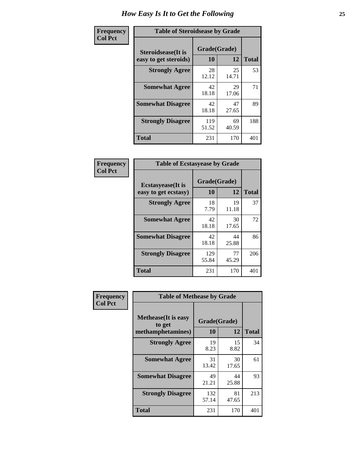| Frequency      | <b>Table of Steroidsease by Grade</b>               |                    |             |              |  |  |  |  |
|----------------|-----------------------------------------------------|--------------------|-------------|--------------|--|--|--|--|
| <b>Col Pct</b> | <b>Steroidsease</b> (It is<br>easy to get steroids) | Grade(Grade)<br>10 | 12          | <b>Total</b> |  |  |  |  |
|                | <b>Strongly Agree</b>                               | 28<br>12.12        | 25<br>14.71 | 53           |  |  |  |  |
|                | <b>Somewhat Agree</b>                               | 42<br>18.18        | 29<br>17.06 | 71           |  |  |  |  |
|                | <b>Somewhat Disagree</b>                            | 42<br>18.18        | 47<br>27.65 | 89           |  |  |  |  |
|                | <b>Strongly Disagree</b>                            | 119<br>51.52       | 69<br>40.59 | 188          |  |  |  |  |
|                | <b>Total</b>                                        | 231                | 170         | 401          |  |  |  |  |

| Frequency      | <b>Table of Ecstasyease by Grade</b>              |                          |             |     |  |  |  |  |
|----------------|---------------------------------------------------|--------------------------|-------------|-----|--|--|--|--|
| <b>Col Pct</b> | <b>Ecstasyease</b> (It is<br>easy to get ecstasy) | Grade(Grade)<br>12<br>10 |             |     |  |  |  |  |
|                | <b>Strongly Agree</b>                             | 18<br>7.79               | 19<br>11.18 | 37  |  |  |  |  |
|                | <b>Somewhat Agree</b>                             | 42<br>18.18              | 30<br>17.65 | 72  |  |  |  |  |
|                | <b>Somewhat Disagree</b>                          | 42<br>18.18              | 44<br>25.88 | 86  |  |  |  |  |
|                | <b>Strongly Disagree</b>                          | 129<br>55.84             | 77<br>45.29 | 206 |  |  |  |  |
|                | Total                                             | 231                      | 170         | 401 |  |  |  |  |

| Frequency      | <b>Table of Methease by Grade</b>                          |                    |              |     |
|----------------|------------------------------------------------------------|--------------------|--------------|-----|
| <b>Col Pct</b> | <b>Methease</b> (It is easy<br>to get<br>methamphetamines) | Grade(Grade)<br>10 | <b>Total</b> |     |
|                | <b>Strongly Agree</b>                                      | 19<br>8.23         | 15<br>8.82   | 34  |
|                | <b>Somewhat Agree</b>                                      | 31<br>13.42        | 30<br>17.65  | 61  |
|                | <b>Somewhat Disagree</b>                                   | 49<br>21.21        | 44<br>25.88  | 93  |
|                | <b>Strongly Disagree</b>                                   | 132<br>57.14       | 81<br>47.65  | 213 |
|                | <b>Total</b>                                               | 231                | 170          | 401 |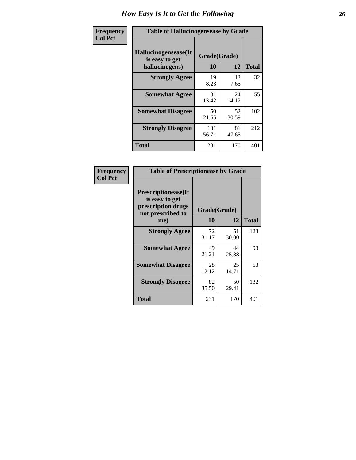| <b>Frequency</b> | <b>Table of Hallucinogensease by Grade</b>               |                    |             |              |  |  |  |  |  |
|------------------|----------------------------------------------------------|--------------------|-------------|--------------|--|--|--|--|--|
| <b>Col Pct</b>   | Hallucinogensease(It<br>is easy to get<br>hallucinogens) | Grade(Grade)<br>10 | 12          | <b>Total</b> |  |  |  |  |  |
|                  | <b>Strongly Agree</b>                                    | 19<br>8.23         | 13<br>7.65  | 32           |  |  |  |  |  |
|                  | <b>Somewhat Agree</b>                                    | 31<br>13.42        | 24<br>14.12 | 55           |  |  |  |  |  |
|                  | <b>Somewhat Disagree</b>                                 | 50<br>21.65        | 52<br>30.59 | 102          |  |  |  |  |  |
|                  | <b>Strongly Disagree</b>                                 | 131<br>56.71       | 81<br>47.65 | 212          |  |  |  |  |  |
|                  | <b>Total</b>                                             | 231                | 170         | 401          |  |  |  |  |  |

| Frequency<br>Col Pct |
|----------------------|
|                      |

| <b>Table of Prescriptionease by Grade</b>                                                       |                    |             |              |  |  |  |  |  |  |
|-------------------------------------------------------------------------------------------------|--------------------|-------------|--------------|--|--|--|--|--|--|
| <b>Prescriptionease</b> (It<br>is easy to get<br>prescription drugs<br>not prescribed to<br>me) | Grade(Grade)<br>10 | 12          | <b>Total</b> |  |  |  |  |  |  |
| <b>Strongly Agree</b>                                                                           | 72<br>31.17        | 51<br>30.00 | 123          |  |  |  |  |  |  |
| <b>Somewhat Agree</b>                                                                           | 49<br>21.21        | 44<br>25.88 | 93           |  |  |  |  |  |  |
| <b>Somewhat Disagree</b>                                                                        | 28<br>12.12        | 25<br>14.71 | 53           |  |  |  |  |  |  |
| <b>Strongly Disagree</b>                                                                        | 82<br>35.50        | 50<br>29.41 | 132          |  |  |  |  |  |  |
| <b>Total</b>                                                                                    | 231                | 170         | 401          |  |  |  |  |  |  |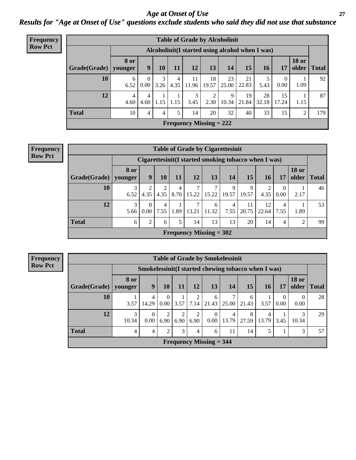*Age at Onset of Use* **27** *Results for "Age at Onset of Use" questions exclude students who said they did not use that substance*

| <b>Frequency</b> |                        | <b>Table of Grade by Alcoholinit</b> |                                                  |           |           |             |                           |             |             |             |                  |                       |              |
|------------------|------------------------|--------------------------------------|--------------------------------------------------|-----------|-----------|-------------|---------------------------|-------------|-------------|-------------|------------------|-----------------------|--------------|
| <b>Row Pct</b>   |                        |                                      | Alcoholinit (I started using alcohol when I was) |           |           |             |                           |             |             |             |                  |                       |              |
|                  | Grade(Grade)   younger | 8 or                                 | 9                                                | 10        | <b>11</b> | <b>12</b>   | 13                        | 14          | 15          | <b>16</b>   | 17               | <b>18 or</b><br>older | <b>Total</b> |
|                  | 10                     | 6<br>6.52                            | $\theta$<br>0.00 <sub>l</sub>                    | 3<br>3.26 | 4<br>4.35 | 11<br>11.96 | 18<br>19.57               | 23<br>25.00 | 21<br>22.83 | 5.43        | $\theta$<br>0.00 | 1.09                  | 92           |
|                  | 12                     | $\overline{4}$<br>4.60               | 4<br>4.60                                        | 1.15      | 1.15      | 3<br>3.45   | $\mathfrak{D}$<br>2.30    | 9<br>10.34  | 19<br>21.84 | 28<br>32.18 | 15<br>17.24      | 1.15                  | 87           |
|                  | <b>Total</b>           | 10                                   | $\overline{4}$                                   | 4         | 5         | 14          | 20                        | 32          | 40          | 33          | 15               | 2                     | 179          |
|                  |                        |                                      |                                                  |           |           |             | Frequency Missing $= 222$ |             |             |             |                  |                       |              |

| <b>Frequency</b> |  |  |  |  |  |  |
|------------------|--|--|--|--|--|--|
| Row Pct          |  |  |  |  |  |  |
|                  |  |  |  |  |  |  |

| <b>Table of Grade by Cigarettesinit</b> |                           |                                                      |           |           |            |            |            |             |             |                  |                       |              |
|-----------------------------------------|---------------------------|------------------------------------------------------|-----------|-----------|------------|------------|------------|-------------|-------------|------------------|-----------------------|--------------|
|                                         |                           | Cigarettesinit(I started smoking tobacco when I was) |           |           |            |            |            |             |             |                  |                       |              |
| Grade(Grade)                            | 8 or<br>younger           | 9                                                    | 10        | <b>11</b> | <b>12</b>  | 13         | 14         | <b>15</b>   | <b>16</b>   | 17               | <b>18 or</b><br>older | <b>Total</b> |
| 10                                      | 3<br>6.52                 | າ<br>4.35                                            | 4.35      | 4<br>8.70 | 15.22      | ⇁<br>15.22 | Q<br>19.57 | 9<br>19.57  | 2<br>4.35   | $\Omega$<br>0.00 | 2.17                  | 46           |
| 12                                      | 3<br>5.66                 | 0<br>0.00                                            | 4<br>7.55 | 1.89      | ┑<br>13.21 | 6<br>11.32 | 4<br>7.55  | 11<br>20.75 | 12<br>22.64 | 4<br>7.55        | 1.89                  | 53           |
| <b>Total</b>                            | 6                         | $\mathcal{L}$                                        | 6         | 5         | 14         | 13         | 13         | 20          | 14          | 4                | っ                     | 99           |
|                                         | Frequency Missing $= 302$ |                                                      |           |           |            |            |            |             |             |                  |                       |              |

**Frequency Row Pct**

|                           | <b>Table of Grade by Smokelessinit</b> |                                                     |                           |                        |                |                  |            |            |            |                  |                       |              |
|---------------------------|----------------------------------------|-----------------------------------------------------|---------------------------|------------------------|----------------|------------------|------------|------------|------------|------------------|-----------------------|--------------|
|                           |                                        | Smokelessinit(I started chewing tobacco when I was) |                           |                        |                |                  |            |            |            |                  |                       |              |
| Grade(Grade)              | 8 or<br>vounger                        | 9                                                   | 10                        | 11                     | 12             | <b>13</b>        | 14         | 15         | <b>16</b>  | 17               | <b>18 or</b><br>older | <b>Total</b> |
| 10                        | 3.57                                   | 4<br>14.29                                          | $\Omega$<br>$\sqrt{0.00}$ | 3.57                   | 7.14           | 6<br>21.43       | 7<br>25.00 | 6<br>21.43 | 3.57       | $\theta$<br>0.00 | $\theta$<br>0.00      | 28           |
| 12                        | 3<br>10.34                             | $\theta$<br>0.00                                    | 2<br>6.90                 | $\overline{2}$<br>6.90 | 2<br>6.90      | $\theta$<br>0.00 | 4<br>13.79 | 8<br>27.59 | 4<br>13.79 | 3.45             | 3<br>10.34            | 29           |
| <b>Total</b>              | 4                                      | 4                                                   | $\mathfrak{D}$            | 3                      | $\overline{4}$ | 6                | 11         | 14         | 5          |                  | 3                     | 57           |
| Frequency Missing $=$ 344 |                                        |                                                     |                           |                        |                |                  |            |            |            |                  |                       |              |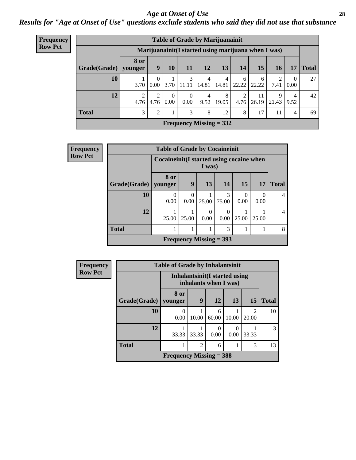#### *Age at Onset of Use* **28**

*Results for "Age at Onset of Use" questions exclude students who said they did not use that substance*

| Frequency      |                                                     | <b>Table of Grade by Marijuanainit</b> |                  |                  |                           |            |            |             |             |            |                        |              |  |
|----------------|-----------------------------------------------------|----------------------------------------|------------------|------------------|---------------------------|------------|------------|-------------|-------------|------------|------------------------|--------------|--|
| <b>Row Pct</b> | Marijuanainit(I started using marijuana when I was) |                                        |                  |                  |                           |            |            |             |             |            |                        |              |  |
|                | Grade(Grade)                                        | <b>8 or</b><br>younger                 | 9                | 10               | 11                        | 12         | 13         | 14          | 15          | 16         | 17                     | <b>Total</b> |  |
|                | 10                                                  | 3.70                                   | $\Omega$<br>0.00 | 3.70             | 3<br>11.11                | 4<br>14.81 | 4<br>14.81 | -6<br>22.22 | 6<br>22.22  | 2<br>7.41  | $\overline{0}$<br>0.00 | 27           |  |
|                | 12                                                  | 4.76                                   | 4.76             | $\theta$<br>0.00 | $\theta$<br>0.00          | 4<br>9.52  | 8<br>19.05 | 4.76        | 11<br>26.19 | 9<br>21.43 | 4<br>9.52              | 42           |  |
|                | <b>Total</b>                                        | 3                                      | 2                |                  | 3                         | 8          | 12         | 8           | 17          | 11         | $\overline{4}$         | 69           |  |
|                |                                                     |                                        |                  |                  | Frequency Missing $= 332$ |            |            |             |             |            |                        |              |  |

| Frequency      |                        | <b>Table of Grade by Cocaineinit</b>        |           |                           |                  |                          |                  |                |
|----------------|------------------------|---------------------------------------------|-----------|---------------------------|------------------|--------------------------|------------------|----------------|
| <b>Row Pct</b> |                        | Cocaine in it (I started using cocaine when |           | I was)                    |                  |                          |                  |                |
|                | Grade(Grade)   younger | 8 or                                        | 9         | 13                        | 14               | 15                       | <b>17</b>        | <b>Total</b>   |
|                | 10                     | $\theta$<br>0.00                            | 0<br>0.00 | 25.00                     | 3<br>75.00       | $\left( \right)$<br>0.00 | $\Omega$<br>0.00 | $\overline{4}$ |
|                | 12                     | 25.00                                       | 25.00     | 0<br>0.00                 | $\Omega$<br>0.00 | 25.00                    | 25.00            | $\overline{4}$ |
|                | <b>Total</b>           |                                             | 1         | 1                         | 3                |                          |                  | 8              |
|                |                        |                                             |           | Frequency Missing $=$ 393 |                  |                          |                  |                |

| <b>Frequency</b> | <b>Table of Grade by Inhalantsinit</b> |                                                         |                |            |           |       |              |  |  |  |  |
|------------------|----------------------------------------|---------------------------------------------------------|----------------|------------|-----------|-------|--------------|--|--|--|--|
| <b>Row Pct</b>   |                                        | Inhalantsinit (I started using<br>inhalants when I was) |                |            |           |       |              |  |  |  |  |
|                  | Grade(Grade)                           | 8 or<br>younger                                         | 9              | <b>12</b>  | 13        | 15    | <b>Total</b> |  |  |  |  |
|                  | <b>10</b>                              | 0.00                                                    | 10.00          | 6<br>60.00 | 10.00     | 20.00 | 10           |  |  |  |  |
|                  | 12                                     | 33.33                                                   | 33.33          | 0<br>0.00  | 0<br>0.00 | 33.33 | 3            |  |  |  |  |
|                  | <b>Total</b>                           |                                                         | $\overline{2}$ | 6          |           | 3     | 13           |  |  |  |  |
|                  |                                        | Frequency Missing $=$ 388                               |                |            |           |       |              |  |  |  |  |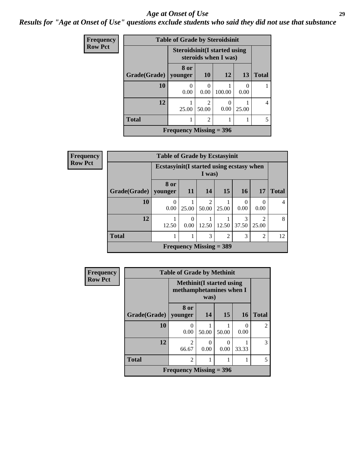#### *Age at Onset of Use* **29**

*Results for "Age at Onset of Use" questions exclude students who said they did not use that substance*

| <b>Frequency</b> |                     | <b>Table of Grade by Steroidsinit</b> |                                      |                      |       |              |
|------------------|---------------------|---------------------------------------|--------------------------------------|----------------------|-------|--------------|
| <b>Row Pct</b>   |                     | <b>Steroidsinit(I started using</b>   |                                      | steroids when I was) |       |              |
|                  | <b>Grade(Grade)</b> | 8 or<br>vounger                       | 10                                   | 12                   | 13    | <b>Total</b> |
|                  | 10                  | 0<br>0.00                             | $\Omega$<br>0.00                     | 100.00               | 0.00  |              |
|                  | 12                  | 25.00                                 | $\mathcal{D}_{\mathcal{A}}$<br>50.00 | 0.00                 | 25.00 | 4            |
|                  | <b>Total</b>        |                                       | 5                                    |                      |       |              |
|                  |                     | Frequency Missing $=$ 396             |                                      |                      |       |              |

| Frequency      |                        | <b>Table of Grade by Ecstasyinit</b>      |                                            |                         |                           |            |                         |              |  |  |
|----------------|------------------------|-------------------------------------------|--------------------------------------------|-------------------------|---------------------------|------------|-------------------------|--------------|--|--|
| <b>Row Pct</b> |                        | Ecstasyinit (I started using ecstasy when |                                            | I was)                  |                           |            |                         |              |  |  |
|                | Grade(Grade)   younger | 8 or                                      | <b>11</b>                                  | 14                      | 15                        | <b>16</b>  | <b>17</b>               | <b>Total</b> |  |  |
|                | 10                     | $\Omega$<br>0.00                          | 25.00                                      | $\overline{2}$<br>50.00 | 25.00                     | 0<br>0.00  | 0<br>0.00               | 4            |  |  |
|                | 12                     | 12.50                                     | 0<br>0.00                                  | 12.50                   | 12.50                     | 3<br>37.50 | $\overline{c}$<br>25.00 | 8            |  |  |
|                | <b>Total</b>           |                                           | 3<br>3<br>$\overline{2}$<br>$\overline{2}$ |                         |                           |            |                         |              |  |  |
|                |                        |                                           |                                            |                         | Frequency Missing $=$ 389 |            |                         |              |  |  |

| <b>Frequency</b> | <b>Table of Grade by Methinit</b> |                                                             |           |       |           |                |  |  |  |
|------------------|-----------------------------------|-------------------------------------------------------------|-----------|-------|-----------|----------------|--|--|--|
| <b>Row Pct</b>   |                                   | <b>Methinit</b> (I started using<br>methamphetamines when I | was)      |       |           |                |  |  |  |
|                  | Grade(Grade)                      | 8 or<br>younger                                             | 14        | 15    | <b>16</b> | <b>Total</b>   |  |  |  |
|                  | 10                                | $\left( \right)$<br>0.00                                    | 50.00     | 50.00 | 0<br>0.00 | $\overline{c}$ |  |  |  |
|                  | 12                                | $\overline{2}$<br>66.67                                     | 0<br>0.00 | 0.00  | 33.33     | 3              |  |  |  |
|                  | <b>Total</b>                      | $\overline{2}$                                              |           |       |           | 5              |  |  |  |
|                  |                                   | Frequency Missing $=$ 396                                   |           |       |           |                |  |  |  |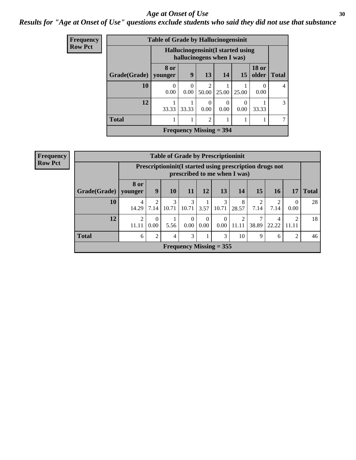#### Age at Onset of Use **30**

### *Results for "Age at Onset of Use" questions exclude students who said they did not use that substance*

| <b>Frequency</b> |              | <b>Table of Grade by Hallucinogensinit</b> |                                                                |                                |           |           |                       |                |  |  |
|------------------|--------------|--------------------------------------------|----------------------------------------------------------------|--------------------------------|-----------|-----------|-----------------------|----------------|--|--|
| <b>Row Pct</b>   |              |                                            | Hallucinogensinit(I started using<br>hallucinogens when I was) |                                |           |           |                       |                |  |  |
|                  | Grade(Grade) | 8 or<br>younger                            | 9                                                              | 13                             | 14        | 15        | <b>18 or</b><br>older | <b>Total</b>   |  |  |
|                  | 10           | 0<br>0.00                                  | $\Omega$<br>0.00                                               | $\overline{c}$<br>50.00        | 25.00     | 25.00     | 0.00                  | $\overline{4}$ |  |  |
|                  | 12           | 33.33                                      | 33.33                                                          | $\Omega$<br>0.00               | 0<br>0.00 | 0<br>0.00 | 33.33                 | $\mathcal{E}$  |  |  |
|                  | <b>Total</b> |                                            |                                                                | $\overline{2}$                 | 1         |           |                       | 7              |  |  |
|                  |              |                                            |                                                                | <b>Frequency Missing = 394</b> |           |           |                       |                |  |  |

| <b>Frequency</b> |  |
|------------------|--|
| <b>Row Pct</b>   |  |

| <b>Table of Grade by Prescriptioninit</b> |                                                                                            |                                                          |            |                  |                  |            |                                   |                        |            |                        |              |
|-------------------------------------------|--------------------------------------------------------------------------------------------|----------------------------------------------------------|------------|------------------|------------------|------------|-----------------------------------|------------------------|------------|------------------------|--------------|
|                                           | Prescription in it (I started using prescription drugs not<br>prescribed to me when I was) |                                                          |            |                  |                  |            |                                   |                        |            |                        |              |
| Grade(Grade)                              | <b>8 or</b><br>younger                                                                     | 15<br>10<br>13<br><b>14</b><br>9<br>12<br>16<br>11<br>17 |            |                  |                  |            |                                   |                        |            |                        | <b>Total</b> |
| 10                                        | 4<br>14.29                                                                                 | $\mathfrak{D}$<br>7.14                                   | 3<br>10.71 | 3<br>10.71       | 3.57             | 3<br>10.71 | 8<br>28.57                        | $\overline{2}$<br>7.14 | 7.14       | 0.00                   | 28           |
| 12                                        | 2<br>11.11                                                                                 | $\theta$<br>0.00                                         | 5.56       | $\Omega$<br>0.00 | $\theta$<br>0.00 | 0.00       | $\overline{\mathcal{L}}$<br>11.11 | 38.89                  | 4<br>22.22 | $\mathcal{D}$<br>11.11 | 18           |
| <b>Total</b>                              | 6                                                                                          | $\overline{2}$                                           | 4          | 3                |                  | 3          | 10                                | 9                      | 6          | $\overline{2}$         | 46           |
| Frequency Missing $= 355$                 |                                                                                            |                                                          |            |                  |                  |            |                                   |                        |            |                        |              |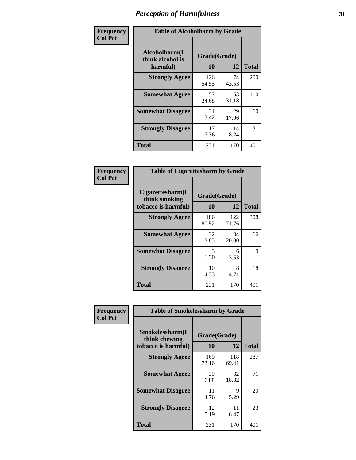| Frequency      | <b>Table of Alcoholharm by Grade</b>          |                    |             |              |  |  |  |  |
|----------------|-----------------------------------------------|--------------------|-------------|--------------|--|--|--|--|
| <b>Col Pct</b> | Alcoholharm(I<br>think alcohol is<br>harmful) | Grade(Grade)<br>10 | 12          | <b>Total</b> |  |  |  |  |
|                | <b>Strongly Agree</b>                         | 126<br>54.55       | 74<br>43.53 | 200          |  |  |  |  |
|                | <b>Somewhat Agree</b>                         | 57<br>24.68        | 53<br>31.18 | 110          |  |  |  |  |
|                | <b>Somewhat Disagree</b>                      | 31<br>13.42        | 29<br>17.06 | 60           |  |  |  |  |
|                | <b>Strongly Disagree</b>                      | 17<br>7.36         | 14<br>8.24  | 31           |  |  |  |  |
|                | <b>Total</b>                                  | 231                | 170         | 401          |  |  |  |  |

| <b>Table of Cigarettesharm by Grade</b>                  |                    |              |              |  |  |  |  |  |
|----------------------------------------------------------|--------------------|--------------|--------------|--|--|--|--|--|
| Cigarettesharm(I<br>think smoking<br>tobacco is harmful) | Grade(Grade)<br>10 | 12           | <b>Total</b> |  |  |  |  |  |
| <b>Strongly Agree</b>                                    | 186<br>80.52       | 122<br>71.76 | 308          |  |  |  |  |  |
| <b>Somewhat Agree</b>                                    | 32<br>13.85        | 34<br>20.00  | 66           |  |  |  |  |  |
| <b>Somewhat Disagree</b>                                 | 3<br>1.30          | 6<br>3.53    | 9            |  |  |  |  |  |
| <b>Strongly Disagree</b>                                 | 10<br>4.33         | 8<br>4.71    | 18           |  |  |  |  |  |
| <b>Total</b>                                             | 231                | 170          | 401          |  |  |  |  |  |

| Frequency      | <b>Table of Smokelessharm by Grade</b>                  |                    |              |              |
|----------------|---------------------------------------------------------|--------------------|--------------|--------------|
| <b>Col Pct</b> | Smokelessharm(I<br>think chewing<br>tobacco is harmful) | Grade(Grade)<br>10 | 12           | <b>Total</b> |
|                | <b>Strongly Agree</b>                                   | 169<br>73.16       | 118<br>69.41 | 287          |
|                | <b>Somewhat Agree</b>                                   | 39<br>16.88        | 32<br>18.82  | 71           |
|                | <b>Somewhat Disagree</b>                                | 11<br>4.76         | 9<br>5.29    | 20           |
|                | <b>Strongly Disagree</b>                                | 12<br>5.19         | 11<br>6.47   | 23           |
|                | <b>Total</b>                                            | 231                | 170          | 401          |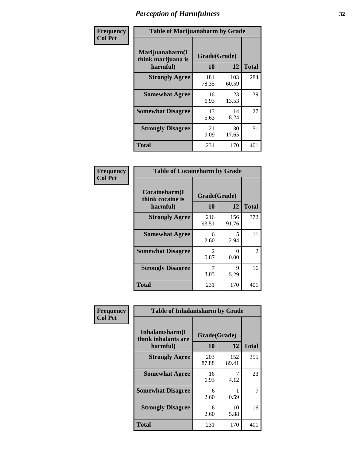| Frequency      |                                                   | <b>Table of Marijuanaharm by Grade</b> |              |              |  |
|----------------|---------------------------------------------------|----------------------------------------|--------------|--------------|--|
| <b>Col Pct</b> | Marijuanaharm(I<br>think marijuana is<br>harmful) | Grade(Grade)<br>10                     | 12           | <b>Total</b> |  |
|                | <b>Strongly Agree</b>                             | 181<br>78.35                           | 103<br>60.59 | 284          |  |
|                | <b>Somewhat Agree</b>                             | 16<br>6.93                             | 23<br>13.53  | 39           |  |
|                | <b>Somewhat Disagree</b>                          | 13<br>5.63                             | 14<br>8.24   | 27           |  |
|                | <b>Strongly Disagree</b>                          | 21<br>9.09                             | 30<br>17.65  | 51           |  |
|                | <b>Total</b>                                      | 231                                    | 170          | 401          |  |

| <b>Table of Cocaineharm by Grade</b>          |                    |              |                |  |  |  |
|-----------------------------------------------|--------------------|--------------|----------------|--|--|--|
| Cocaineharm(I<br>think cocaine is<br>harmful) | Grade(Grade)<br>10 | 12           | <b>Total</b>   |  |  |  |
| <b>Strongly Agree</b>                         | 216<br>93.51       | 156<br>91.76 | 372            |  |  |  |
| <b>Somewhat Agree</b>                         | 6<br>2.60          | 5<br>2.94    | 11             |  |  |  |
| <b>Somewhat Disagree</b>                      | 2<br>0.87          | 0<br>0.00    | $\overline{2}$ |  |  |  |
| <b>Strongly Disagree</b>                      | 7<br>3.03          | 9<br>5.29    | 16             |  |  |  |
| <b>Total</b>                                  | 231                | 170          | 401            |  |  |  |

| Frequency      | <b>Table of Inhalantsharm by Grade</b>             |                    |              |                |
|----------------|----------------------------------------------------|--------------------|--------------|----------------|
| <b>Col Pct</b> | Inhalantsharm(I<br>think inhalants are<br>harmful) | Grade(Grade)<br>10 | 12           | <b>Total</b>   |
|                | <b>Strongly Agree</b>                              | 203<br>87.88       | 152<br>89.41 | 355            |
|                | <b>Somewhat Agree</b>                              | 16<br>6.93         | 4.12         | 23             |
|                | <b>Somewhat Disagree</b>                           | 6<br>2.60          | 0.59         | $\overline{7}$ |
|                | <b>Strongly Disagree</b>                           | 6<br>2.60          | 10<br>5.88   | 16             |
|                | <b>Total</b>                                       | 231                | 170          | 401            |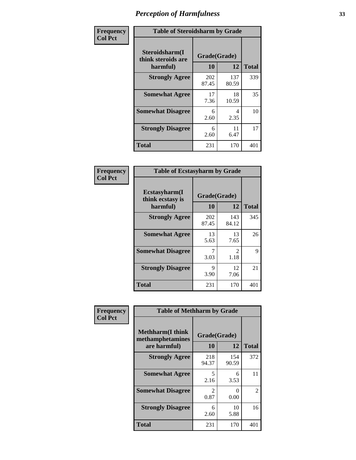| Frequency      | <b>Table of Steroidsharm by Grade</b>            |                    |              |              |
|----------------|--------------------------------------------------|--------------------|--------------|--------------|
| <b>Col Pct</b> | Steroidsharm(I<br>think steroids are<br>harmful) | Grade(Grade)<br>10 | 12           | <b>Total</b> |
|                | <b>Strongly Agree</b>                            | 202<br>87.45       | 137<br>80.59 | 339          |
|                | <b>Somewhat Agree</b>                            | 17<br>7.36         | 18<br>10.59  | 35           |
|                | <b>Somewhat Disagree</b>                         | 6<br>2.60          | 4<br>2.35    | 10           |
|                | <b>Strongly Disagree</b>                         | 6<br>2.60          | 11<br>6.47   | 17           |
|                | <b>Total</b>                                     | 231                | 170          | 401          |

| <b>Table of Ecstasyharm by Grade</b>          |                          |                        |     |  |  |
|-----------------------------------------------|--------------------------|------------------------|-----|--|--|
| Ecstasyharm(I<br>think ecstasy is<br>harmful) | Grade(Grade)<br>10<br>12 |                        |     |  |  |
| <b>Strongly Agree</b>                         | 202<br>87.45             | 143<br>84.12           | 345 |  |  |
| <b>Somewhat Agree</b>                         | 13<br>5.63               | 13<br>7.65             | 26  |  |  |
| <b>Somewhat Disagree</b>                      | 7<br>3.03                | $\mathfrak{D}$<br>1.18 | 9   |  |  |
| <b>Strongly Disagree</b>                      | 9<br>3.90                | 12<br>7.06             | 21  |  |  |
| <b>Total</b>                                  | 231                      | 170                    | 401 |  |  |

| Frequency      | <b>Table of Methharm by Grade</b>                            |                        |              |              |
|----------------|--------------------------------------------------------------|------------------------|--------------|--------------|
| <b>Col Pct</b> | <b>Methharm</b> (I think<br>methamphetamines<br>are harmful) | Grade(Grade)<br>10     | 12           | <b>Total</b> |
|                | <b>Strongly Agree</b>                                        | 218<br>94.37           | 154<br>90.59 | 372          |
|                | <b>Somewhat Agree</b>                                        | 5<br>2.16              | 6<br>3.53    | 11           |
|                | <b>Somewhat Disagree</b>                                     | $\mathfrak{D}$<br>0.87 | 0<br>0.00    | 2            |
|                | <b>Strongly Disagree</b>                                     | 6<br>2.60              | 10<br>5.88   | 16           |
|                | <b>Total</b>                                                 | 231                    | 170          | 401          |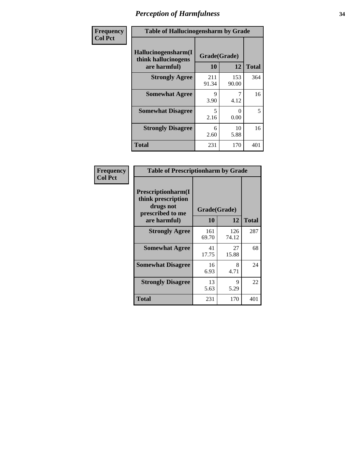| Frequency      | <b>Table of Hallucinogensharm by Grade</b>                 |                    |              |              |
|----------------|------------------------------------------------------------|--------------------|--------------|--------------|
| <b>Col Pct</b> | Hallucinogensharm(I<br>think hallucinogens<br>are harmful) | Grade(Grade)<br>10 | 12           | <b>Total</b> |
|                | <b>Strongly Agree</b>                                      | 211<br>91.34       | 153<br>90.00 | 364          |
|                | <b>Somewhat Agree</b>                                      | 9<br>3.90          | 4.12         | 16           |
|                | <b>Somewhat Disagree</b>                                   | 5<br>2.16          | 0<br>0.00    | 5            |
|                | <b>Strongly Disagree</b>                                   | 6<br>2.60          | 10<br>5.88   | 16           |
|                | <b>Total</b>                                               | 231                | 170          | 401          |

| <b>Table of Prescriptionharm by Grade</b>                                         |              |              |              |  |  |
|-----------------------------------------------------------------------------------|--------------|--------------|--------------|--|--|
| <b>Prescriptionharm(I)</b><br>think prescription<br>drugs not<br>prescribed to me | Grade(Grade) |              |              |  |  |
| are harmful)                                                                      | 10           | 12           | <b>Total</b> |  |  |
| <b>Strongly Agree</b>                                                             | 161<br>69.70 | 126<br>74.12 | 287          |  |  |
| <b>Somewhat Agree</b>                                                             | 41<br>17.75  | 27<br>15.88  | 68           |  |  |
| <b>Somewhat Disagree</b>                                                          | 16<br>6.93   | 8<br>4.71    | 24           |  |  |
| <b>Strongly Disagree</b>                                                          | 13<br>5.63   | 9<br>5.29    | 22           |  |  |
| <b>Total</b>                                                                      | 231          | 170          | 401          |  |  |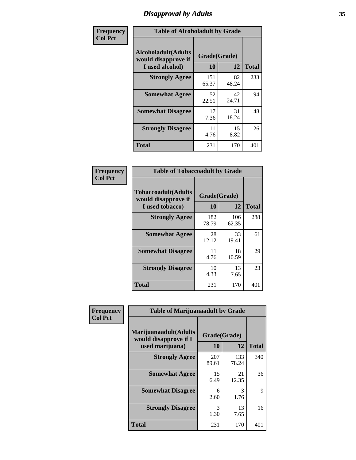# *Disapproval by Adults* **35**

| Frequency      | <b>Table of Alcoholadult by Grade</b>                                 |                    |             |              |
|----------------|-----------------------------------------------------------------------|--------------------|-------------|--------------|
| <b>Col Pct</b> | <b>Alcoholadult</b> (Adults<br>would disapprove if<br>I used alcohol) | Grade(Grade)<br>10 | 12          | <b>Total</b> |
|                | <b>Strongly Agree</b>                                                 | 151<br>65.37       | 82<br>48.24 | 233          |
|                | <b>Somewhat Agree</b>                                                 | 52<br>22.51        | 42<br>24.71 | 94           |
|                | <b>Somewhat Disagree</b>                                              | 17<br>7.36         | 31<br>18.24 | 48           |
|                | <b>Strongly Disagree</b>                                              | 11<br>4.76         | 15<br>8.82  | 26           |
|                | <b>Total</b>                                                          | 231                | 170         | 401          |

| <b>Table of Tobaccoadult by Grade</b>                                 |                    |              |              |  |  |
|-----------------------------------------------------------------------|--------------------|--------------|--------------|--|--|
| <b>Tobaccoadult</b> (Adults<br>would disapprove if<br>I used tobacco) | Grade(Grade)<br>10 | 12           | <b>Total</b> |  |  |
| <b>Strongly Agree</b>                                                 | 182<br>78.79       | 106<br>62.35 | 288          |  |  |
| <b>Somewhat Agree</b>                                                 | 28<br>12.12        | 33<br>19.41  | 61           |  |  |
| <b>Somewhat Disagree</b>                                              | 11<br>4.76         | 18<br>10.59  | 29           |  |  |
| <b>Strongly Disagree</b>                                              | 10<br>4.33         | 13<br>7.65   | 23           |  |  |
| Total                                                                 | 231                | 170          | 401          |  |  |

| Frequency      | <b>Table of Marijuanaadult by Grade</b>                           |                    |              |              |
|----------------|-------------------------------------------------------------------|--------------------|--------------|--------------|
| <b>Col Pct</b> | Marijuanaadult(Adults<br>would disapprove if I<br>used marijuana) | Grade(Grade)<br>10 | 12           | <b>Total</b> |
|                | <b>Strongly Agree</b>                                             | 207<br>89.61       | 133<br>78.24 | 340          |
|                | <b>Somewhat Agree</b>                                             | 15<br>6.49         | 21<br>12.35  | 36           |
|                | <b>Somewhat Disagree</b>                                          | 6<br>2.60          | 3<br>1.76    | 9            |
|                | <b>Strongly Disagree</b>                                          | 3<br>1.30          | 13<br>7.65   | 16           |
|                | <b>Total</b>                                                      | 231                | 170          | 401          |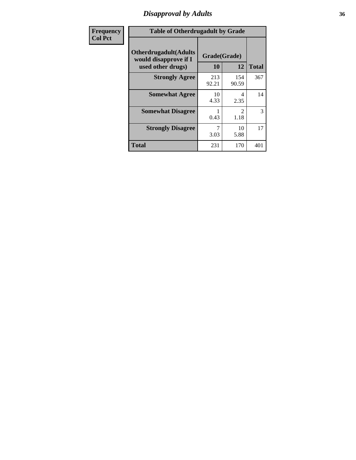# *Disapproval by Adults* **36**

| Frequency      |                                                                             | <b>Table of Otherdrugadult by Grade</b> |              |              |  |
|----------------|-----------------------------------------------------------------------------|-----------------------------------------|--------------|--------------|--|
| <b>Col Pct</b> | <b>Otherdrugadult</b> (Adults<br>would disapprove if I<br>used other drugs) | Grade(Grade)<br>10                      | 12           | <b>Total</b> |  |
|                | <b>Strongly Agree</b>                                                       | 213<br>92.21                            | 154<br>90.59 | 367          |  |
|                | <b>Somewhat Agree</b>                                                       | 10<br>4.33                              | 4<br>2.35    | 14           |  |
|                | <b>Somewhat Disagree</b>                                                    | 0.43                                    | 2<br>1.18    | 3            |  |
|                | <b>Strongly Disagree</b>                                                    | 7<br>3.03                               | 10<br>5.88   | 17           |  |
|                | <b>Total</b>                                                                | 231                                     | 170          | 401          |  |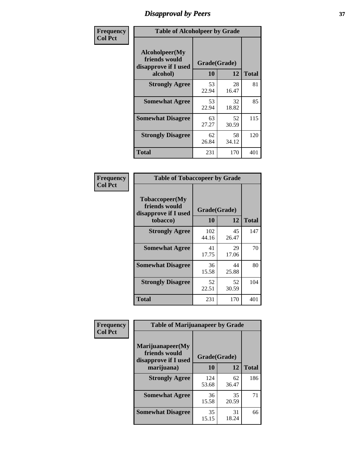# *Disapproval by Peers* **37**

| Frequency      | <b>Table of Alcoholpeer by Grade</b>                    |              |             |              |  |
|----------------|---------------------------------------------------------|--------------|-------------|--------------|--|
| <b>Col Pct</b> | Alcoholpeer(My<br>friends would<br>disapprove if I used | Grade(Grade) |             |              |  |
|                | alcohol)                                                | 10           | 12          | <b>Total</b> |  |
|                | <b>Strongly Agree</b>                                   | 53<br>22.94  | 28<br>16.47 | 81           |  |
|                | <b>Somewhat Agree</b>                                   | 53<br>22.94  | 32<br>18.82 | 85           |  |
|                | <b>Somewhat Disagree</b>                                | 63<br>27.27  | 52<br>30.59 | 115          |  |
|                | <b>Strongly Disagree</b>                                | 62<br>26.84  | 58<br>34.12 | 120          |  |
|                | Total                                                   | 231          | 170         | 401          |  |

| Frequency      | <b>Table of Tobaccopeer by Grade</b>                                |                    |             |              |
|----------------|---------------------------------------------------------------------|--------------------|-------------|--------------|
| <b>Col Pct</b> | Tobaccopeer(My<br>friends would<br>disapprove if I used<br>tobacco) | Grade(Grade)<br>10 | 12          | <b>Total</b> |
|                | <b>Strongly Agree</b>                                               | 102<br>44.16       | 45<br>26.47 | 147          |
|                | <b>Somewhat Agree</b>                                               | 41<br>17.75        | 29<br>17.06 | 70           |
|                | <b>Somewhat Disagree</b>                                            | 36<br>15.58        | 44<br>25.88 | 80           |
|                | <b>Strongly Disagree</b>                                            | 52<br>22.51        | 52<br>30.59 | 104          |
|                | Total                                                               | 231                | 170         | 401          |

| Frequency      | <b>Table of Marijuanapeer by Grade</b> |              |             |              |
|----------------|----------------------------------------|--------------|-------------|--------------|
| <b>Col Pct</b> | Marijuanapeer(My<br>friends would      | Grade(Grade) |             |              |
|                | disapprove if I used<br>marijuana)     | 10           | 12          | <b>Total</b> |
|                | <b>Strongly Agree</b>                  | 124<br>53.68 | 62<br>36.47 | 186          |
|                | <b>Somewhat Agree</b>                  | 36<br>15.58  | 35<br>20.59 | 71           |
|                | <b>Somewhat Disagree</b>               | 35<br>15.15  | 31<br>18.24 | 66           |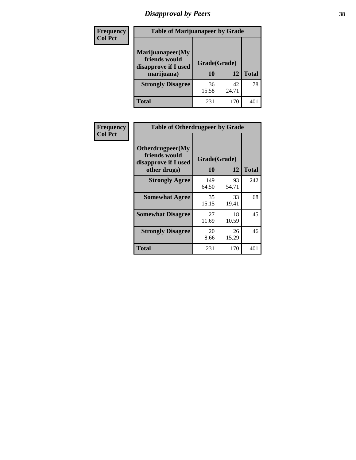# *Disapproval by Peers* **38**

| Frequency<br><b>Col Pct</b> | <b>Table of Marijuanapeer by Grade</b>                                  |                    |             |              |
|-----------------------------|-------------------------------------------------------------------------|--------------------|-------------|--------------|
|                             | Marijuanapeer(My<br>friends would<br>disapprove if I used<br>marijuana) | Grade(Grade)<br>10 | 12          | <b>Total</b> |
|                             | <b>Strongly Disagree</b>                                                | 36<br>15.58        | 42<br>24.71 | 78           |
|                             | Total                                                                   | 231                | 170         | 401          |

| <b>Frequency</b> | <b>Table of Otherdrugpeer by Grade</b>                                    |                           |             |              |
|------------------|---------------------------------------------------------------------------|---------------------------|-------------|--------------|
| <b>Col Pct</b>   | Otherdrugpeer(My<br>friends would<br>disapprove if I used<br>other drugs) | Grade(Grade)<br><b>10</b> | 12          | <b>Total</b> |
|                  |                                                                           |                           |             |              |
|                  | <b>Strongly Agree</b>                                                     | 149<br>64.50              | 93<br>54.71 | 242          |
|                  | <b>Somewhat Agree</b>                                                     | 35<br>15.15               | 33<br>19.41 | 68           |
|                  | <b>Somewhat Disagree</b>                                                  | 27<br>11.69               | 18<br>10.59 | 45           |
|                  | <b>Strongly Disagree</b>                                                  | 20<br>8.66                | 26<br>15.29 | 46           |
|                  | <b>Total</b>                                                              | 231                       | 170         | 401          |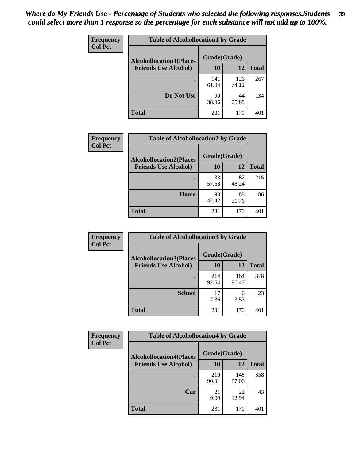| Frequency      | <b>Table of Alcohollocation1 by Grade</b> |              |              |              |
|----------------|-------------------------------------------|--------------|--------------|--------------|
| <b>Col Pct</b> | <b>Alcohollocation1(Places</b>            | Grade(Grade) |              |              |
|                | <b>Friends Use Alcohol)</b>               | 10           | 12           | <b>Total</b> |
|                |                                           | 141<br>61.04 | 126<br>74.12 | 267          |
|                | Do Not Use                                | 90<br>38.96  | 44<br>25.88  | 134          |
|                | <b>Total</b>                              | 231          | 170          | 401          |

| <b>Frequency</b> | <b>Table of Alcohollocation2 by Grade</b>                     |                    |             |              |
|------------------|---------------------------------------------------------------|--------------------|-------------|--------------|
| <b>Col Pct</b>   | <b>Alcohollocation2(Places</b><br><b>Friends Use Alcohol)</b> | Grade(Grade)<br>10 | 12          | <b>Total</b> |
|                  |                                                               | 133<br>57.58       | 82<br>48.24 | 215          |
|                  | Home                                                          | 98<br>42.42        | 88<br>51.76 | 186          |
|                  | <b>Total</b>                                                  | 231                | 170         | 401          |

| Frequency<br><b>Col Pct</b> | <b>Table of Alcohollocation 3 by Grade</b> |                    |              |              |  |
|-----------------------------|--------------------------------------------|--------------------|--------------|--------------|--|
|                             | <b>Alcohollocation3(Places</b>             | Grade(Grade)<br>10 |              |              |  |
|                             | <b>Friends Use Alcohol)</b>                |                    | 12           | <b>Total</b> |  |
|                             |                                            | 214<br>92.64       | 164<br>96.47 | 378          |  |
|                             | <b>School</b>                              | 17<br>7.36         | 6<br>3.53    | 23           |  |
|                             | <b>Total</b>                               | 231                | 170          | 401          |  |

| <b>Frequency</b> | <b>Table of Alcohollocation4 by Grade</b> |              |              |              |  |
|------------------|-------------------------------------------|--------------|--------------|--------------|--|
| <b>Col Pct</b>   | <b>Alcohollocation4(Places</b>            | Grade(Grade) |              |              |  |
|                  | <b>Friends Use Alcohol)</b>               | 10           | 12           | <b>Total</b> |  |
|                  |                                           | 210<br>90.91 | 148<br>87.06 | 358          |  |
|                  | Car                                       | 21<br>9.09   | 22<br>12.94  | 43           |  |
|                  | <b>Total</b>                              | 231          | 170          | 401          |  |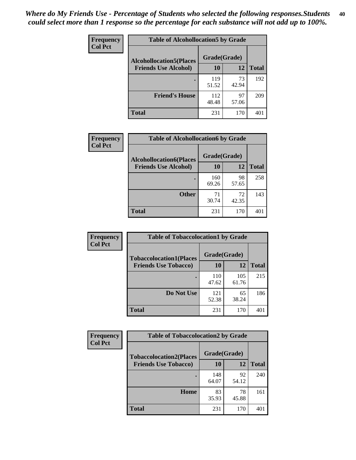| <b>Frequency</b><br><b>Col Pct</b> | <b>Table of Alcohollocation5 by Grade</b>      |              |             |              |  |
|------------------------------------|------------------------------------------------|--------------|-------------|--------------|--|
|                                    | Grade(Grade)<br><b>Alcohollocation5(Places</b> |              |             |              |  |
|                                    | <b>Friends Use Alcohol)</b>                    | 10           | 12          | <b>Total</b> |  |
|                                    |                                                | 119<br>51.52 | 73<br>42.94 | 192          |  |
|                                    | <b>Friend's House</b>                          | 112<br>48.48 | 97<br>57.06 | 209          |  |
|                                    | <b>Total</b>                                   | 231          | 170         | 401          |  |

| Frequency      | <b>Table of Alcohollocation6 by Grade</b>                     |                           |             |              |
|----------------|---------------------------------------------------------------|---------------------------|-------------|--------------|
| <b>Col Pct</b> | <b>Alcohollocation6(Places</b><br><b>Friends Use Alcohol)</b> | Grade(Grade)<br><b>10</b> | <b>12</b>   | <b>Total</b> |
|                |                                                               | 160<br>69.26              | 98<br>57.65 | 258          |
|                | <b>Other</b>                                                  | 71<br>30.74               | 72<br>42.35 | 143          |
|                | <b>Total</b>                                                  | 231                       | 170         | 401          |

| <b>Frequency</b> | <b>Table of Tobaccolocation1 by Grade</b> |              |              |              |
|------------------|-------------------------------------------|--------------|--------------|--------------|
| <b>Col Pct</b>   | <b>Tobaccolocation1(Places</b>            | Grade(Grade) |              |              |
|                  | <b>Friends Use Tobacco)</b>               | 10           | 12           | <b>Total</b> |
|                  |                                           | 110<br>47.62 | 105<br>61.76 | 215          |
|                  | Do Not Use                                | 121<br>52.38 | 65<br>38.24  | 186          |
|                  | <b>Total</b>                              | 231          | 170          | 401          |

| Frequency      | <b>Table of Tobaccolocation2 by Grade</b> |              |             |              |  |
|----------------|-------------------------------------------|--------------|-------------|--------------|--|
| <b>Col Pct</b> | <b>Tobaccolocation2(Places</b>            | Grade(Grade) |             |              |  |
|                | <b>Friends Use Tobacco)</b>               | 10           | 12          | <b>Total</b> |  |
|                |                                           | 148<br>64.07 | 92<br>54.12 | 240          |  |
|                | Home                                      | 83<br>35.93  | 78<br>45.88 | 161          |  |
|                | <b>Total</b>                              | 231          | 170         | 401          |  |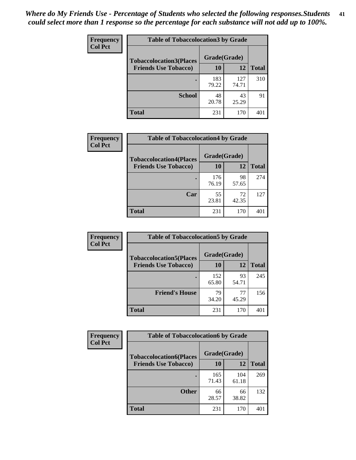| Frequency      | <b>Table of Tobaccolocation 3 by Grade</b> |              |              |              |  |
|----------------|--------------------------------------------|--------------|--------------|--------------|--|
| <b>Col Pct</b> | <b>Tobaccolocation3(Places</b>             | Grade(Grade) |              |              |  |
|                | <b>Friends Use Tobacco)</b>                | 10           | 12           | <b>Total</b> |  |
|                |                                            | 183<br>79.22 | 127<br>74.71 | 310          |  |
|                | <b>School</b>                              | 48<br>20.78  | 43<br>25.29  | 91           |  |
|                | <b>Total</b>                               | 231          | 170          | 401          |  |

| Frequency      | <b>Table of Tobaccolocation4 by Grade</b> |              |             |              |
|----------------|-------------------------------------------|--------------|-------------|--------------|
| <b>Col Pct</b> | <b>Tobaccolocation4(Places</b>            | Grade(Grade) |             |              |
|                | <b>Friends Use Tobacco)</b>               | 10           | 12          | <b>Total</b> |
|                |                                           | 176<br>76.19 | 98<br>57.65 | 274          |
|                | Car                                       | 55<br>23.81  | 72<br>42.35 | 127          |
|                | <b>Total</b>                              | 231          | 170         | 401          |

| Frequency      | <b>Table of Tobaccolocation5 by Grade</b> |              |             |              |
|----------------|-------------------------------------------|--------------|-------------|--------------|
| <b>Col Pct</b> | <b>Tobaccolocation5(Places</b>            | Grade(Grade) |             |              |
|                | <b>Friends Use Tobacco)</b>               | 10           | 12          | <b>Total</b> |
|                |                                           | 152<br>65.80 | 93<br>54.71 | 245          |
|                | <b>Friend's House</b>                     | 79<br>34.20  | 77<br>45.29 | 156          |
|                | <b>Total</b>                              | 231          | 170         | 401          |

| <b>Frequency</b> | <b>Table of Tobaccolocation6 by Grade</b> |              |              |              |  |
|------------------|-------------------------------------------|--------------|--------------|--------------|--|
| <b>Col Pct</b>   | <b>Tobaccolocation6(Places</b>            | Grade(Grade) |              |              |  |
|                  | <b>Friends Use Tobacco)</b>               | 10           | 12           | <b>Total</b> |  |
|                  |                                           | 165<br>71.43 | 104<br>61.18 | 269          |  |
|                  | <b>Other</b>                              | 66<br>28.57  | 66<br>38.82  | 132          |  |
|                  | <b>Total</b>                              | 231          | 170          | 401          |  |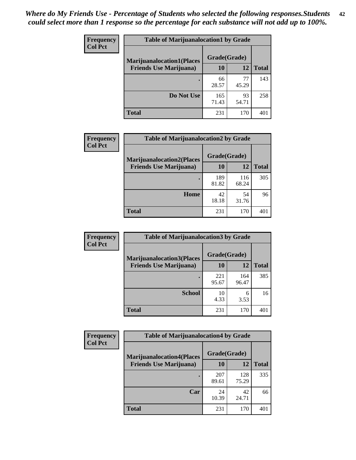| <b>Frequency</b> | <b>Table of Marijuanalocation1 by Grade</b> |              |             |              |
|------------------|---------------------------------------------|--------------|-------------|--------------|
| <b>Col Pct</b>   | <b>Marijuanalocation1(Places</b>            | Grade(Grade) |             |              |
|                  | <b>Friends Use Marijuana</b> )              | 10           | 12          | <b>Total</b> |
|                  |                                             | 66<br>28.57  | 77<br>45.29 | 143          |
|                  | Do Not Use                                  | 165<br>71.43 | 93<br>54.71 | 258          |
|                  | <b>Total</b>                                | 231          | 170         | 40           |

| <b>Frequency</b> | <b>Table of Marijuanalocation2 by Grade</b>                        |                    |              |              |
|------------------|--------------------------------------------------------------------|--------------------|--------------|--------------|
| <b>Col Pct</b>   | <b>Marijuanalocation2(Places</b><br><b>Friends Use Marijuana</b> ) | Grade(Grade)<br>10 | 12           | <b>Total</b> |
|                  |                                                                    | 189<br>81.82       | 116<br>68.24 | 305          |
|                  | Home                                                               | 42<br>18.18        | 54<br>31.76  | 96           |
|                  | <b>Total</b>                                                       | 231                | 170          | 401          |

| <b>Frequency</b> | <b>Table of Marijuanalocation3 by Grade</b> |              |              |              |
|------------------|---------------------------------------------|--------------|--------------|--------------|
| <b>Col Pct</b>   | <b>Marijuanalocation3(Places</b>            | Grade(Grade) |              |              |
|                  | <b>Friends Use Marijuana</b> )              | 10           | 12           | <b>Total</b> |
|                  |                                             | 221<br>95.67 | 164<br>96.47 | 385          |
|                  | <b>School</b>                               | 10<br>4.33   | 6<br>3.53    | 16           |
|                  | <b>Total</b>                                | 231          | 170          | 40           |

| <b>Frequency</b> | <b>Table of Marijuanalocation4 by Grade</b> |              |              |              |  |
|------------------|---------------------------------------------|--------------|--------------|--------------|--|
| <b>Col Pct</b>   | <b>Marijuanalocation4(Places</b>            | Grade(Grade) |              |              |  |
|                  | <b>Friends Use Marijuana</b> )              | <b>10</b>    | 12           | <b>Total</b> |  |
|                  |                                             | 207<br>89.61 | 128<br>75.29 | 335          |  |
|                  | Car                                         | 24<br>10.39  | 42<br>24.71  | 66           |  |
|                  | <b>Total</b>                                | 231          | 170          | 401          |  |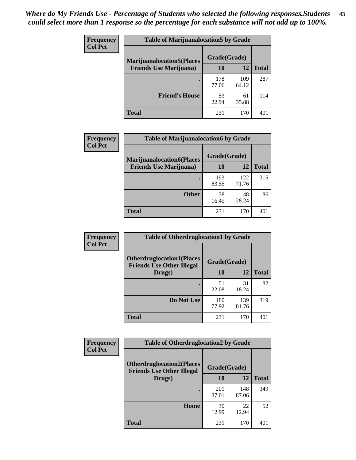| <b>Frequency</b> | <b>Table of Marijuanalocation5 by Grade</b> |              |              |              |
|------------------|---------------------------------------------|--------------|--------------|--------------|
| <b>Col Pct</b>   | <b>Marijuanalocation5</b> (Places           | Grade(Grade) |              |              |
|                  | <b>Friends Use Marijuana</b> )              | 10           | 12           | <b>Total</b> |
|                  |                                             | 178<br>77.06 | 109<br>64.12 | 287          |
|                  | <b>Friend's House</b>                       | 53<br>22.94  | 61<br>35.88  | 114          |
|                  | <b>Total</b>                                | 231          | 170          | 40           |

| <b>Frequency</b> | <b>Table of Marijuanalocation6 by Grade</b>                        |                    |              |              |
|------------------|--------------------------------------------------------------------|--------------------|--------------|--------------|
| <b>Col Pct</b>   | <b>Marijuanalocation6(Places</b><br><b>Friends Use Marijuana</b> ) | Grade(Grade)<br>10 | 12           | <b>Total</b> |
|                  |                                                                    | 193<br>83.55       | 122<br>71.76 | 315          |
|                  | <b>Other</b>                                                       | 38<br>16.45        | 48<br>28.24  | 86           |
|                  | <b>Total</b>                                                       | 231                | 170          | 401          |

| Frequency      | <b>Table of Otherdruglocation1 by Grade</b>                          |              |              |              |
|----------------|----------------------------------------------------------------------|--------------|--------------|--------------|
| <b>Col Pct</b> | <b>Otherdruglocation1(Places</b><br><b>Friends Use Other Illegal</b> | Grade(Grade) |              |              |
|                | Drugs)                                                               | 10           | 12           | <b>Total</b> |
|                |                                                                      | 51<br>22.08  | 31<br>18.24  | 82           |
|                | Do Not Use                                                           | 180<br>77.92 | 139<br>81.76 | 319          |
|                | <b>Total</b>                                                         | 231          | 170          | 401          |

| <b>Frequency</b> | <b>Table of Otherdruglocation2 by Grade</b>                          |              |              |              |
|------------------|----------------------------------------------------------------------|--------------|--------------|--------------|
| <b>Col Pct</b>   | <b>Otherdruglocation2(Places</b><br><b>Friends Use Other Illegal</b> | Grade(Grade) |              |              |
|                  | Drugs)                                                               | 10           | 12           | <b>Total</b> |
|                  |                                                                      | 201<br>87.01 | 148<br>87.06 | 349          |
|                  | <b>Home</b>                                                          | 30<br>12.99  | 22<br>12.94  | 52           |
|                  | <b>Total</b>                                                         | 231          | 170          | 401          |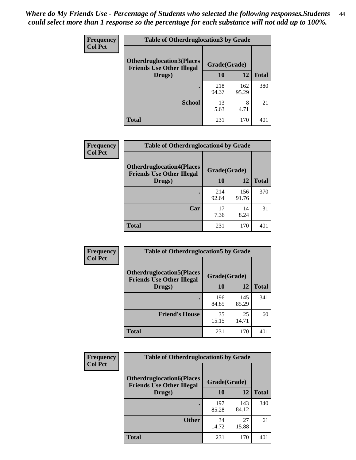| <b>Frequency</b> | <b>Table of Otherdruglocation 3 by Grade</b>                         |              |              |              |
|------------------|----------------------------------------------------------------------|--------------|--------------|--------------|
| <b>Col Pct</b>   | <b>Otherdruglocation3(Places</b><br><b>Friends Use Other Illegal</b> | Grade(Grade) |              |              |
|                  | Drugs)                                                               | 10           | 12           | <b>Total</b> |
|                  |                                                                      | 218<br>94.37 | 162<br>95.29 | 380          |
|                  | <b>School</b>                                                        | 13<br>5.63   | 8<br>4.71    | 21           |
|                  | <b>Total</b>                                                         | 231          | 170          |              |

| <b>Frequency</b><br><b>Col Pct</b> | <b>Table of Otherdruglocation4 by Grade</b>                          |              |              |              |
|------------------------------------|----------------------------------------------------------------------|--------------|--------------|--------------|
|                                    | <b>Otherdruglocation4(Places</b><br><b>Friends Use Other Illegal</b> | Grade(Grade) |              |              |
|                                    | Drugs)                                                               | <b>10</b>    | 12           | <b>Total</b> |
|                                    |                                                                      | 214<br>92.64 | 156<br>91.76 | 370          |
|                                    | Car                                                                  | 17<br>7.36   | 14<br>8.24   | 31           |
|                                    | <b>Total</b>                                                         | 231          | 170          | 401          |

| <b>Frequency</b> | <b>Table of Otherdruglocation5 by Grade</b>                          |              |              |              |
|------------------|----------------------------------------------------------------------|--------------|--------------|--------------|
| <b>Col Pct</b>   | <b>Otherdruglocation5(Places</b><br><b>Friends Use Other Illegal</b> | Grade(Grade) |              |              |
|                  | Drugs)                                                               | <b>10</b>    | 12           | <b>Total</b> |
|                  |                                                                      | 196<br>84.85 | 145<br>85.29 | 341          |
|                  | <b>Friend's House</b>                                                | 35<br>15.15  | 25<br>14.71  | 60           |
|                  | <b>Total</b>                                                         | 231          | 170          | 401          |

| <b>Frequency</b> | <b>Table of Otherdruglocation6 by Grade</b>                           |              |              |              |
|------------------|-----------------------------------------------------------------------|--------------|--------------|--------------|
| <b>Col Pct</b>   | <b>Otherdruglocation6(Places)</b><br><b>Friends Use Other Illegal</b> | Grade(Grade) |              |              |
|                  | Drugs)                                                                | 10           | 12           | <b>Total</b> |
|                  |                                                                       | 197<br>85.28 | 143<br>84.12 | 340          |
|                  | <b>Other</b>                                                          | 34<br>14.72  | 27<br>15.88  | 61           |
|                  | <b>Total</b>                                                          | 231          | 170          | 401          |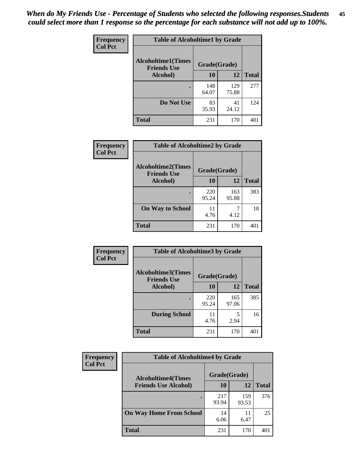| Frequency      | <b>Table of Alcoholtime1 by Grade</b>           |              |              |              |
|----------------|-------------------------------------------------|--------------|--------------|--------------|
| <b>Col Pct</b> | <b>Alcoholtime1(Times</b><br><b>Friends Use</b> | Grade(Grade) |              |              |
|                | Alcohol)                                        | 10           | <b>12</b>    | <b>Total</b> |
|                |                                                 | 148<br>64.07 | 129<br>75.88 | 277          |
|                | Do Not Use                                      | 83<br>35.93  | 41<br>24.12  | 124          |
|                | <b>Total</b>                                    | 231          | 170          | 401          |

| Frequency      | <b>Table of Alcoholtime2 by Grade</b>           |              |              |              |
|----------------|-------------------------------------------------|--------------|--------------|--------------|
| <b>Col Pct</b> | <b>Alcoholtime2(Times</b><br><b>Friends Use</b> | Grade(Grade) |              |              |
|                | Alcohol)                                        | 10           | 12           | <b>Total</b> |
|                |                                                 | 220<br>95.24 | 163<br>95.88 | 383          |
|                | <b>On Way to School</b>                         | 11<br>4.76   | 7<br>4.12    | 18           |
|                | <b>Total</b>                                    | 231          | 170          | 401          |

| Frequency<br><b>Col Pct</b> | <b>Table of Alcoholtime3 by Grade</b>           |              |              |              |  |
|-----------------------------|-------------------------------------------------|--------------|--------------|--------------|--|
|                             | <b>Alcoholtime3(Times</b><br><b>Friends Use</b> | Grade(Grade) |              |              |  |
|                             | Alcohol)                                        | 10           | 12           | <b>Total</b> |  |
|                             |                                                 | 220<br>95.24 | 165<br>97.06 | 385          |  |
|                             | <b>During School</b>                            | 11<br>4.76   | 5<br>2.94    | 16           |  |
|                             | Total                                           | 231          | 170          | 401          |  |

| <b>Frequency</b><br><b>Col Pct</b> | <b>Table of Alcoholtime4 by Grade</b> |              |              |              |
|------------------------------------|---------------------------------------|--------------|--------------|--------------|
|                                    | <b>Alcoholtime4(Times</b>             | Grade(Grade) |              |              |
|                                    | <b>Friends Use Alcohol)</b>           | 10           | 12           | <b>Total</b> |
|                                    |                                       | 217<br>93.94 | 159<br>93.53 | 376          |
|                                    | <b>On Way Home From School</b>        | 14<br>6.06   | 11<br>6.47   | 25           |
|                                    | <b>Total</b>                          | 231          | 170          | 401          |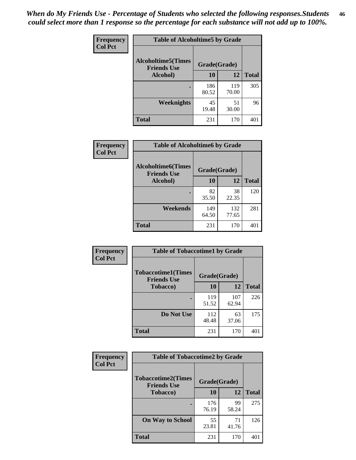*When do My Friends Use - Percentage of Students who selected the following responses.Students could select more than 1 response so the percentage for each substance will not add up to 100%.* **46**

| Frequency      | <b>Table of Alcoholtime5 by Grade</b>            |              |              |              |
|----------------|--------------------------------------------------|--------------|--------------|--------------|
| <b>Col Pct</b> | <b>Alcoholtime5</b> (Times<br><b>Friends Use</b> | Grade(Grade) |              |              |
|                | Alcohol)                                         | 10           | 12           | <b>Total</b> |
|                |                                                  | 186<br>80.52 | 119<br>70.00 | 305          |
|                | Weeknights                                       | 45<br>19.48  | 51<br>30.00  | 96           |
|                | <b>Total</b>                                     | 231          | 170          | 401          |

| Frequency      | <b>Table of Alcoholtime6 by Grade</b>           |              |              |              |
|----------------|-------------------------------------------------|--------------|--------------|--------------|
| <b>Col Pct</b> | <b>Alcoholtime6(Times</b><br><b>Friends Use</b> | Grade(Grade) |              |              |
|                | Alcohol)                                        | 10           | 12           | <b>Total</b> |
|                |                                                 | 82<br>35.50  | 38<br>22.35  | 120          |
|                | Weekends                                        | 149<br>64.50 | 132<br>77.65 | 281          |
|                | <b>Total</b>                                    | 231          | 170          | 401          |

| Frequency<br><b>Col Pct</b> | <b>Table of Tobaccotime1 by Grade</b>                           |              |              |              |
|-----------------------------|-----------------------------------------------------------------|--------------|--------------|--------------|
|                             | <b>Tobaccotime1(Times</b><br>Grade(Grade)<br><b>Friends Use</b> |              |              |              |
|                             | <b>Tobacco</b> )                                                | 10           | 12           | <b>Total</b> |
|                             |                                                                 | 119<br>51.52 | 107<br>62.94 | 226          |
|                             | Do Not Use                                                      | 112<br>48.48 | 63<br>37.06  | 175          |
|                             | <b>Total</b>                                                    | 231          | 170          | 401          |

| <b>Frequency</b> | <b>Table of Tobaccotime2 by Grade</b>           |              |             |              |
|------------------|-------------------------------------------------|--------------|-------------|--------------|
| <b>Col Pct</b>   | <b>Tobaccotime2(Times</b><br><b>Friends Use</b> | Grade(Grade) |             |              |
|                  | <b>Tobacco</b> )                                | 10           | <b>12</b>   | <b>Total</b> |
|                  |                                                 | 176<br>76.19 | 99<br>58.24 | 275          |
|                  | <b>On Way to School</b>                         | 55<br>23.81  | 71<br>41.76 | 126          |
|                  | <b>Total</b>                                    | 231          | 170         | 401          |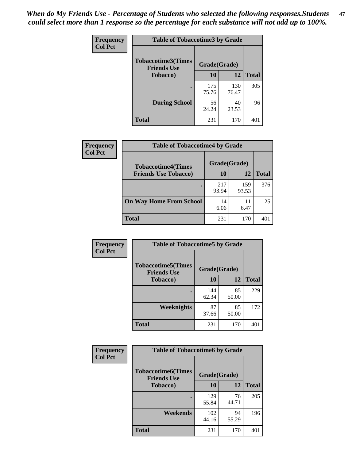*When do My Friends Use - Percentage of Students who selected the following responses.Students could select more than 1 response so the percentage for each substance will not add up to 100%.* **47**

| <b>Frequency</b> | <b>Table of Tobaccotime3 by Grade</b>           |              |              |              |  |
|------------------|-------------------------------------------------|--------------|--------------|--------------|--|
| <b>Col Pct</b>   | <b>Tobaccotime3(Times</b><br><b>Friends Use</b> |              | Grade(Grade) |              |  |
|                  | <b>Tobacco</b> )                                | 10           | 12           | <b>Total</b> |  |
|                  |                                                 | 175<br>75.76 | 130<br>76.47 | 305          |  |
|                  | <b>During School</b>                            | 56<br>24.24  | 40<br>23.53  | 96           |  |
|                  | <b>Total</b>                                    | 231          | 170          | 401          |  |

| Frequency<br><b>Col Pct</b> | <b>Table of Tobaccotime4 by Grade</b> |              |              |              |
|-----------------------------|---------------------------------------|--------------|--------------|--------------|
|                             | <b>Tobaccotime4(Times</b>             | Grade(Grade) |              |              |
|                             | <b>Friends Use Tobacco)</b>           | 10           | 12           | <b>Total</b> |
|                             |                                       | 217<br>93.94 | 159<br>93.53 | 376          |
|                             | <b>On Way Home From School</b>        | 14<br>6.06   | 11<br>6.47   | 25           |
|                             | Total                                 | 231          | 170          | 40           |

| Frequency      | <b>Table of Tobaccotime5 by Grade</b>            |              |             |              |
|----------------|--------------------------------------------------|--------------|-------------|--------------|
| <b>Col Pct</b> | <b>Tobaccotime5</b> (Times<br><b>Friends Use</b> | Grade(Grade) |             |              |
|                | <b>Tobacco</b> )                                 | 10           | 12          | <b>Total</b> |
|                |                                                  | 144<br>62.34 | 85<br>50.00 | 229          |
|                | Weeknights                                       | 87<br>37.66  | 85<br>50.00 | 172          |
|                | <b>Total</b>                                     | 231          | 170         | 401          |

| Frequency<br><b>Col Pct</b> | <b>Table of Tobaccotime6 by Grade</b>                           |              |             |              |  |
|-----------------------------|-----------------------------------------------------------------|--------------|-------------|--------------|--|
|                             | <b>Tobaccotime6(Times</b><br>Grade(Grade)<br><b>Friends Use</b> |              |             |              |  |
|                             | <b>Tobacco</b> )                                                | 10           | 12          | <b>Total</b> |  |
|                             |                                                                 | 129<br>55.84 | 76<br>44.71 | 205          |  |
|                             | Weekends                                                        | 102<br>44.16 | 94<br>55.29 | 196          |  |
|                             | <b>Total</b>                                                    | 231          | 170         | 401          |  |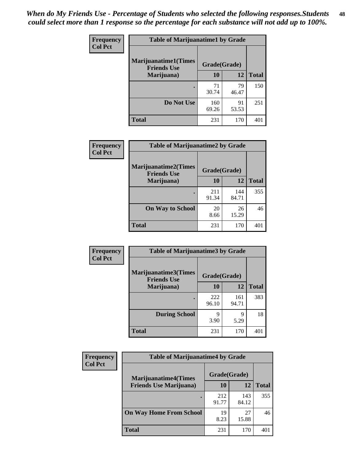| Frequency      | <b>Table of Marijuanatime1 by Grade</b>           |              |             |              |
|----------------|---------------------------------------------------|--------------|-------------|--------------|
| <b>Col Pct</b> | <b>Marijuanatime1(Times</b><br><b>Friends Use</b> | Grade(Grade) |             |              |
|                | Marijuana)                                        | 10           | 12          | <b>Total</b> |
|                |                                                   | 71<br>30.74  | 79<br>46.47 | 150          |
|                | Do Not Use                                        | 160<br>69.26 | 91<br>53.53 | 251          |
|                | <b>Total</b>                                      | 231          | 170         | 401          |

| Frequency      | <b>Table of Marijuanatime2 by Grade</b>           |              |              |              |
|----------------|---------------------------------------------------|--------------|--------------|--------------|
| <b>Col Pct</b> | <b>Marijuanatime2(Times</b><br><b>Friends Use</b> | Grade(Grade) |              |              |
|                | Marijuana)                                        | 10           | 12           | <b>Total</b> |
|                |                                                   | 211<br>91.34 | 144<br>84.71 | 355          |
|                | <b>On Way to School</b>                           | 20<br>8.66   | 26<br>15.29  | 46           |
|                | <b>Total</b>                                      | 231          | 170          | 401          |

| Frequency      | <b>Table of Marijuanatime3 by Grade</b>    |              |              |              |
|----------------|--------------------------------------------|--------------|--------------|--------------|
| <b>Col Pct</b> | Marijuanatime3(Times<br><b>Friends Use</b> | Grade(Grade) |              |              |
|                | Marijuana)                                 | 10           | 12           | <b>Total</b> |
|                |                                            | 222<br>96.10 | 161<br>94.71 | 383          |
|                | <b>During School</b>                       | Q<br>3.90    | q<br>5.29    | 18           |
|                | <b>Total</b>                               | 231          | 170          | 401          |

| <b>Frequency</b> | <b>Table of Marijuanatime4 by Grade</b> |              |              |              |
|------------------|-----------------------------------------|--------------|--------------|--------------|
| <b>Col Pct</b>   | <b>Marijuanatime4</b> (Times            | Grade(Grade) |              |              |
|                  | <b>Friends Use Marijuana</b> )          | 10           | 12           | <b>Total</b> |
|                  |                                         | 212<br>91.77 | 143<br>84.12 | 355          |
|                  | <b>On Way Home From School</b>          | 19<br>8.23   | 27<br>15.88  | 46           |
|                  | <b>Total</b>                            | 231          | 170          | 401          |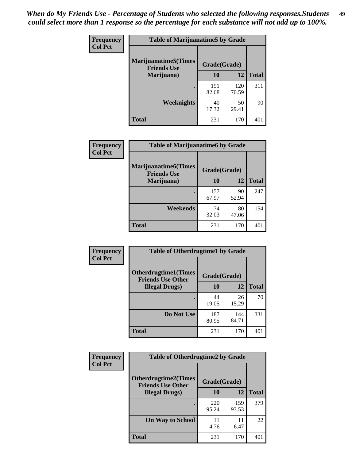| Frequency      | <b>Table of Marijuanatime5 by Grade</b>            |              |              |              |
|----------------|----------------------------------------------------|--------------|--------------|--------------|
| <b>Col Pct</b> | <b>Marijuanatime5</b> (Times<br><b>Friends Use</b> | Grade(Grade) |              |              |
|                | Marijuana)                                         | 10           | 12           | <b>Total</b> |
|                |                                                    | 191<br>82.68 | 120<br>70.59 | 311          |
|                | Weeknights                                         | 40<br>17.32  | 50<br>29.41  | 90           |
|                | <b>Total</b>                                       | 231          | 170          | 401          |

| Frequency      |                                            | <b>Table of Marijuanatime6 by Grade</b> |             |              |
|----------------|--------------------------------------------|-----------------------------------------|-------------|--------------|
| <b>Col Pct</b> | Marijuanatime6(Times<br><b>Friends Use</b> | Grade(Grade)                            |             |              |
|                | Marijuana)                                 | 10                                      | 12          | <b>Total</b> |
|                |                                            | 157<br>67.97                            | 90<br>52.94 | 247          |
|                | Weekends                                   | 74<br>32.03                             | 80<br>47.06 | 154          |
|                | <b>Total</b>                               | 231                                     | 170         | 401          |

| Frequency      | <b>Table of Otherdrugtime1 by Grade</b>                 |              |              |              |
|----------------|---------------------------------------------------------|--------------|--------------|--------------|
| <b>Col Pct</b> | <b>Otherdrugtime1(Times</b><br><b>Friends Use Other</b> | Grade(Grade) |              |              |
|                | <b>Illegal Drugs)</b>                                   | 10           | 12           | <b>Total</b> |
|                |                                                         | 44<br>19.05  | 26<br>15.29  | 70           |
|                | Do Not Use                                              | 187<br>80.95 | 144<br>84.71 | 331          |
|                | Total                                                   | 231          | 170          | 401          |

| Frequency      | <b>Table of Otherdrugtime2 by Grade</b>                 |              |              |              |  |  |  |
|----------------|---------------------------------------------------------|--------------|--------------|--------------|--|--|--|
| <b>Col Pct</b> | <b>Otherdrugtime2(Times</b><br><b>Friends Use Other</b> | Grade(Grade) |              |              |  |  |  |
|                | <b>Illegal Drugs</b> )                                  | 10           | 12           | <b>Total</b> |  |  |  |
|                |                                                         | 220<br>95.24 | 159<br>93.53 | 379          |  |  |  |
|                | <b>On Way to School</b>                                 | 11<br>4.76   | 11<br>6.47   | 22           |  |  |  |
|                | Total                                                   | 231          | 170          | 401          |  |  |  |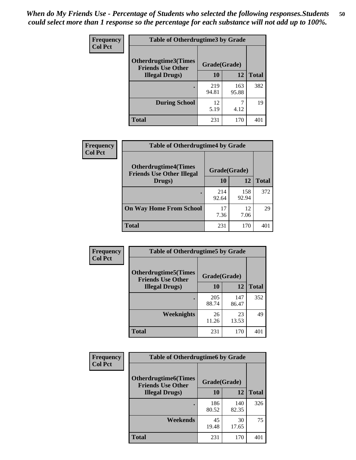| <b>Frequency</b> | <b>Table of Otherdrugtime3 by Grade</b>          |              |              |              |  |  |  |
|------------------|--------------------------------------------------|--------------|--------------|--------------|--|--|--|
| <b>Col Pct</b>   | Otherdrugtime3(Times<br><b>Friends Use Other</b> | Grade(Grade) |              |              |  |  |  |
|                  | <b>Illegal Drugs</b> )                           | 10           | 12           | <b>Total</b> |  |  |  |
|                  |                                                  | 219<br>94.81 | 163<br>95.88 | 382          |  |  |  |
|                  | <b>During School</b>                             | 12<br>5.19   | 7<br>4.12    | 19           |  |  |  |
|                  | Total                                            | 231          | 170          | 401          |  |  |  |

| <b>Frequency</b> | <b>Table of Otherdrugtime4 by Grade</b>                         |              |              |              |  |  |
|------------------|-----------------------------------------------------------------|--------------|--------------|--------------|--|--|
| <b>Col Pct</b>   | <b>Otherdrugtime4(Times</b><br><b>Friends Use Other Illegal</b> | Grade(Grade) |              |              |  |  |
|                  | Drugs)                                                          | 10           | 12           | <b>Total</b> |  |  |
|                  | $\bullet$                                                       | 214<br>92.64 | 158<br>92.94 | 372          |  |  |
|                  | <b>On Way Home From School</b>                                  | 17<br>7.36   | 12<br>7.06   | 29           |  |  |
|                  | <b>Total</b>                                                    | 231          | 170          | 401          |  |  |

| <b>Frequency</b> | <b>Table of Otherdrugtime5 by Grade</b>                  |              |              |              |  |  |  |
|------------------|----------------------------------------------------------|--------------|--------------|--------------|--|--|--|
| <b>Col Pct</b>   | <b>Otherdrugtime5</b> (Times<br><b>Friends Use Other</b> | Grade(Grade) |              |              |  |  |  |
|                  | <b>Illegal Drugs</b> )                                   | 10           | 12           | <b>Total</b> |  |  |  |
|                  |                                                          | 205<br>88.74 | 147<br>86.47 | 352          |  |  |  |
|                  | Weeknights                                               | 26<br>11.26  | 23<br>13.53  | 49           |  |  |  |
|                  | Total                                                    | 231          | 170          | 401          |  |  |  |

| <b>Frequency</b><br><b>Col Pct</b> | <b>Table of Otherdrugtime6 by Grade</b>                 |              |              |              |  |  |
|------------------------------------|---------------------------------------------------------|--------------|--------------|--------------|--|--|
|                                    | <b>Otherdrugtime6(Times</b><br><b>Friends Use Other</b> | Grade(Grade) |              |              |  |  |
|                                    | <b>Illegal Drugs</b> )                                  | 10           | 12           | <b>Total</b> |  |  |
|                                    |                                                         | 186<br>80.52 | 140<br>82.35 | 326          |  |  |
|                                    | Weekends                                                | 45<br>19.48  | 30<br>17.65  | 75           |  |  |
|                                    | <b>Total</b>                                            | 231          | 170          | 401          |  |  |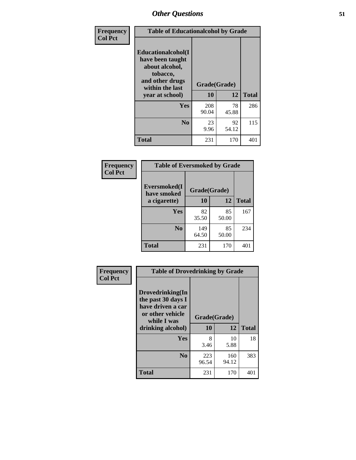| Frequency      | <b>Table of Educationalcohol by Grade</b>                                                                  |              |             |              |  |
|----------------|------------------------------------------------------------------------------------------------------------|--------------|-------------|--------------|--|
| <b>Col Pct</b> | Educationalcohol(I<br>have been taught<br>about alcohol,<br>tobacco,<br>and other drugs<br>within the last | Grade(Grade) |             |              |  |
|                | year at school)                                                                                            | 10           | 12          | <b>Total</b> |  |
|                | <b>Yes</b>                                                                                                 | 208<br>90.04 | 78<br>45.88 | 286          |  |
|                | N <sub>0</sub>                                                                                             | 23<br>9.96   | 92<br>54.12 | 115          |  |
|                | <b>Total</b>                                                                                               | 231          | 170         | 401          |  |

| Frequency      | <b>Table of Eversmoked by Grade</b> |              |             |              |  |  |
|----------------|-------------------------------------|--------------|-------------|--------------|--|--|
| <b>Col Pct</b> | Eversmoked(I<br>have smoked         | Grade(Grade) |             |              |  |  |
|                | a cigarette)                        | 10           | 12          | <b>Total</b> |  |  |
|                | Yes                                 | 82<br>35.50  | 85<br>50.00 | 167          |  |  |
|                | N <sub>0</sub>                      | 149<br>64.50 | 85<br>50.00 | 234          |  |  |
|                | Total                               | 231          | 170         | 401          |  |  |

| Frequency      | <b>Table of Drovedrinking by Grade</b>                                                                              |                    |              |              |  |  |
|----------------|---------------------------------------------------------------------------------------------------------------------|--------------------|--------------|--------------|--|--|
| <b>Col Pct</b> | Drovedrinking(In<br>the past 30 days I<br>have driven a car<br>or other vehicle<br>while I was<br>drinking alcohol) | Grade(Grade)<br>10 | 12           | <b>Total</b> |  |  |
|                | <b>Yes</b>                                                                                                          | 8<br>3.46          | 10<br>5.88   | 18           |  |  |
|                | N <sub>0</sub>                                                                                                      | 223<br>96.54       | 160<br>94.12 | 383          |  |  |
|                | <b>Total</b>                                                                                                        | 231                | 170          | 401          |  |  |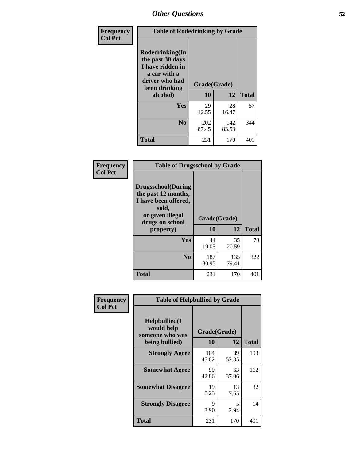| Frequency      | <b>Table of Rodedrinking by Grade</b>                                                                                  |                    |              |     |  |  |
|----------------|------------------------------------------------------------------------------------------------------------------------|--------------------|--------------|-----|--|--|
| <b>Col Pct</b> | Rodedrinking(In<br>the past 30 days<br>I have ridden in<br>a car with a<br>driver who had<br>been drinking<br>alcohol) | Grade(Grade)<br>10 | <b>Total</b> |     |  |  |
|                |                                                                                                                        |                    | 12           |     |  |  |
|                | <b>Yes</b>                                                                                                             | 29<br>12.55        | 28<br>16.47  | 57  |  |  |
|                | N <sub>0</sub>                                                                                                         | 202<br>87.45       | 142<br>83.53 | 344 |  |  |
|                | <b>Total</b>                                                                                                           | 231                | 170          | 401 |  |  |

#### **Frequency Col Pct**

| <b>Table of Drugsschool by Grade</b>                                                                                      |              |              |              |  |  |  |
|---------------------------------------------------------------------------------------------------------------------------|--------------|--------------|--------------|--|--|--|
| <b>Drugsschool</b> (During<br>the past 12 months,<br>I have been offered,<br>sold,<br>or given illegal<br>drugs on school | Grade(Grade) |              |              |  |  |  |
| property)                                                                                                                 | 10           | 12           | <b>Total</b> |  |  |  |
| Yes                                                                                                                       | 44<br>19.05  | 35<br>20.59  | 79           |  |  |  |
| N <sub>0</sub>                                                                                                            | 187<br>80.95 | 135<br>79.41 | 322          |  |  |  |
| <b>Total</b>                                                                                                              | 231          | 170          | 401          |  |  |  |

| Frequency      | <b>Table of Helpbullied by Grade</b>           |              |             |              |  |  |  |
|----------------|------------------------------------------------|--------------|-------------|--------------|--|--|--|
| <b>Col Pct</b> | Helpbullied(I<br>would help<br>someone who was | Grade(Grade) |             |              |  |  |  |
|                | being bullied)                                 | 10           | 12          | <b>Total</b> |  |  |  |
|                | <b>Strongly Agree</b>                          | 104<br>45.02 | 89<br>52.35 | 193          |  |  |  |
|                | <b>Somewhat Agree</b>                          | 99<br>42.86  | 63<br>37.06 | 162          |  |  |  |
|                | <b>Somewhat Disagree</b>                       | 19<br>8.23   | 13<br>7.65  | 32           |  |  |  |
|                | <b>Strongly Disagree</b>                       | 9<br>3.90    | 5<br>2.94   | 14           |  |  |  |
|                | <b>Total</b>                                   | 231          | 170         | 401          |  |  |  |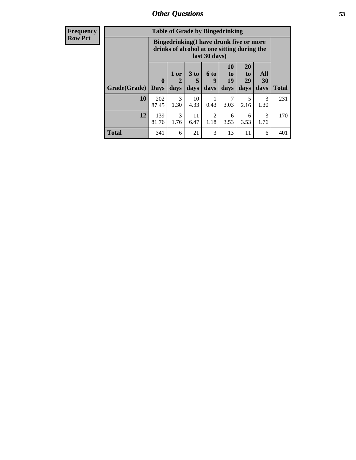1.30

3 1.76 4.33

11 6.47

**Total** 341 6 21 3 13 11 6 401

0.43

2 1.18 3.03

6 3.53

| <b>Frequency</b> | <b>Table of Grade by Bingedrinking</b> |                                                                                                                 |      |      |             |                    |                 |                |
|------------------|----------------------------------------|-----------------------------------------------------------------------------------------------------------------|------|------|-------------|--------------------|-----------------|----------------|
| <b>Row Pct</b>   |                                        | <b>Bingedrinking</b> (I have drunk five or more<br>drinks of alcohol at one sitting during the<br>last 30 days) |      |      |             |                    |                 |                |
|                  |                                        |                                                                                                                 | 1 or | 3 to | <b>6 to</b> | 10<br>$\mathbf{t}$ | <b>20</b><br>to | <b>All</b>     |
|                  |                                        |                                                                                                                 | 2    |      |             | 19                 | 29              | 3 <sub>0</sub> |
|                  | <b>Grade</b> (Grade) Days              |                                                                                                                 | days | days | days        | days               | days            | days           |
|                  | 10                                     | 202                                                                                                             | 3    | 10   |             |                    | 5               | Ê              |

87.45

**12** 139 81.76 **Total**

231

170

5 2.16

6 3.53

**All 30 days**

> 3 1.30

3 1.76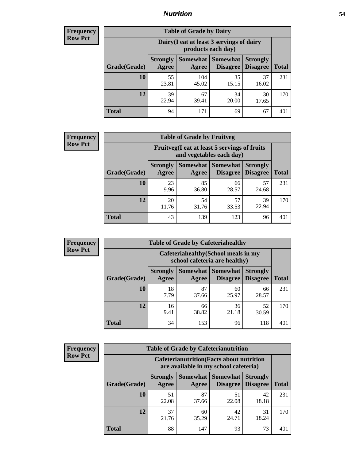### *Nutrition* **54**

| <b>Frequency</b><br>Row Pct |
|-----------------------------|
|                             |

| <b>Table of Grade by Dairy</b> |                          |                                                                 |                             |                                    |              |  |
|--------------------------------|--------------------------|-----------------------------------------------------------------|-----------------------------|------------------------------------|--------------|--|
|                                |                          | Dairy (I eat at least 3 servings of dairy<br>products each day) |                             |                                    |              |  |
| Grade(Grade)                   | <b>Strongly</b><br>Agree | Somewhat<br>Agree                                               | <b>Somewhat</b><br>Disagree | <b>Strongly</b><br><b>Disagree</b> | <b>Total</b> |  |
| 10                             | 55<br>23.81              | 104<br>45.02                                                    | 35<br>15.15                 | 37<br>16.02                        | 231          |  |
| 12                             | 39<br>22.94              | 67<br>39.41                                                     | 34<br>20.00                 | 30<br>17.65                        | 170          |  |
| <b>Total</b>                   | 94                       | 171                                                             | 69                          | 67                                 | 401          |  |

| <b>Frequency</b> |  |
|------------------|--|
| <b>Row Pct</b>   |  |

| <b>Table of Grade by Fruitveg</b> |                          |                                                                          |                               |                                    |              |  |
|-----------------------------------|--------------------------|--------------------------------------------------------------------------|-------------------------------|------------------------------------|--------------|--|
|                                   |                          | Fruitveg(I eat at least 5 servings of fruits<br>and vegetables each day) |                               |                                    |              |  |
| Grade(Grade)                      | <b>Strongly</b><br>Agree | Agree                                                                    | Somewhat Somewhat<br>Disagree | <b>Strongly</b><br><b>Disagree</b> | <b>Total</b> |  |
| 10                                | 23<br>9.96               | 85<br>36.80                                                              | 66<br>28.57                   | 57<br>24.68                        | 231          |  |
| 12                                | 20<br>11.76              | 54<br>31.76                                                              | 57<br>33.53                   | 39<br>22.94                        | 170          |  |
| <b>Total</b>                      | 43                       | 139                                                                      | 123                           | 96                                 | 40           |  |

| <b>Frequency</b> |              | <b>Table of Grade by Cafeteriahealthy</b> |                                                                       |                 |                                    |              |
|------------------|--------------|-------------------------------------------|-----------------------------------------------------------------------|-----------------|------------------------------------|--------------|
| <b>Row Pct</b>   |              |                                           | Cafeteriahealthy (School meals in my<br>school cafeteria are healthy) |                 |                                    |              |
|                  | Grade(Grade) | <b>Strongly</b><br>Agree                  | Somewhat Somewhat<br>Agree                                            | <b>Disagree</b> | <b>Strongly</b><br><b>Disagree</b> | <b>Total</b> |
|                  | 10           | 18<br>7.79                                | 87<br>37.66                                                           | 60<br>25.97     | 66<br>28.57                        | 231          |
|                  | 12           | 16<br>9.41                                | 66<br>38.82                                                           | 36<br>21.18     | 52<br>30.59                        | 170          |
|                  | Total        | 34                                        | 153                                                                   | 96              | 118                                | 401          |

| <b>Frequency</b> |
|------------------|
| <b>Row Pct</b>   |

| <b>Table of Grade by Cafeterianutrition</b> |                          |                                                                                           |                                        |                                    |              |  |
|---------------------------------------------|--------------------------|-------------------------------------------------------------------------------------------|----------------------------------------|------------------------------------|--------------|--|
|                                             |                          | <b>Cafeterianutrition</b> (Facts about nutrition<br>are available in my school cafeteria) |                                        |                                    |              |  |
| Grade(Grade)                                | <b>Strongly</b><br>Agree | Agree                                                                                     | Somewhat   Somewhat<br><b>Disagree</b> | <b>Strongly</b><br><b>Disagree</b> | <b>Total</b> |  |
| 10                                          | 51<br>22.08              | 87<br>37.66                                                                               | 51<br>22.08                            | 42<br>18.18                        | 231          |  |
| 12                                          | 37<br>21.76              | 60<br>35.29                                                                               | 42<br>24.71                            | 31<br>18.24                        | 170          |  |
| <b>Total</b>                                | 88                       | 147                                                                                       | 93                                     | 73                                 | 401          |  |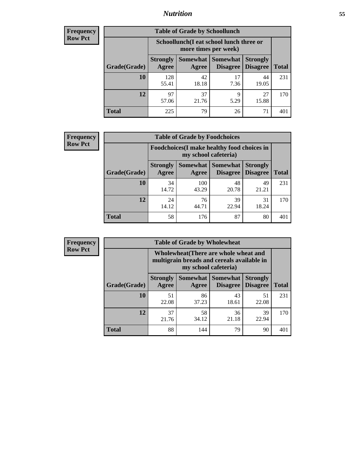### *Nutrition* **55**

| Frequency |
|-----------|
| Row Pct   |

| <b>Table of Grade by Schoollunch</b> |                          |                                                                 |                                 |                                    |       |  |
|--------------------------------------|--------------------------|-----------------------------------------------------------------|---------------------------------|------------------------------------|-------|--|
|                                      |                          | Schoollunch(I eat school lunch three or<br>more times per week) |                                 |                                    |       |  |
| Grade(Grade)                         | <b>Strongly</b><br>Agree | Agree                                                           | Somewhat   Somewhat<br>Disagree | <b>Strongly</b><br><b>Disagree</b> | Total |  |
| 10                                   | 128<br>55.41             | 42<br>18.18                                                     | 17<br>7.36                      | 44<br>19.05                        | 231   |  |
| 12                                   | 97<br>57.06              | 37<br>21.76                                                     | Q<br>5.29                       | 27<br>15.88                        | 170   |  |
| <b>Total</b>                         | 225                      | 79                                                              | 26                              | 71                                 | 401   |  |

| <b>Frequency</b> |  |
|------------------|--|
| <b>Row Pct</b>   |  |

| <b>Table of Grade by Foodchoices</b> |                          |                                                                            |                                        |                                    |              |  |
|--------------------------------------|--------------------------|----------------------------------------------------------------------------|----------------------------------------|------------------------------------|--------------|--|
|                                      |                          | <b>Foodchoices</b> (I make healthy food choices in<br>my school cafeteria) |                                        |                                    |              |  |
| Grade(Grade)                         | <b>Strongly</b><br>Agree | Agree                                                                      | <b>Somewhat   Somewhat</b><br>Disagree | <b>Strongly</b><br><b>Disagree</b> | <b>Total</b> |  |
| 10                                   | 34<br>14.72              | 100<br>43.29                                                               | 48<br>20.78                            | 49<br>21.21                        | 231          |  |
| 12                                   | 24<br>14.12              | 76<br>44.71                                                                | 39<br>22.94                            | 31<br>18.24                        | 170          |  |
| <b>Total</b>                         | 58                       | 176                                                                        | 87                                     | 80                                 | 40           |  |

| <b>Frequency</b> |
|------------------|
| <b>Row Pct</b>   |

| y | <b>Table of Grade by Wholewheat</b> |                                                                                                             |                     |                                    |                                    |              |  |
|---|-------------------------------------|-------------------------------------------------------------------------------------------------------------|---------------------|------------------------------------|------------------------------------|--------------|--|
|   |                                     | Wholewheat (There are whole wheat and<br>multigrain breads and cereals available in<br>my school cafeteria) |                     |                                    |                                    |              |  |
|   | Grade(Grade)                        | <b>Strongly</b><br>Agree                                                                                    | Somewhat  <br>Agree | <b>Somewhat</b><br><b>Disagree</b> | <b>Strongly</b><br><b>Disagree</b> | <b>Total</b> |  |
|   | 10                                  | 51<br>22.08                                                                                                 | 86<br>37.23         | 43<br>18.61                        | 51<br>22.08                        | 231          |  |
|   | 12                                  | 37<br>21.76                                                                                                 | 58<br>34.12         | 36<br>21.18                        | 39<br>22.94                        | 170          |  |
|   | <b>Total</b>                        | 88                                                                                                          | 144                 | 79                                 | 90                                 | 401          |  |

٦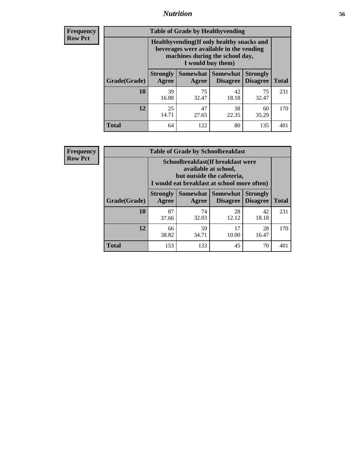### *Nutrition* **56**

**Frequency Row Pct**

| <b>Table of Grade by Healthyvending</b> |                                                                                                                                               |                          |                                    |                                    |              |  |  |
|-----------------------------------------|-----------------------------------------------------------------------------------------------------------------------------------------------|--------------------------|------------------------------------|------------------------------------|--------------|--|--|
|                                         | Healthyvending (If only healthy snacks and<br>beverages were available in the vending<br>machines during the school day,<br>I would buy them) |                          |                                    |                                    |              |  |  |
| Grade(Grade)                            | <b>Strongly</b><br>Agree                                                                                                                      | <b>Somewhat</b><br>Agree | <b>Somewhat</b><br><b>Disagree</b> | <b>Strongly</b><br><b>Disagree</b> | <b>Total</b> |  |  |
| 10                                      | 39<br>16.88                                                                                                                                   | 75<br>32.47              | 42<br>18.18                        | 75<br>32.47                        | 231          |  |  |
| 12                                      | 25<br>14.71                                                                                                                                   | 47<br>27.65              | 38<br>22.35                        | 60<br>35.29                        | 170          |  |  |
| Total                                   | 64                                                                                                                                            | 122                      | 80                                 | 135                                | 401          |  |  |

**Frequency Row Pct**

| <b>Table of Grade by Schoolbreakfast</b> |                                                                                                                                        |                     |                                    |                             |              |  |  |
|------------------------------------------|----------------------------------------------------------------------------------------------------------------------------------------|---------------------|------------------------------------|-----------------------------|--------------|--|--|
|                                          | Schoolbreakfast(If breakfast were<br>available at school,<br>but outside the cafeteria,<br>I would eat breakfast at school more often) |                     |                                    |                             |              |  |  |
| Grade(Grade)                             | <b>Strongly</b><br>Agree                                                                                                               | Somewhat  <br>Agree | <b>Somewhat</b><br><b>Disagree</b> | <b>Strongly</b><br>Disagree | <b>Total</b> |  |  |
| 10                                       | 87<br>37.66                                                                                                                            | 74<br>32.03         | 28<br>12.12                        | 42<br>18.18                 | 231          |  |  |
| 12                                       | 66<br>38.82                                                                                                                            | 59<br>34.71         | 17<br>10.00                        | 28<br>16.47                 | 170          |  |  |
| <b>Total</b>                             | 153                                                                                                                                    | 133                 | 45                                 | 70                          | 401          |  |  |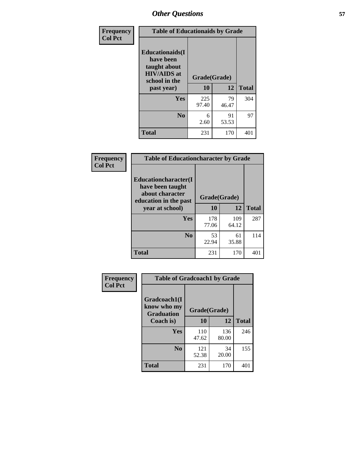| Frequency<br><b>Col Pct</b> | <b>Table of Educationaids by Grade</b>                                                                    |                    |             |              |
|-----------------------------|-----------------------------------------------------------------------------------------------------------|--------------------|-------------|--------------|
|                             | <b>Educationaids</b> (I<br>have been<br>taught about<br><b>HIV/AIDS</b> at<br>school in the<br>past year) | Grade(Grade)<br>10 | 12          | <b>Total</b> |
|                             | Yes                                                                                                       | 225<br>97.40       | 79<br>46.47 | 304          |
|                             | N <sub>0</sub>                                                                                            | 6<br>2.60          | 91<br>53.53 | 97           |
|                             | <b>Total</b>                                                                                              | 231                | 170         | 401          |

| <b>Frequency</b> | <b>Table of Educationcharacter by Grade</b>                                                             |              |              |              |
|------------------|---------------------------------------------------------------------------------------------------------|--------------|--------------|--------------|
| <b>Col Pct</b>   | Educationcharacter(I<br>have been taught<br>about character<br>education in the past<br>year at school) | Grade(Grade) |              |              |
|                  |                                                                                                         | 10           | 12           | <b>Total</b> |
|                  | <b>Yes</b>                                                                                              | 178<br>77.06 | 109<br>64.12 | 287          |
|                  | N <sub>0</sub>                                                                                          | 53<br>22.94  | 61<br>35.88  | 114          |
|                  | <b>Total</b>                                                                                            | 231          | 170          | 401          |

| Frequency      | <b>Table of Gradcoach1 by Grade</b>              |              |              |              |  |
|----------------|--------------------------------------------------|--------------|--------------|--------------|--|
| <b>Col Pct</b> | Gradcoach1(I<br>know who my<br><b>Graduation</b> | Grade(Grade) |              |              |  |
|                | Coach is)                                        | 10           | 12           | <b>Total</b> |  |
|                | Yes                                              | 110<br>47.62 | 136<br>80.00 | 246          |  |
|                | N <sub>0</sub>                                   | 121<br>52.38 | 34<br>20.00  | 155          |  |
|                | <b>Total</b>                                     | 231          | 170          | 401          |  |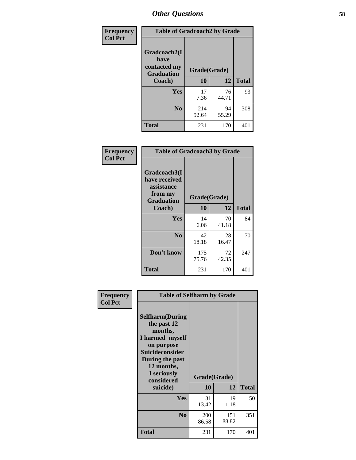| Frequency      | <b>Table of Gradcoach2 by Grade</b> |              |             |              |
|----------------|-------------------------------------|--------------|-------------|--------------|
| <b>Col Pct</b> | Gradcoach2(I<br>have                |              |             |              |
|                | contacted my<br><b>Graduation</b>   | Grade(Grade) |             |              |
|                | Coach)                              | 10           | 12          | <b>Total</b> |
|                | Yes                                 | 17<br>7.36   | 76<br>44.71 | 93           |
|                | N <sub>0</sub>                      | 214<br>92.64 | 94<br>55.29 | 308          |
|                | <b>Total</b>                        | 231          | 170         | 401          |

| <b>Frequency</b><br><b>Col Pct</b> | <b>Table of Gradcoach3 by Grade</b>                                         |              |             |              |
|------------------------------------|-----------------------------------------------------------------------------|--------------|-------------|--------------|
|                                    | Gradcoach3(I<br>have received<br>assistance<br>from my<br><b>Graduation</b> | Grade(Grade) |             |              |
|                                    | Coach)                                                                      | 10           | 12          | <b>Total</b> |
|                                    | Yes                                                                         | 14<br>6.06   | 70<br>41.18 | 84           |
|                                    | N <sub>0</sub>                                                              | 42<br>18.18  | 28<br>16.47 | 70           |
|                                    | Don't know                                                                  | 175<br>75.76 | 72<br>42.35 | 247          |
|                                    | <b>Total</b>                                                                | 231          | 170         | 401          |

| Frequency      | <b>Table of Selfharm by Grade</b>                                                                                                                                                      |                    |              |              |
|----------------|----------------------------------------------------------------------------------------------------------------------------------------------------------------------------------------|--------------------|--------------|--------------|
| <b>Col Pct</b> | <b>Selfharm</b> (During<br>the past 12<br>months,<br>I harmed myself<br>on purpose<br><b>Suicideconsider</b><br>During the past<br>12 months,<br>I seriously<br>considered<br>suicide) | Grade(Grade)<br>10 | 12           | <b>Total</b> |
|                | Yes                                                                                                                                                                                    | 31<br>13.42        | 19<br>11.18  | 50           |
|                | N <sub>0</sub>                                                                                                                                                                         | 200<br>86.58       | 151<br>88.82 | 351          |
|                | <b>Total</b>                                                                                                                                                                           | 231                | 170          | 401          |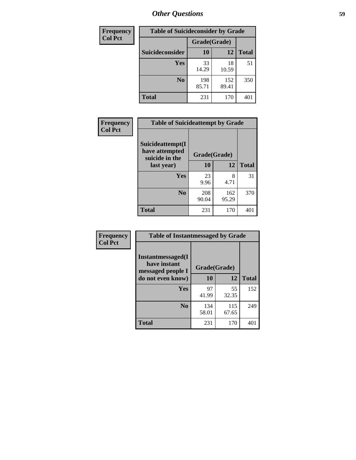| <b>Frequency</b> | <b>Table of Suicideconsider by Grade</b> |              |              |              |
|------------------|------------------------------------------|--------------|--------------|--------------|
| <b>Col Pct</b>   |                                          | Grade(Grade) |              |              |
|                  | Suicideconsider                          | <b>10</b>    | 12           | <b>Total</b> |
|                  | Yes                                      | 33<br>14.29  | 18<br>10.59  | 51           |
|                  | N <sub>0</sub>                           | 198<br>85.71 | 152<br>89.41 | 350          |
|                  | <b>Total</b>                             | 231          | 170          | 401          |

| Frequency      | <b>Table of Suicideattempt by Grade</b>              |              |              |              |
|----------------|------------------------------------------------------|--------------|--------------|--------------|
| <b>Col Pct</b> | Suicideattempt(I<br>have attempted<br>suicide in the | Grade(Grade) |              |              |
|                | last year)                                           | 10           | 12           | <b>Total</b> |
|                | Yes                                                  | 23<br>9.96   | 8<br>4.71    | 31           |
|                | N <sub>0</sub>                                       | 208<br>90.04 | 162<br>95.29 | 370          |
|                | <b>Total</b>                                         | 231          | 170          | 401          |

| Frequency      | <b>Table of Instantmessaged by Grade</b>                       |              |              |              |
|----------------|----------------------------------------------------------------|--------------|--------------|--------------|
| <b>Col Pct</b> | <b>Instantmessaged</b> (I<br>have instant<br>messaged people I | Grade(Grade) |              |              |
|                | do not even know)                                              | 10           | 12           | <b>Total</b> |
|                | Yes                                                            | 97<br>41.99  | 55<br>32.35  | 152          |
|                | N <sub>0</sub>                                                 | 134<br>58.01 | 115<br>67.65 | 249          |
|                | <b>Total</b>                                                   | 231          | 170          | 401          |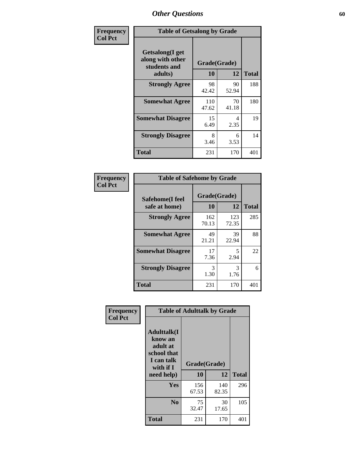| Frequency      | <b>Table of Getsalong by Grade</b>                          |              |             |              |  |  |  |
|----------------|-------------------------------------------------------------|--------------|-------------|--------------|--|--|--|
| <b>Col Pct</b> | <b>Getsalong</b> (I get<br>along with other<br>students and | Grade(Grade) |             |              |  |  |  |
|                | adults)                                                     | 10           | 12          | <b>Total</b> |  |  |  |
|                | <b>Strongly Agree</b>                                       | 98<br>42.42  | 90<br>52.94 | 188          |  |  |  |
|                | <b>Somewhat Agree</b>                                       | 110<br>47.62 | 70<br>41.18 | 180          |  |  |  |
|                | <b>Somewhat Disagree</b>                                    | 15<br>6.49   | 4<br>2.35   | 19           |  |  |  |
|                | <b>Strongly Disagree</b>                                    | 8<br>3.46    | 6<br>3.53   | 14           |  |  |  |
|                | <b>Total</b>                                                | 231          | 170         | 401          |  |  |  |

| Frequency      | <b>Table of Safehome by Grade</b> |                           |              |              |  |  |  |  |
|----------------|-----------------------------------|---------------------------|--------------|--------------|--|--|--|--|
| <b>Col Pct</b> | Safehome(I feel<br>safe at home)  | Grade(Grade)<br><b>10</b> | 12           | <b>Total</b> |  |  |  |  |
|                | <b>Strongly Agree</b>             | 162<br>70.13              | 123<br>72.35 | 285          |  |  |  |  |
|                | <b>Somewhat Agree</b>             | 49<br>21.21               | 39<br>22.94  | 88           |  |  |  |  |
|                | <b>Somewhat Disagree</b>          | 17<br>7.36                | 5<br>2.94    | 22           |  |  |  |  |
|                | <b>Strongly Disagree</b>          | 3<br>1.30                 | 3<br>1.76    | 6            |  |  |  |  |
|                | <b>Total</b>                      | 231                       | 170          | 401          |  |  |  |  |

| Frequency      | <b>Table of Adulttalk by Grade</b>                                                                 |                    |             |              |  |  |  |
|----------------|----------------------------------------------------------------------------------------------------|--------------------|-------------|--------------|--|--|--|
| <b>Col Pct</b> | <b>Adulttalk</b> (I<br>know an<br>adult at<br>school that<br>I can talk<br>with if I<br>need help) | Grade(Grade)<br>10 | 12          | <b>Total</b> |  |  |  |
|                | <b>Yes</b>                                                                                         | 156                | 140         | 296          |  |  |  |
|                |                                                                                                    | 67.53              | 82.35       |              |  |  |  |
|                | N <sub>0</sub>                                                                                     | 75<br>32.47        | 30<br>17.65 | 105          |  |  |  |
|                | <b>Total</b>                                                                                       | 231                | 170         | 401          |  |  |  |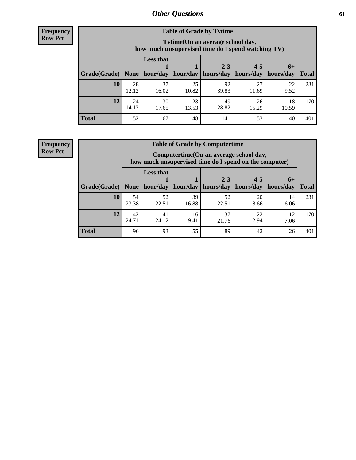**Frequency Row Pct**

| <b>Table of Grade by Tvtime</b> |             |                                                                                         |             |             |             |             |              |  |  |  |  |
|---------------------------------|-------------|-----------------------------------------------------------------------------------------|-------------|-------------|-------------|-------------|--------------|--|--|--|--|
|                                 |             | Tytime (On an average school day,<br>how much unsupervised time do I spend watching TV) |             |             |             |             |              |  |  |  |  |
|                                 |             | <b>Less that</b><br>$2 - 3$<br>$4 - 5$<br>$6+$                                          |             |             |             |             |              |  |  |  |  |
| Grade(Grade)   None             |             | hour/day                                                                                | hour/day    | hours/day   | hours/day   | hours/day   | <b>Total</b> |  |  |  |  |
| 10                              | 28<br>12.12 | 37<br>16.02                                                                             | 25<br>10.82 | 92<br>39.83 | 27<br>11.69 | 22<br>9.52  | 231          |  |  |  |  |
| 12                              | 24<br>14.12 | 30<br>17.65                                                                             | 23<br>13.53 | 49<br>28.82 | 26<br>15.29 | 18<br>10.59 | 170          |  |  |  |  |
| <b>Total</b>                    | 52          | 67                                                                                      | 48          | 141         | 53          | 40          | 401          |  |  |  |  |

**Frequency Row Pct**

| <b>Table of Grade by Computertime</b> |             |                                                                                                   |             |                      |                      |                   |              |  |  |  |  |
|---------------------------------------|-------------|---------------------------------------------------------------------------------------------------|-------------|----------------------|----------------------|-------------------|--------------|--|--|--|--|
|                                       |             | Computertime (On an average school day,<br>how much unsupervised time do I spend on the computer) |             |                      |                      |                   |              |  |  |  |  |
| Grade(Grade)                          | None        | <b>Less that</b><br>hour/day                                                                      | hour/day    | $2 - 3$<br>hours/day | $4 - 5$<br>hours/day | $6+$<br>hours/day | <b>Total</b> |  |  |  |  |
| 10                                    | 54<br>23.38 | 52<br>22.51                                                                                       | 39<br>16.88 | 52<br>22.51          | 20<br>8.66           | 14<br>6.06        | 231          |  |  |  |  |
| 12                                    | 42<br>24.71 | 37<br>22<br>12<br>41<br>16<br>24.12<br>9.41<br>12.94<br>21.76<br>7.06                             |             |                      |                      |                   |              |  |  |  |  |
| <b>Total</b>                          | 96          | 93                                                                                                | 55          | 89                   | 42                   | 26                | 401          |  |  |  |  |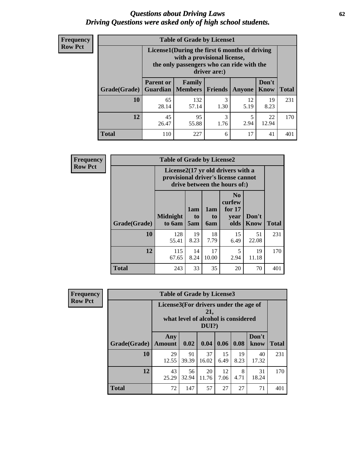#### *Questions about Driving Laws* **62** *Driving Questions were asked only of high school students.*

| <b>Frequency</b> |
|------------------|
| <b>Row Pct</b>   |

| <b>Table of Grade by License1</b> |                  |                                                                                                                                           |           |            |               |              |  |  |  |  |
|-----------------------------------|------------------|-------------------------------------------------------------------------------------------------------------------------------------------|-----------|------------|---------------|--------------|--|--|--|--|
|                                   |                  | License1(During the first 6 months of driving<br>with a provisional license,<br>the only passengers who can ride with the<br>driver are:) |           |            |               |              |  |  |  |  |
| Grade(Grade)                      | <b>Parent or</b> | Family<br><b>Guardian</b>   Members                                                                                                       | Friends   | Anyone     | Don't<br>Know | <b>Total</b> |  |  |  |  |
| 10                                | 65<br>28.14      | 132<br>57.14                                                                                                                              | 3<br>1.30 | 12<br>5.19 | 19<br>8.23    | 231          |  |  |  |  |
| 12                                | 45<br>26.47      | 95<br>3<br>22<br>5<br>2.94<br>12.94<br>55.88<br>1.76                                                                                      |           |            |               |              |  |  |  |  |
| Total                             | 110              | 227                                                                                                                                       | 6         | 17         | 41            | 401          |  |  |  |  |

| Frequency      |              | <b>Table of Grade by License2</b>                                                                        |                  |                  |                                                      |                      |              |  |  |
|----------------|--------------|----------------------------------------------------------------------------------------------------------|------------------|------------------|------------------------------------------------------|----------------------|--------------|--|--|
| <b>Row Pct</b> |              | License2(17 yr old drivers with a<br>provisional driver's license cannot<br>drive between the hours of:) |                  |                  |                                                      |                      |              |  |  |
|                | Grade(Grade) | <b>Midnight</b><br>to 6am                                                                                | 1am<br>to<br>5am | 1am<br>to<br>6am | N <sub>0</sub><br>curfew<br>for $17$<br>year<br>olds | Don't<br><b>Know</b> | <b>Total</b> |  |  |
|                | 10           | 128<br>55.41                                                                                             | 19<br>8.23       | 18<br>7.79       | 15<br>6.49                                           | 51<br>22.08          | 231          |  |  |
|                | 12           | 115<br>67.65                                                                                             | 14<br>8.24       | 17<br>10.00      | 5<br>2.94                                            | 19<br>11.18          | 170          |  |  |
|                | <b>Total</b> | 243                                                                                                      | 33               | 35               | 20                                                   | 70                   | 401          |  |  |

| Frequency                                                                                                         |              | <b>Table of Grade by License3</b> |             |             |            |            |               |              |
|-------------------------------------------------------------------------------------------------------------------|--------------|-----------------------------------|-------------|-------------|------------|------------|---------------|--------------|
| <b>Row Pct</b><br>License3(For drivers under the age of<br>21,<br>what level of alcohol is considered<br>$DUI$ ?) |              |                                   |             |             |            |            |               |              |
|                                                                                                                   | Grade(Grade) | Any<br><b>Amount</b>              | 0.02        | 0.04        | 0.06       | 0.08       | Don't<br>know | <b>Total</b> |
|                                                                                                                   | 10           | 29<br>12.55                       | 91<br>39.39 | 37<br>16.02 | 15<br>6.49 | 19<br>8.23 | 40<br>17.32   | 231          |
|                                                                                                                   | 12           | 43<br>25.29                       | 56<br>32.94 | 20<br>11.76 | 12<br>7.06 | 8<br>4.71  | 31<br>18.24   | 170          |
|                                                                                                                   | <b>Total</b> | 72                                | 147         | 57          | 27         | 27         | 71            | 401          |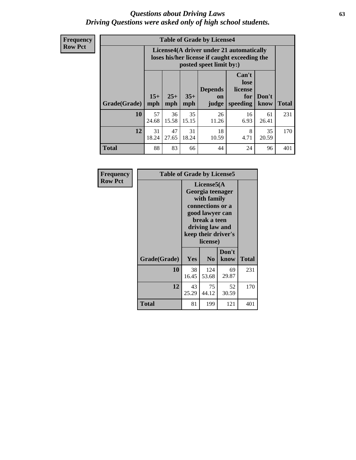#### *Questions about Driving Laws* **63** *Driving Questions were asked only of high school students.*

**Frequency Row Pct**

| <b>Table of Grade by License4</b> |             |                                                                                                                                                                                                                                                                                       |             |             |            |             |     |  |  |  |
|-----------------------------------|-------------|---------------------------------------------------------------------------------------------------------------------------------------------------------------------------------------------------------------------------------------------------------------------------------------|-------------|-------------|------------|-------------|-----|--|--|--|
|                                   |             | License4(A driver under 21 automatically<br>loses his/her license if caught exceeding the<br>posted speet limit by:)<br>Can't<br>lose<br>license<br><b>Depends</b><br>$15+$<br>$25+$<br>$35+$<br>Don't<br>for<br><b>on</b><br>speeding<br><b>Total</b><br>mph<br>mph<br>know<br>judge |             |             |            |             |     |  |  |  |
| Grade(Grade)                      | mph         |                                                                                                                                                                                                                                                                                       |             |             |            |             |     |  |  |  |
| 10                                | 57<br>24.68 | 36<br>15.58                                                                                                                                                                                                                                                                           | 35<br>15.15 | 26<br>11.26 | 16<br>6.93 | 61<br>26.41 | 231 |  |  |  |
| 12                                | 31<br>18.24 | 47<br>18<br>31<br>8<br>35<br>4.71<br>27.65<br>18.24<br>10.59<br>20.59                                                                                                                                                                                                                 |             |             |            |             |     |  |  |  |
| <b>Total</b>                      | 88          | 83                                                                                                                                                                                                                                                                                    | 66          | 44          | 24         | 96          | 401 |  |  |  |

| Frequency      | <b>Table of Grade by License5</b> |             |                                                                                                                                                            |               |       |  |
|----------------|-----------------------------------|-------------|------------------------------------------------------------------------------------------------------------------------------------------------------------|---------------|-------|--|
| <b>Row Pct</b> |                                   |             | License5(A<br>Georgia teenager<br>with family<br>connections or a<br>good lawyer can<br>break a teen<br>driving law and<br>keep their driver's<br>license) |               |       |  |
|                | Grade(Grade)                      | <b>Yes</b>  | N <sub>0</sub>                                                                                                                                             | Don't<br>know | Total |  |
|                | 10                                | 38<br>16.45 | 124<br>53.68                                                                                                                                               | 69<br>29.87   | 231   |  |
|                | 12                                | 43<br>25.29 | 75<br>44.12                                                                                                                                                | 52<br>30.59   | 170   |  |
|                | <b>Total</b>                      | 81          | 199                                                                                                                                                        | 121           | 401   |  |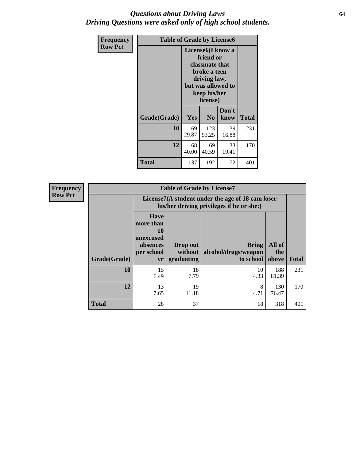#### *Questions about Driving Laws* **64** *Driving Questions were asked only of high school students.*

| <b>Frequency</b> | <b>Table of Grade by License6</b> |                                           |                                                                                                                                                 |               |              |  |
|------------------|-----------------------------------|-------------------------------------------|-------------------------------------------------------------------------------------------------------------------------------------------------|---------------|--------------|--|
| <b>Row Pct</b>   |                                   |                                           | License <sub>6</sub> (I know a<br>friend or<br>classmate that<br>broke a teen<br>driving law,<br>but was allowed to<br>keep his/her<br>license) |               |              |  |
|                  | Grade(Grade)                      | Yes                                       | N <sub>0</sub>                                                                                                                                  | Don't<br>know | <b>Total</b> |  |
|                  | 10                                | 69<br>29.87                               | 123<br>53.25                                                                                                                                    | 39<br>16.88   | 231          |  |
|                  | 12                                | 68<br>69<br>33<br>40.00<br>19.41<br>40.59 |                                                                                                                                                 |               | 170          |  |
|                  | Total                             | 137                                       | 192                                                                                                                                             | 72            | 401          |  |

| <b>Frequency</b> |              | <b>Table of Grade by License7</b>                                           |                                                                                               |                                                   |                        |              |  |
|------------------|--------------|-----------------------------------------------------------------------------|-----------------------------------------------------------------------------------------------|---------------------------------------------------|------------------------|--------------|--|
| <b>Row Pct</b>   |              |                                                                             | License7(A student under the age of 18 cam loser<br>his/her driving privileges if he or she:) |                                                   |                        |              |  |
|                  | Grade(Grade) | <b>Have</b><br>more than<br>10<br>unexcused<br>absences<br>per school<br>yr | Drop out<br>without<br>graduating                                                             | <b>Bring</b><br>alcohol/drugs/weapon<br>to school | All of<br>the<br>above | <b>Total</b> |  |
|                  | 10           | 15<br>6.49                                                                  | 18<br>7.79                                                                                    | 10<br>4.33                                        | 188<br>81.39           | 231          |  |
|                  | 12           | 13<br>7.65                                                                  | 19<br>11.18                                                                                   | 8<br>4.71                                         | 130<br>76.47           | 170          |  |
|                  | <b>Total</b> | 28                                                                          | 37                                                                                            | 18                                                | 318                    | 401          |  |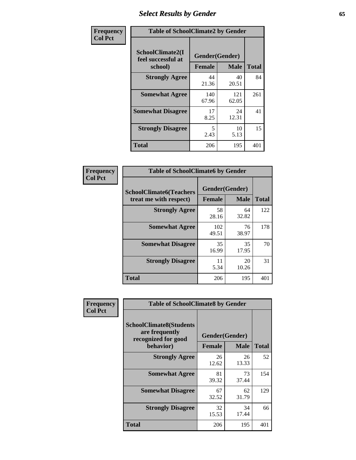# *Select Results by Gender* **65**

| Frequency      | <b>Table of SchoolClimate2 by Gender</b>          |                                 |              |              |
|----------------|---------------------------------------------------|---------------------------------|--------------|--------------|
| <b>Col Pct</b> | SchoolClimate2(I<br>feel successful at<br>school) | Gender(Gender)<br><b>Female</b> | <b>Male</b>  | <b>Total</b> |
|                | <b>Strongly Agree</b>                             | 44<br>21.36                     | 40<br>20.51  | 84           |
|                | <b>Somewhat Agree</b>                             | 140<br>67.96                    | 121<br>62.05 | 261          |
|                | <b>Somewhat Disagree</b>                          | 17<br>8.25                      | 24<br>12.31  | 41           |
|                | <b>Strongly Disagree</b>                          | 5<br>2.43                       | 10<br>5.13   | 15           |
|                | <b>Total</b>                                      | 206                             | 195          | 401          |

| Frequency      | <b>Table of SchoolClimate6 by Gender</b>                 |              |                               |              |  |
|----------------|----------------------------------------------------------|--------------|-------------------------------|--------------|--|
| <b>Col Pct</b> | <b>SchoolClimate6(Teachers</b><br>treat me with respect) | Female       | Gender(Gender)<br><b>Male</b> | <b>Total</b> |  |
|                | <b>Strongly Agree</b>                                    | 58<br>28.16  | 64<br>32.82                   | 122          |  |
|                | <b>Somewhat Agree</b>                                    | 102<br>49.51 | 76<br>38.97                   | 178          |  |
|                | <b>Somewhat Disagree</b>                                 | 35<br>16.99  | 35<br>17.95                   | 70           |  |
|                | <b>Strongly Disagree</b>                                 | 11<br>5.34   | 20<br>10.26                   | 31           |  |
|                | <b>Total</b>                                             | 206          | 195                           | 401          |  |

| <b>Frequency</b> | <b>Table of SchoolClimate8 by Gender</b>                                             |               |                               |              |
|------------------|--------------------------------------------------------------------------------------|---------------|-------------------------------|--------------|
| <b>Col Pct</b>   | <b>SchoolClimate8(Students</b><br>are frequently<br>recognized for good<br>behavior) | <b>Female</b> | Gender(Gender)<br><b>Male</b> | <b>Total</b> |
|                  |                                                                                      |               | 26                            |              |
|                  | <b>Strongly Agree</b>                                                                | 26<br>12.62   | 13.33                         | 52           |
|                  | <b>Somewhat Agree</b>                                                                | 81<br>39.32   | 73<br>37.44                   | 154          |
|                  | <b>Somewhat Disagree</b>                                                             | 67<br>32.52   | 62<br>31.79                   | 129          |
|                  | <b>Strongly Disagree</b>                                                             | 32<br>15.53   | 34<br>17.44                   | 66           |
|                  | Total                                                                                | 206           | 195                           | 401          |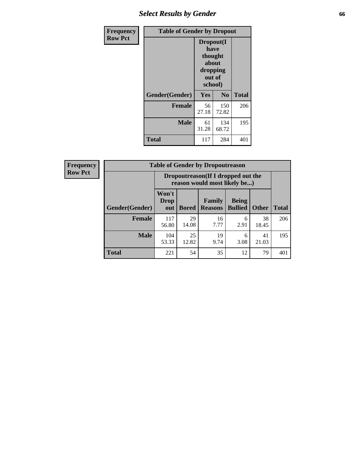# *Select Results by Gender* **66**

| <b>Frequency</b> | <b>Table of Gender by Dropout</b> |                                                                               |              |              |
|------------------|-----------------------------------|-------------------------------------------------------------------------------|--------------|--------------|
| <b>Row Pct</b>   |                                   | Dropout(I<br>have<br>thought<br><b>about</b><br>dropping<br>out of<br>school) |              |              |
|                  | Gender(Gender)                    | Yes                                                                           | No           | <b>Total</b> |
|                  | <b>Female</b>                     | 56<br>27.18                                                                   | 150<br>72.82 | 206          |
|                  | <b>Male</b>                       | 61<br>31.28                                                                   | 134<br>68.72 | 195          |
|                  | <b>Total</b>                      | 117                                                                           | 284          | 401          |

| <b>Frequency</b> | <b>Table of Gender by Dropoutreason</b> |                                                                     |              |                                 |                                |              |              |
|------------------|-----------------------------------------|---------------------------------------------------------------------|--------------|---------------------------------|--------------------------------|--------------|--------------|
| <b>Row Pct</b>   |                                         | Dropoutreason (If I dropped out the<br>reason would most likely be) |              |                                 |                                |              |              |
|                  | <b>Gender(Gender)</b>                   | Won't<br>Drop<br>out                                                | <b>Bored</b> | <b>Family</b><br><b>Reasons</b> | <b>Being</b><br><b>Bullied</b> | <b>Other</b> | <b>Total</b> |
|                  | <b>Female</b>                           | 117<br>56.80                                                        | 29<br>14.08  | 16<br>7.77                      | 6<br>2.91                      | 38<br>18.45  | 206          |
|                  | <b>Male</b>                             | 104<br>53.33                                                        | 25<br>12.82  | 19<br>9.74                      | 6<br>3.08                      | 41<br>21.03  | 195          |
|                  | Total                                   | 221                                                                 | 54           | 35                              | 12                             | 79           | 401          |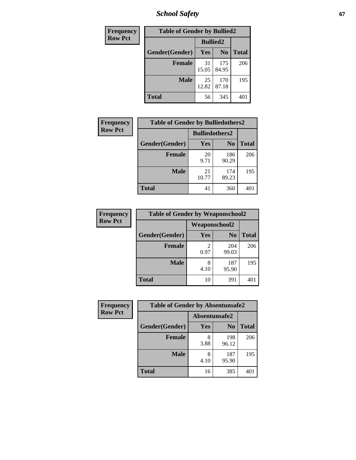*School Safety* **67**

| Frequency      | <b>Table of Gender by Bullied2</b> |                 |                |              |
|----------------|------------------------------------|-----------------|----------------|--------------|
| <b>Row Pct</b> |                                    | <b>Bullied2</b> |                |              |
|                | Gender(Gender)                     | <b>Yes</b>      | N <sub>0</sub> | <b>Total</b> |
|                | <b>Female</b>                      | 31<br>15.05     | 175<br>84.95   | 206          |
|                | <b>Male</b>                        | 25<br>12.82     | 170<br>87.18   | 195          |
|                | <b>Total</b>                       | 56              | 345            | 401          |

| Frequency      | <b>Table of Gender by Bulliedothers2</b> |                       |                |              |
|----------------|------------------------------------------|-----------------------|----------------|--------------|
| <b>Row Pct</b> |                                          | <b>Bulliedothers2</b> |                |              |
|                | Gender(Gender)                           | <b>Yes</b>            | N <sub>0</sub> | <b>Total</b> |
|                | <b>Female</b>                            | 20<br>9.71            | 186<br>90.29   | 206          |
|                | <b>Male</b>                              | 21<br>10.77           | 174<br>89.23   | 195          |
|                | <b>Total</b>                             | 41                    | 360            | 401          |

| Frequency      | <b>Table of Gender by Weaponschool2</b> |                      |                |              |
|----------------|-----------------------------------------|----------------------|----------------|--------------|
| <b>Row Pct</b> |                                         | <b>Weaponschool2</b> |                |              |
|                | Gender(Gender)                          | Yes                  | N <sub>0</sub> | <b>Total</b> |
|                | <b>Female</b>                           | 0.97                 | 204<br>99.03   | 206          |
|                | <b>Male</b>                             | 8<br>4.10            | 187<br>95.90   | 195          |
|                | <b>Total</b>                            | 10                   | 391            | 401          |

| Frequency      | <b>Table of Gender by Absentunsafe2</b> |               |                |              |
|----------------|-----------------------------------------|---------------|----------------|--------------|
| <b>Row Pct</b> |                                         | Absentunsafe2 |                |              |
|                | Gender(Gender)                          | Yes           | N <sub>0</sub> | <b>Total</b> |
|                | <b>Female</b>                           | 8<br>3.88     | 198<br>96.12   | 206          |
|                | <b>Male</b>                             | 8<br>4.10     | 187<br>95.90   | 195          |
|                | <b>Total</b>                            | 16            | 385            | 401          |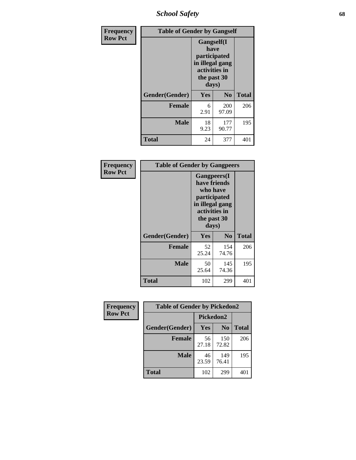*School Safety* **68**

| Frequency      | <b>Table of Gender by Gangself</b> |                                                                                                        |                |              |
|----------------|------------------------------------|--------------------------------------------------------------------------------------------------------|----------------|--------------|
| <b>Row Pct</b> |                                    | <b>Gangself</b> (I<br>have<br>participated<br>in illegal gang<br>activities in<br>the past 30<br>days) |                |              |
|                | Gender(Gender)                     | Yes                                                                                                    | N <sub>0</sub> | <b>Total</b> |
|                | <b>Female</b>                      | 6<br>2.91                                                                                              | 200<br>97.09   | 206          |
|                | <b>Male</b>                        | 18<br>9.23                                                                                             | 177<br>90.77   | 195          |
|                | <b>Total</b>                       | 24                                                                                                     | 377            | 401          |

| Frequency      | <b>Table of Gender by Gangpeers</b> |                                                                                                                             |                |              |  |
|----------------|-------------------------------------|-----------------------------------------------------------------------------------------------------------------------------|----------------|--------------|--|
| <b>Row Pct</b> |                                     | <b>Gangpeers</b> (I<br>have friends<br>who have<br>participated<br>in illegal gang<br>activities in<br>the past 30<br>days) |                |              |  |
|                | Gender(Gender)                      | <b>Yes</b>                                                                                                                  | N <sub>0</sub> | <b>Total</b> |  |
|                | <b>Female</b>                       | 52<br>25.24                                                                                                                 | 154<br>74.76   | 206          |  |
|                | <b>Male</b>                         | 50<br>25.64                                                                                                                 | 145<br>74.36   | 195          |  |
|                | Total                               | 102                                                                                                                         | 299            | 401          |  |

| Frequency      | <b>Table of Gender by Pickedon2</b> |             |                |              |
|----------------|-------------------------------------|-------------|----------------|--------------|
| <b>Row Pct</b> |                                     | Pickedon2   |                |              |
|                | Gender(Gender)                      | Yes         | N <sub>0</sub> | <b>Total</b> |
|                | <b>Female</b>                       | 56<br>27.18 | 150<br>72.82   | 206          |
|                | <b>Male</b>                         | 46<br>23.59 | 149<br>76.41   | 195          |
|                | <b>Total</b>                        | 102         | 299            | 401          |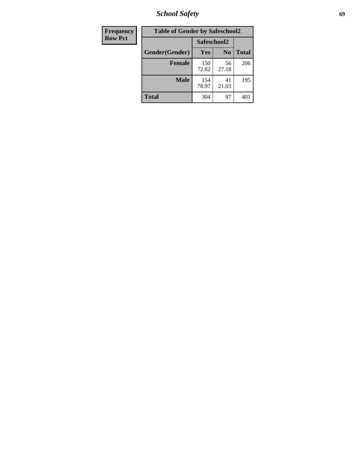*School Safety* **69**

| Frequency      | <b>Table of Gender by Safeschool2</b> |              |                |              |  |
|----------------|---------------------------------------|--------------|----------------|--------------|--|
| <b>Row Pct</b> |                                       | Safeschool2  |                |              |  |
|                | Gender(Gender)                        | <b>Yes</b>   | N <sub>0</sub> | <b>Total</b> |  |
|                | <b>Female</b>                         | 150<br>72.82 | 56<br>27.18    | 206          |  |
|                | <b>Male</b>                           | 154<br>78.97 | 41<br>21.03    | 195          |  |
|                | <b>Total</b>                          | 304          | 97             | 401          |  |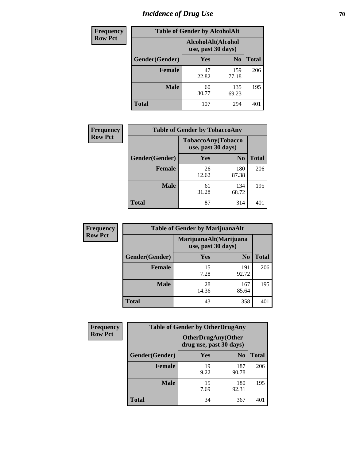# *Incidence of Drug Use* **70**

| <b>Frequency</b> | <b>Table of Gender by AlcoholAlt</b> |                                          |                |              |
|------------------|--------------------------------------|------------------------------------------|----------------|--------------|
| <b>Row Pct</b>   |                                      | AlcoholAlt(Alcohol<br>use, past 30 days) |                |              |
|                  | Gender(Gender)                       | <b>Yes</b>                               | N <sub>0</sub> | <b>Total</b> |
|                  | <b>Female</b>                        | 47<br>22.82                              | 159<br>77.18   | 206          |
|                  | <b>Male</b>                          | 60<br>30.77                              | 135<br>69.23   | 195          |
|                  | <b>Total</b>                         | 107                                      | 294            | 401          |

| <b>Frequency</b> | <b>Table of Gender by TobaccoAny</b> |                                          |                |              |  |
|------------------|--------------------------------------|------------------------------------------|----------------|--------------|--|
| <b>Row Pct</b>   |                                      | TobaccoAny(Tobacco<br>use, past 30 days) |                |              |  |
|                  | Gender(Gender)                       | Yes                                      | N <sub>0</sub> | <b>Total</b> |  |
|                  | <b>Female</b>                        | 26<br>12.62                              | 180<br>87.38   | 206          |  |
|                  | <b>Male</b>                          | 61<br>31.28                              | 134<br>68.72   | 195          |  |
|                  | <b>Total</b>                         | 87                                       | 314            |              |  |

| <b>Frequency</b> |                | <b>Table of Gender by MarijuanaAlt</b> |                        |              |  |
|------------------|----------------|----------------------------------------|------------------------|--------------|--|
| <b>Row Pct</b>   |                | use, past 30 days)                     | MarijuanaAlt(Marijuana |              |  |
|                  | Gender(Gender) | <b>Yes</b>                             | N <sub>0</sub>         | <b>Total</b> |  |
|                  | Female         | 15<br>7.28                             | 191<br>92.72           | 206          |  |
|                  | <b>Male</b>    | 28<br>14.36                            | 167<br>85.64           | 195          |  |
|                  | <b>Total</b>   | 43                                     | 358                    | 401          |  |

| <b>Frequency</b> | <b>Table of Gender by OtherDrugAny</b> |                         |                           |              |  |
|------------------|----------------------------------------|-------------------------|---------------------------|--------------|--|
| <b>Row Pct</b>   |                                        | drug use, past 30 days) | <b>OtherDrugAny(Other</b> |              |  |
|                  | Gender(Gender)                         | <b>Yes</b>              | N <sub>0</sub>            | <b>Total</b> |  |
|                  | <b>Female</b>                          | 19<br>9.22              | 187<br>90.78              | 206          |  |
|                  | <b>Male</b>                            | 15<br>7.69              | 180<br>92.31              | 195          |  |
|                  | <b>Total</b>                           | 34                      | 367                       | 401          |  |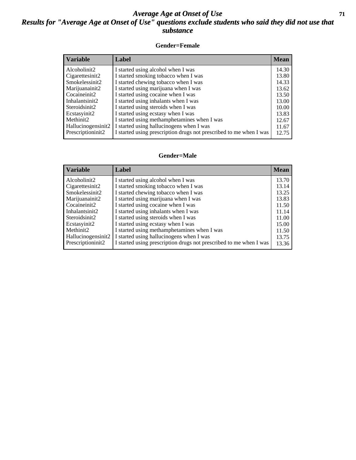#### *Average Age at Onset of Use* **71** *Results for "Average Age at Onset of Use" questions exclude students who said they did not use that substance*

#### **Gender=Female**

| <b>Variable</b>                 | Label                                                              | <b>Mean</b> |
|---------------------------------|--------------------------------------------------------------------|-------------|
| Alcoholinit2                    | I started using alcohol when I was                                 | 14.30       |
| Cigarettesinit2                 | I started smoking tobacco when I was                               | 13.80       |
| Smokelessinit2                  | I started chewing tobacco when I was                               | 14.33       |
| Marijuanainit2                  | I started using marijuana when I was                               | 13.62       |
| Cocaineinit2                    | I started using cocaine when I was                                 | 13.50       |
| Inhalantsinit2                  | I started using inhalants when I was                               | 13.00       |
| Steroidsinit2                   | I started using steroids when I was                                | 10.00       |
| Ecstasyinit2                    | I started using ecstasy when I was                                 | 13.83       |
| Methinit2                       | I started using methamphetamines when I was                        | 12.67       |
| Hallucinogensinit2              | I started using hallucinogens when I was                           | 11.67       |
| Prescription in it <sub>2</sub> | I started using prescription drugs not prescribed to me when I was | 12.75       |

#### **Gender=Male**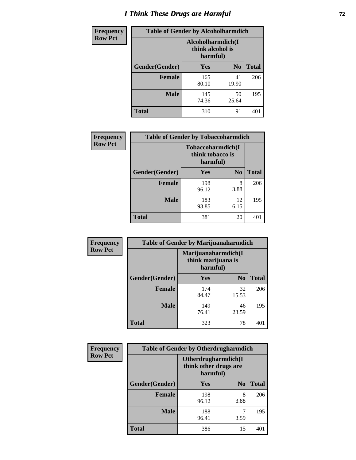# *I Think These Drugs are Harmful* **72**

| Frequency      | <b>Table of Gender by Alcoholharmdich</b> |                                                    |                |              |
|----------------|-------------------------------------------|----------------------------------------------------|----------------|--------------|
| <b>Row Pct</b> |                                           | Alcoholharmdich(I)<br>think alcohol is<br>harmful) |                |              |
|                | Gender(Gender)                            | Yes                                                | N <sub>0</sub> | <b>Total</b> |
|                | <b>Female</b>                             | 165<br>80.10                                       | 41<br>19.90    | 206          |
|                | <b>Male</b>                               | 145<br>74.36                                       | 50<br>25.64    | 195          |
|                | Total                                     | 310                                                | 91             | 401          |

| Frequency      | <b>Table of Gender by Tobaccoharmdich</b> |                                                   |                |              |  |
|----------------|-------------------------------------------|---------------------------------------------------|----------------|--------------|--|
| <b>Row Pct</b> |                                           | Tobaccoharmdich(I<br>think tobacco is<br>harmful) |                |              |  |
|                | Gender(Gender)                            | Yes                                               | N <sub>0</sub> | <b>Total</b> |  |
|                | <b>Female</b>                             | 198<br>96.12                                      | 8<br>3.88      | 206          |  |
|                | <b>Male</b>                               | 183<br>93.85                                      | 12<br>6.15     | 195          |  |
|                | <b>Total</b>                              | 381                                               | 20             | 40°          |  |

| Frequency      | <b>Table of Gender by Marijuanaharmdich</b> |                                                       |                |              |  |  |
|----------------|---------------------------------------------|-------------------------------------------------------|----------------|--------------|--|--|
| <b>Row Pct</b> |                                             | Marijuanaharmdich(I<br>think marijuana is<br>harmful) |                |              |  |  |
|                | Gender(Gender)                              | <b>Yes</b>                                            | N <sub>0</sub> | <b>Total</b> |  |  |
|                | <b>Female</b>                               | 174<br>84.47                                          | 32<br>15.53    | 206          |  |  |
|                | <b>Male</b>                                 | 149<br>76.41                                          | 46<br>23.59    | 195          |  |  |
|                | <b>Total</b>                                | 323                                                   | 78             | 401          |  |  |

| Frequency      | <b>Table of Gender by Otherdrugharmdich</b> |                                                          |                |              |  |
|----------------|---------------------------------------------|----------------------------------------------------------|----------------|--------------|--|
| <b>Row Pct</b> |                                             | Otherdrugharmdich(I<br>think other drugs are<br>harmful) |                |              |  |
|                | Gender(Gender)                              | <b>Yes</b>                                               | N <sub>0</sub> | <b>Total</b> |  |
|                | <b>Female</b>                               | 198<br>96.12                                             | 8<br>3.88      | 206          |  |
|                | <b>Male</b>                                 | 188<br>96.41                                             | 3.59           | 195          |  |
|                | <b>Total</b>                                | 386                                                      | 15             | 401          |  |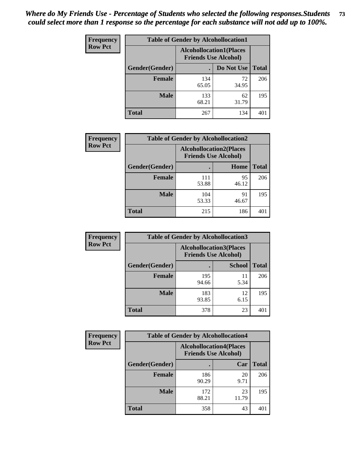| <b>Frequency</b> | <b>Table of Gender by Alcohollocation1</b> |                                                               |             |              |
|------------------|--------------------------------------------|---------------------------------------------------------------|-------------|--------------|
| <b>Row Pct</b>   |                                            | <b>Alcohollocation1(Places</b><br><b>Friends Use Alcohol)</b> |             |              |
|                  | Gender(Gender)                             |                                                               | Do Not Use  | <b>Total</b> |
|                  | <b>Female</b>                              | 134<br>65.05                                                  | 72<br>34.95 | 206          |
|                  | <b>Male</b>                                | 133<br>68.21                                                  | 62<br>31.79 | 195          |
|                  | <b>Total</b>                               | 267                                                           | 134         | 401          |

| <b>Frequency</b> | <b>Table of Gender by Alcohollocation2</b> |              |                                                               |              |
|------------------|--------------------------------------------|--------------|---------------------------------------------------------------|--------------|
| <b>Row Pct</b>   |                                            |              | <b>Alcohollocation2(Places</b><br><b>Friends Use Alcohol)</b> |              |
|                  | Gender(Gender)                             |              | Home                                                          | <b>Total</b> |
|                  | <b>Female</b>                              | 111<br>53.88 | 95<br>46.12                                                   | 206          |
|                  | <b>Male</b>                                | 104<br>53.33 | 91<br>46.67                                                   | 195          |
|                  | <b>Total</b>                               | 215          | 186                                                           | $40^{\circ}$ |

| Frequency      | <b>Table of Gender by Alcohollocation3</b> |                                                               |               |              |
|----------------|--------------------------------------------|---------------------------------------------------------------|---------------|--------------|
| <b>Row Pct</b> |                                            | <b>Alcohollocation3(Places</b><br><b>Friends Use Alcohol)</b> |               |              |
|                | Gender(Gender)                             |                                                               | <b>School</b> | <b>Total</b> |
|                | <b>Female</b>                              | 195<br>94.66                                                  | 11<br>5.34    | 206          |
|                | <b>Male</b>                                | 183<br>93.85                                                  | 12<br>6.15    | 195          |
|                | <b>Total</b>                               | 378                                                           | 23            | 401          |

| Frequency      | <b>Table of Gender by Alcohollocation4</b> |                                                               |             |              |
|----------------|--------------------------------------------|---------------------------------------------------------------|-------------|--------------|
| <b>Row Pct</b> |                                            | <b>Alcohollocation4(Places</b><br><b>Friends Use Alcohol)</b> |             |              |
|                | Gender(Gender)                             |                                                               | Car         | <b>Total</b> |
|                | Female                                     | 186<br>90.29                                                  | 20<br>9.71  | 206          |
|                | <b>Male</b>                                | 172<br>88.21                                                  | 23<br>11.79 | 195          |
|                | <b>Total</b>                               | 358                                                           | 43          | 401          |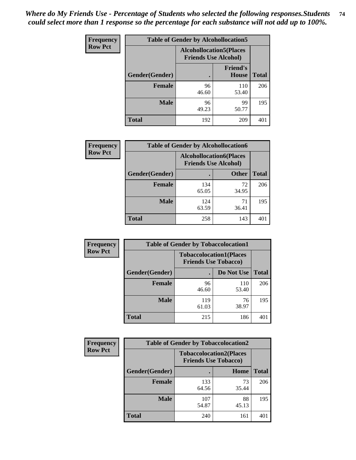| <b>Frequency</b> |                | <b>Table of Gender by Alcohollocation5</b>                    |                                 |              |
|------------------|----------------|---------------------------------------------------------------|---------------------------------|--------------|
| <b>Row Pct</b>   |                | <b>Alcohollocation5(Places</b><br><b>Friends Use Alcohol)</b> |                                 |              |
|                  | Gender(Gender) | $\bullet$                                                     | <b>Friend's</b><br><b>House</b> | <b>Total</b> |
|                  | <b>Female</b>  | 96<br>46.60                                                   | 110<br>53.40                    | 206          |
|                  | <b>Male</b>    | 96<br>49.23                                                   | 99<br>50.77                     | 195          |
|                  | <b>Total</b>   | 192                                                           | 209                             | 401          |

| Frequency      | <b>Table of Gender by Alcohollocation6</b> |                                                               |              |              |
|----------------|--------------------------------------------|---------------------------------------------------------------|--------------|--------------|
| <b>Row Pct</b> |                                            | <b>Alcohollocation6(Places</b><br><b>Friends Use Alcohol)</b> |              |              |
|                | <b>Gender</b> (Gender)                     |                                                               | <b>Other</b> | <b>Total</b> |
|                | Female                                     | 134<br>65.05                                                  | 72<br>34.95  | 206          |
|                | <b>Male</b>                                | 124<br>63.59                                                  | 71<br>36.41  | 195          |
|                | <b>Total</b>                               | 258                                                           | 143          | 401          |

| Frequency      | <b>Table of Gender by Tobaccolocation1</b> |                                                               |              |              |
|----------------|--------------------------------------------|---------------------------------------------------------------|--------------|--------------|
| <b>Row Pct</b> |                                            | <b>Tobaccolocation1(Places</b><br><b>Friends Use Tobacco)</b> |              |              |
|                | Gender(Gender)                             |                                                               | Do Not Use   | <b>Total</b> |
|                | <b>Female</b>                              | 96<br>46.60                                                   | 110<br>53.40 | 206          |
|                | <b>Male</b>                                | 119<br>61.03                                                  | 76<br>38.97  | 195          |
|                | <b>Total</b>                               | 215                                                           | 186          | 401          |

| <b>Frequency</b> | <b>Table of Gender by Tobaccolocation2</b> |                                                               |             |              |
|------------------|--------------------------------------------|---------------------------------------------------------------|-------------|--------------|
| <b>Row Pct</b>   |                                            | <b>Tobaccolocation2(Places</b><br><b>Friends Use Tobacco)</b> |             |              |
|                  | Gender(Gender)                             |                                                               | Home        | <b>Total</b> |
|                  | Female                                     | 133<br>64.56                                                  | 73<br>35.44 | 206          |
|                  | <b>Male</b>                                | 107<br>54.87                                                  | 88<br>45.13 | 195          |
|                  | <b>Total</b>                               | 240                                                           | 161         | 401          |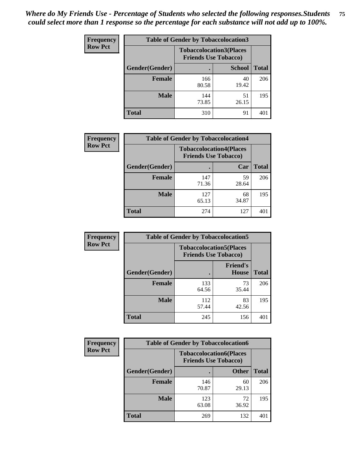| <b>Frequency</b> | <b>Table of Gender by Tobaccolocation3</b> |              |                                                               |              |
|------------------|--------------------------------------------|--------------|---------------------------------------------------------------|--------------|
| <b>Row Pct</b>   |                                            |              | <b>Tobaccolocation3(Places</b><br><b>Friends Use Tobacco)</b> |              |
|                  | Gender(Gender)                             |              | <b>School</b>                                                 | <b>Total</b> |
|                  | Female                                     | 166<br>80.58 | 40<br>19.42                                                   | 206          |
|                  | <b>Male</b>                                | 144<br>73.85 | 51<br>26.15                                                   | 195          |
|                  | <b>Total</b>                               | 310          | 91                                                            | 401          |

| <b>Frequency</b> | <b>Table of Gender by Tobaccolocation4</b> |                                                               |             |              |
|------------------|--------------------------------------------|---------------------------------------------------------------|-------------|--------------|
| <b>Row Pct</b>   |                                            | <b>Tobaccolocation4(Places</b><br><b>Friends Use Tobacco)</b> |             |              |
|                  | Gender(Gender)                             |                                                               | Car         | <b>Total</b> |
|                  | <b>Female</b>                              | 147<br>71.36                                                  | 59<br>28.64 | 206          |
|                  | <b>Male</b>                                | 127<br>65.13                                                  | 68<br>34.87 | 195          |
|                  | <b>Total</b>                               | 274                                                           | 127         |              |

| <b>Frequency</b> | <b>Table of Gender by Tobaccolocation5</b> |                                                               |                                 |              |
|------------------|--------------------------------------------|---------------------------------------------------------------|---------------------------------|--------------|
| <b>Row Pct</b>   |                                            | <b>Tobaccolocation5(Places</b><br><b>Friends Use Tobacco)</b> |                                 |              |
|                  | Gender(Gender)                             |                                                               | <b>Friend's</b><br><b>House</b> | <b>Total</b> |
|                  | <b>Female</b>                              | 133<br>64.56                                                  | 73<br>35.44                     | 206          |
|                  | <b>Male</b>                                | 112<br>57.44                                                  | 83<br>42.56                     | 195          |
|                  | <b>Total</b>                               | 245                                                           | 156                             | 401          |

| <b>Frequency</b> | <b>Table of Gender by Tobaccolocation6</b> |                                                               |              |              |
|------------------|--------------------------------------------|---------------------------------------------------------------|--------------|--------------|
| <b>Row Pct</b>   |                                            | <b>Tobaccolocation6(Places</b><br><b>Friends Use Tobacco)</b> |              |              |
|                  | Gender(Gender)                             |                                                               | <b>Other</b> | <b>Total</b> |
|                  | Female                                     | 146<br>70.87                                                  | 60<br>29.13  | 206          |
|                  | <b>Male</b>                                | 123<br>63.08                                                  | 72<br>36.92  | 195          |
|                  | <b>Total</b>                               | 269                                                           | 132          | 401          |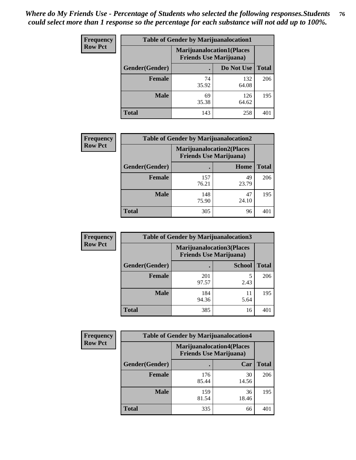| <b>Frequency</b> | <b>Table of Gender by Marijuanalocation1</b> |                                                                    |              |              |
|------------------|----------------------------------------------|--------------------------------------------------------------------|--------------|--------------|
| <b>Row Pct</b>   |                                              | <b>Marijuanalocation1(Places</b><br><b>Friends Use Marijuana</b> ) |              |              |
|                  | Gender(Gender)                               |                                                                    | Do Not Use   | <b>Total</b> |
|                  | <b>Female</b>                                | 74<br>35.92                                                        | 132<br>64.08 | 206          |
|                  | <b>Male</b>                                  | 69<br>35.38                                                        | 126<br>64.62 | 195          |
|                  | <b>Total</b>                                 | 143                                                                | 258          | 401          |

| <b>Frequency</b> | <b>Table of Gender by Marijuanalocation2</b> |                                                                    |             |              |
|------------------|----------------------------------------------|--------------------------------------------------------------------|-------------|--------------|
| <b>Row Pct</b>   |                                              | <b>Marijuanalocation2(Places</b><br><b>Friends Use Marijuana</b> ) |             |              |
|                  | Gender(Gender)                               |                                                                    | Home        | <b>Total</b> |
|                  | <b>Female</b>                                | 157<br>76.21                                                       | 49<br>23.79 | 206          |
|                  | <b>Male</b>                                  | 148<br>75.90                                                       | 47<br>24.10 | 195          |
|                  | <b>Total</b>                                 | 305                                                                | 96          | 401          |

| Frequency      | <b>Table of Gender by Marijuanalocation3</b> |                                                                     |               |              |
|----------------|----------------------------------------------|---------------------------------------------------------------------|---------------|--------------|
| <b>Row Pct</b> |                                              | <b>Marijuanalocation3(Places)</b><br><b>Friends Use Marijuana</b> ) |               |              |
|                | Gender(Gender)                               |                                                                     | <b>School</b> | <b>Total</b> |
|                | Female                                       | 201<br>97.57                                                        | 2.43          | 206          |
|                | <b>Male</b>                                  | 184<br>94.36                                                        | 11<br>5.64    | 195          |
|                | <b>Total</b>                                 | 385                                                                 | 16            | 401          |

| <b>Frequency</b> | <b>Table of Gender by Marijuanalocation4</b> |                                |                                  |              |  |
|------------------|----------------------------------------------|--------------------------------|----------------------------------|--------------|--|
| <b>Row Pct</b>   |                                              | <b>Friends Use Marijuana</b> ) | <b>Marijuanalocation4(Places</b> |              |  |
|                  | Gender(Gender)                               |                                | Car                              | <b>Total</b> |  |
|                  | <b>Female</b>                                | 176<br>85.44                   | 30<br>14.56                      | 206          |  |
|                  | <b>Male</b>                                  | 159<br>81.54                   | 36<br>18.46                      | 195          |  |
|                  | <b>Total</b>                                 | 335                            | 66                               | 40           |  |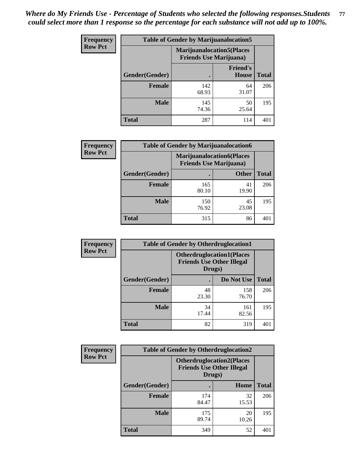| <b>Frequency</b> | <b>Table of Gender by Marijuanalocation5</b> |                                                                     |                                 |              |
|------------------|----------------------------------------------|---------------------------------------------------------------------|---------------------------------|--------------|
| <b>Row Pct</b>   |                                              | <b>Marijuanalocation5</b> (Places<br><b>Friends Use Marijuana</b> ) |                                 |              |
|                  | Gender(Gender)                               |                                                                     | <b>Friend's</b><br><b>House</b> | <b>Total</b> |
|                  | <b>Female</b>                                | 142<br>68.93                                                        | 64<br>31.07                     | 206          |
|                  | <b>Male</b>                                  | 145<br>74.36                                                        | 50<br>25.64                     | 195          |
|                  | <b>Total</b>                                 | 287                                                                 | 114                             | 401          |

| <b>Frequency</b> | <b>Table of Gender by Marijuanalocation6</b> |                                                                    |              |              |
|------------------|----------------------------------------------|--------------------------------------------------------------------|--------------|--------------|
| <b>Row Pct</b>   |                                              | <b>Marijuanalocation6(Places</b><br><b>Friends Use Marijuana</b> ) |              |              |
|                  | <b>Gender</b> (Gender)                       |                                                                    | <b>Other</b> | <b>Total</b> |
|                  | Female                                       | 165<br>80.10                                                       | 41<br>19.90  | 206          |
|                  | <b>Male</b>                                  | 150<br>76.92                                                       | 45<br>23.08  | 195          |
|                  | Total                                        | 315                                                                | 86           | 401          |

| <b>Frequency</b> | <b>Table of Gender by Otherdruglocation1</b> |                                                                                |              |              |
|------------------|----------------------------------------------|--------------------------------------------------------------------------------|--------------|--------------|
| <b>Row Pct</b>   |                                              | <b>Otherdruglocation1(Places</b><br><b>Friends Use Other Illegal</b><br>Drugs) |              |              |
|                  | Gender(Gender)                               |                                                                                | Do Not Use   | <b>Total</b> |
|                  | <b>Female</b>                                | 48<br>23.30                                                                    | 158<br>76.70 | 206          |
|                  | <b>Male</b>                                  | 34<br>17.44                                                                    | 161<br>82.56 | 195          |
|                  | <b>Total</b>                                 | 82                                                                             | 319          | 401          |

| Frequency      | <b>Table of Gender by Otherdruglocation2</b> |                                                                                |             |              |
|----------------|----------------------------------------------|--------------------------------------------------------------------------------|-------------|--------------|
| <b>Row Pct</b> |                                              | <b>Otherdruglocation2(Places</b><br><b>Friends Use Other Illegal</b><br>Drugs) |             |              |
|                | Gender(Gender)                               |                                                                                | Home        | <b>Total</b> |
|                | <b>Female</b>                                | 174<br>84.47                                                                   | 32<br>15.53 | 206          |
|                | <b>Male</b>                                  | 175<br>89.74                                                                   | 20<br>10.26 | 195          |
|                | <b>Total</b>                                 | 349                                                                            | 52          | 401          |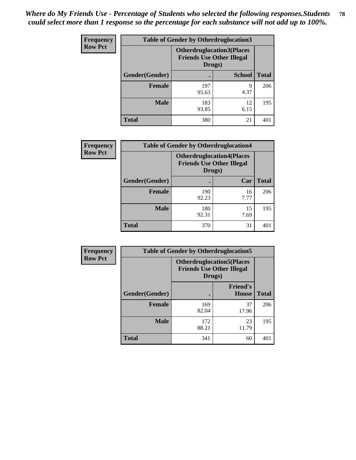| Frequency      | <b>Table of Gender by Otherdruglocation3</b> |                                                                                |               |              |
|----------------|----------------------------------------------|--------------------------------------------------------------------------------|---------------|--------------|
| <b>Row Pct</b> |                                              | <b>Otherdruglocation3(Places</b><br><b>Friends Use Other Illegal</b><br>Drugs) |               |              |
|                | Gender(Gender)                               |                                                                                | <b>School</b> | <b>Total</b> |
|                | <b>Female</b>                                | 197<br>95.63                                                                   | Q<br>4.37     | 206          |
|                | <b>Male</b>                                  | 183<br>93.85                                                                   | 12<br>6.15    | 195          |
|                | <b>Total</b>                                 | 380                                                                            | 21            | 401          |

| Frequency      | <b>Table of Gender by Otherdruglocation4</b> |                                                                                |            |              |
|----------------|----------------------------------------------|--------------------------------------------------------------------------------|------------|--------------|
| <b>Row Pct</b> |                                              | <b>Otherdruglocation4(Places</b><br><b>Friends Use Other Illegal</b><br>Drugs) |            |              |
|                | Gender(Gender)                               |                                                                                | Car        | <b>Total</b> |
|                | Female                                       | 190<br>92.23                                                                   | 16<br>7.77 | 206          |
|                | <b>Male</b>                                  | 180<br>92.31                                                                   | 15<br>7.69 | 195          |
|                | <b>Total</b>                                 | 370                                                                            | 31         | 401          |

| <b>Frequency</b> | <b>Table of Gender by Otherdruglocation5</b> |              |                                                                      |              |
|------------------|----------------------------------------------|--------------|----------------------------------------------------------------------|--------------|
| <b>Row Pct</b>   |                                              | Drugs)       | <b>Otherdruglocation5(Places</b><br><b>Friends Use Other Illegal</b> |              |
|                  | Gender(Gender)                               |              | <b>Friend's</b><br><b>House</b>                                      | <b>Total</b> |
|                  | <b>Female</b>                                | 169<br>82.04 | 37<br>17.96                                                          | 206          |
|                  | <b>Male</b>                                  | 172<br>88.21 | 23<br>11.79                                                          | 195          |
|                  | <b>Total</b>                                 | 341          | 60                                                                   | 401          |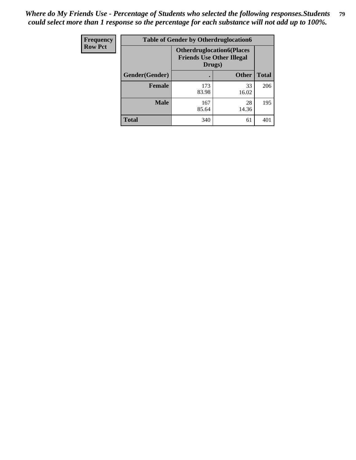| <b>Frequency</b> | <b>Table of Gender by Otherdruglocation6</b> |                                                                                |              |              |
|------------------|----------------------------------------------|--------------------------------------------------------------------------------|--------------|--------------|
| <b>Row Pct</b>   |                                              | <b>Otherdruglocation6(Places</b><br><b>Friends Use Other Illegal</b><br>Drugs) |              |              |
|                  | Gender(Gender)                               |                                                                                | <b>Other</b> | <b>Total</b> |
|                  | Female                                       | 173<br>83.98                                                                   | 33<br>16.02  | 206          |
|                  | <b>Male</b>                                  | 167<br>85.64                                                                   | 28<br>14.36  | 195          |
|                  | <b>Total</b>                                 | 340                                                                            | 61           | 401          |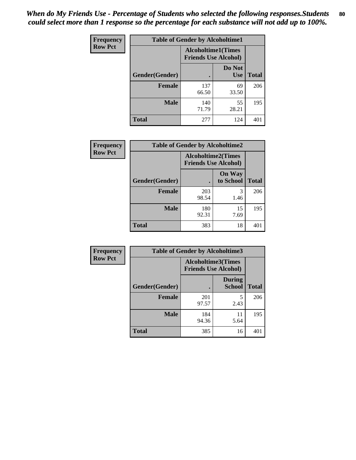| <b>Frequency</b> | <b>Table of Gender by Alcoholtime1</b> |                                                          |                      |              |
|------------------|----------------------------------------|----------------------------------------------------------|----------------------|--------------|
| <b>Row Pct</b>   |                                        | <b>Alcoholtime1(Times</b><br><b>Friends Use Alcohol)</b> |                      |              |
|                  | Gender(Gender)                         | $\bullet$                                                | Do Not<br><b>Use</b> | <b>Total</b> |
|                  | <b>Female</b>                          | 137<br>66.50                                             | 69<br>33.50          | 206          |
|                  | <b>Male</b>                            | 140<br>71.79                                             | 55<br>28.21          | 195          |
|                  | <b>Total</b>                           | 277                                                      | 124                  | 401          |

| <b>Frequency</b> | <b>Table of Gender by Alcoholtime2</b> |                                                          |                            |              |
|------------------|----------------------------------------|----------------------------------------------------------|----------------------------|--------------|
| <b>Row Pct</b>   |                                        | <b>Alcoholtime2(Times</b><br><b>Friends Use Alcohol)</b> |                            |              |
|                  | Gender(Gender)                         |                                                          | <b>On Way</b><br>to School | <b>Total</b> |
|                  | <b>Female</b>                          | 203<br>98.54                                             | 3<br>1.46                  | 206          |
|                  | <b>Male</b>                            | 180<br>92.31                                             | 15<br>7.69                 | 195          |
|                  | <b>Total</b>                           | 383                                                      | 18                         | 401          |

| Frequency      | <b>Table of Gender by Alcoholtime3</b> |                                                          |                                |              |
|----------------|----------------------------------------|----------------------------------------------------------|--------------------------------|--------------|
| <b>Row Pct</b> |                                        | <b>Alcoholtime3(Times</b><br><b>Friends Use Alcohol)</b> |                                |              |
|                | Gender(Gender)                         |                                                          | <b>During</b><br><b>School</b> | <b>Total</b> |
|                | <b>Female</b>                          | 201<br>97.57                                             | 5<br>2.43                      | 206          |
|                | <b>Male</b>                            | 184<br>94.36                                             | 11<br>5.64                     | 195          |
|                | <b>Total</b>                           | 385                                                      | 16                             | 401          |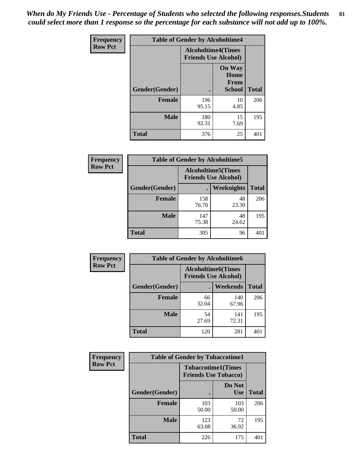*When do My Friends Use - Percentage of Students who selected the following responses.Students could select more than 1 response so the percentage for each substance will not add up to 100%.* **81**

| <b>Frequency</b> | <b>Table of Gender by Alcoholtime4</b> |                                                          |                                                |              |
|------------------|----------------------------------------|----------------------------------------------------------|------------------------------------------------|--------------|
| <b>Row Pct</b>   |                                        | <b>Alcoholtime4(Times</b><br><b>Friends Use Alcohol)</b> |                                                |              |
|                  | Gender(Gender)                         |                                                          | <b>On Way</b><br>Home<br>From<br><b>School</b> | <b>Total</b> |
|                  | <b>Female</b>                          | 196<br>95.15                                             | 10<br>4.85                                     | 206          |
|                  | <b>Male</b>                            | 180<br>92.31                                             | 15<br>7.69                                     | 195          |
|                  | <b>Total</b>                           | 376                                                      | 25                                             | 401          |

| <b>Frequency</b> | <b>Table of Gender by Alcoholtime5</b> |                                                           |             |              |
|------------------|----------------------------------------|-----------------------------------------------------------|-------------|--------------|
| <b>Row Pct</b>   |                                        | <b>Alcoholtime5</b> (Times<br><b>Friends Use Alcohol)</b> |             |              |
|                  | Gender(Gender)                         |                                                           | Weeknights  | <b>Total</b> |
|                  | <b>Female</b>                          | 158<br>76.70                                              | 48<br>23.30 | 206          |
|                  | <b>Male</b>                            | 147<br>75.38                                              | 48<br>24.62 | 195          |
|                  | <b>Total</b>                           | 305                                                       | 96          | 401          |

| <b>Frequency</b> |                | <b>Table of Gender by Alcoholtime6</b>                   |                 |              |  |  |
|------------------|----------------|----------------------------------------------------------|-----------------|--------------|--|--|
| <b>Row Pct</b>   |                | <b>Alcoholtime6(Times</b><br><b>Friends Use Alcohol)</b> |                 |              |  |  |
|                  | Gender(Gender) |                                                          | <b>Weekends</b> | <b>Total</b> |  |  |
|                  | Female         | 66<br>32.04                                              | 140<br>67.96    | 206          |  |  |
|                  | <b>Male</b>    | 54<br>27.69                                              | 141<br>72.31    | 195          |  |  |
|                  | <b>Total</b>   | 120                                                      | 281             | 401          |  |  |

| Frequency      | <b>Table of Gender by Tobaccotime1</b> |                                                          |                      |              |
|----------------|----------------------------------------|----------------------------------------------------------|----------------------|--------------|
| <b>Row Pct</b> |                                        | <b>Tobaccotime1(Times</b><br><b>Friends Use Tobacco)</b> |                      |              |
|                | Gender(Gender)                         |                                                          | Do Not<br><b>Use</b> | <b>Total</b> |
|                | <b>Female</b>                          | 103<br>50.00                                             | 103<br>50.00         | 206          |
|                | <b>Male</b>                            | 123<br>63.08                                             | 72<br>36.92          | 195          |
|                | <b>Total</b>                           | 226                                                      | 175                  | 401          |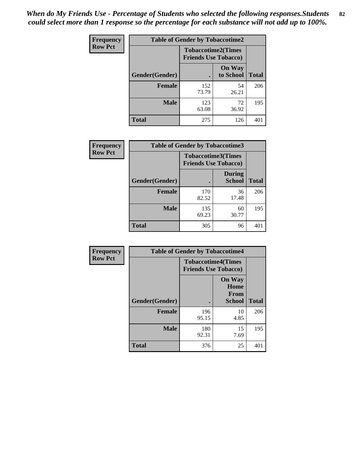*When do My Friends Use - Percentage of Students who selected the following responses.Students could select more than 1 response so the percentage for each substance will not add up to 100%.* **82**

| <b>Frequency</b> | <b>Table of Gender by Tobaccotime2</b> |                                                          |                            |              |
|------------------|----------------------------------------|----------------------------------------------------------|----------------------------|--------------|
| <b>Row Pct</b>   |                                        | <b>Tobaccotime2(Times</b><br><b>Friends Use Tobacco)</b> |                            |              |
|                  | Gender(Gender)                         | $\bullet$                                                | <b>On Way</b><br>to School | <b>Total</b> |
|                  | Female                                 | 152<br>73.79                                             | 54<br>26.21                | 206          |
|                  | <b>Male</b>                            | 123<br>63.08                                             | 72<br>36.92                | 195          |
|                  | <b>Total</b>                           | 275                                                      | 126                        | 401          |

| Frequency      | <b>Table of Gender by Tobaccotime3</b> |                                                          |                                |              |
|----------------|----------------------------------------|----------------------------------------------------------|--------------------------------|--------------|
| <b>Row Pct</b> |                                        | <b>Tobaccotime3(Times</b><br><b>Friends Use Tobacco)</b> |                                |              |
|                | Gender(Gender)                         |                                                          | <b>During</b><br><b>School</b> | <b>Total</b> |
|                | Female                                 | 170<br>82.52                                             | 36<br>17.48                    | 206          |
|                | <b>Male</b>                            | 135<br>69.23                                             | 60<br>30.77                    | 195          |
|                | <b>Total</b>                           | 305                                                      | 96                             |              |

| <b>Frequency</b> | <b>Table of Gender by Tobaccotime4</b> |                                                          |                                                       |              |
|------------------|----------------------------------------|----------------------------------------------------------|-------------------------------------------------------|--------------|
| <b>Row Pct</b>   |                                        | <b>Tobaccotime4(Times</b><br><b>Friends Use Tobacco)</b> |                                                       |              |
|                  | Gender(Gender)                         |                                                          | <b>On Way</b><br>Home<br><b>From</b><br><b>School</b> | <b>Total</b> |
|                  | <b>Female</b>                          | 196<br>95.15                                             | 10<br>4.85                                            | 206          |
|                  | <b>Male</b>                            | 180<br>92.31                                             | 15<br>7.69                                            | 195          |
|                  | <b>Total</b>                           | 376                                                      | 25                                                    | 401          |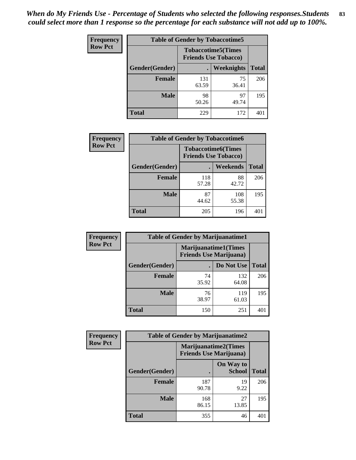| Frequency      | <b>Table of Gender by Tobaccotime5</b> |              |                                                          |              |
|----------------|----------------------------------------|--------------|----------------------------------------------------------|--------------|
| <b>Row Pct</b> |                                        |              | <b>Tobaccotime5(Times</b><br><b>Friends Use Tobacco)</b> |              |
|                | <b>Gender</b> (Gender)                 |              | Weeknights                                               | <b>Total</b> |
|                | <b>Female</b>                          | 131<br>63.59 | 75<br>36.41                                              | 206          |
|                | <b>Male</b>                            | 98<br>50.26  | 97<br>49.74                                              | 195          |
|                | <b>Total</b>                           | 229          | 172                                                      | 401          |

| <b>Frequency</b> |                | <b>Table of Gender by Tobaccotime6</b>                   |                 |              |
|------------------|----------------|----------------------------------------------------------|-----------------|--------------|
| <b>Row Pct</b>   |                | <b>Tobaccotime6(Times</b><br><b>Friends Use Tobacco)</b> |                 |              |
|                  | Gender(Gender) |                                                          | <b>Weekends</b> | <b>Total</b> |
|                  | Female         | 118<br>57.28                                             | 88<br>42.72     | 206          |
|                  | <b>Male</b>    | 87<br>44.62                                              | 108<br>55.38    | 195          |
|                  | <b>Total</b>   | 205                                                      | 196             | 401          |

| <b>Frequency</b> | <b>Table of Gender by Marijuanatime1</b> |                                |                             |              |
|------------------|------------------------------------------|--------------------------------|-----------------------------|--------------|
| <b>Row Pct</b>   |                                          | <b>Friends Use Marijuana</b> ) | <b>Marijuanatime1(Times</b> |              |
|                  | Gender(Gender)                           |                                | Do Not Use                  | <b>Total</b> |
|                  | <b>Female</b>                            | 74<br>35.92                    | 132<br>64.08                | 206          |
|                  | <b>Male</b>                              | 76<br>38.97                    | 119<br>61.03                | 195          |
|                  | <b>Total</b>                             | 150                            | 251                         | 401          |

| <b>Frequency</b> | <b>Table of Gender by Marijuanatime2</b> |                                                        |                            |              |
|------------------|------------------------------------------|--------------------------------------------------------|----------------------------|--------------|
| <b>Row Pct</b>   |                                          | Marijuanatime2(Times<br><b>Friends Use Marijuana</b> ) |                            |              |
|                  | Gender(Gender)                           |                                                        | On Way to<br><b>School</b> | <b>Total</b> |
|                  | Female                                   | 187<br>90.78                                           | 19<br>9.22                 | 206          |
|                  | <b>Male</b>                              | 168<br>86.15                                           | 27<br>13.85                | 195          |
|                  | <b>Total</b>                             | 355                                                    | 46                         | 401          |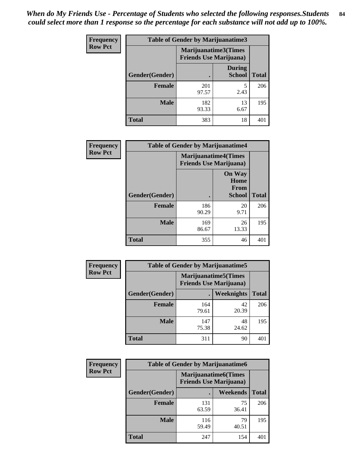*When do My Friends Use - Percentage of Students who selected the following responses.Students could select more than 1 response so the percentage for each substance will not add up to 100%.* **84**

| <b>Frequency</b> | Table of Gender by Marijuanatime3 |                                                        |                                |              |
|------------------|-----------------------------------|--------------------------------------------------------|--------------------------------|--------------|
| <b>Row Pct</b>   |                                   | Marijuanatime3(Times<br><b>Friends Use Marijuana</b> ) |                                |              |
|                  | Gender(Gender)                    |                                                        | <b>During</b><br><b>School</b> | <b>Total</b> |
|                  | <b>Female</b>                     | 201<br>97.57                                           | 5<br>2.43                      | 206          |
|                  | <b>Male</b>                       | 182<br>93.33                                           | 13<br>6.67                     | 195          |
|                  | <b>Total</b>                      | 383                                                    | 18                             | 401          |

| Frequency      | <b>Table of Gender by Marijuanatime4</b> |                                |                                                       |              |
|----------------|------------------------------------------|--------------------------------|-------------------------------------------------------|--------------|
| <b>Row Pct</b> |                                          | <b>Friends Use Marijuana</b> ) | <b>Marijuanatime4</b> (Times                          |              |
|                | <b>Gender</b> (Gender)                   |                                | <b>On Way</b><br>Home<br><b>From</b><br><b>School</b> | <b>Total</b> |
|                | <b>Female</b>                            | 186<br>90.29                   | 20<br>9.71                                            | 206          |
|                | <b>Male</b>                              | 169<br>86.67                   | 26<br>13.33                                           | 195          |
|                | <b>Total</b>                             | 355                            | 46                                                    | 401          |

| Frequency      | <b>Table of Gender by Marijuanatime5</b> |              |                                                                |              |  |
|----------------|------------------------------------------|--------------|----------------------------------------------------------------|--------------|--|
| <b>Row Pct</b> |                                          |              | <b>Marijuanatime5</b> (Times<br><b>Friends Use Marijuana</b> ) |              |  |
|                | Gender(Gender)                           | ٠            | Weeknights                                                     | <b>Total</b> |  |
|                | <b>Female</b>                            | 164<br>79.61 | 42<br>20.39                                                    | 206          |  |
|                | <b>Male</b>                              | 147<br>75.38 | 48<br>24.62                                                    | 195          |  |
|                | <b>Total</b>                             | 311          | 90                                                             | 401          |  |

| Frequency      | <b>Table of Gender by Marijuanatime6</b> |                                                               |                 |              |
|----------------|------------------------------------------|---------------------------------------------------------------|-----------------|--------------|
| <b>Row Pct</b> |                                          | <b>Marijuanatime6(Times</b><br><b>Friends Use Marijuana</b> ) |                 |              |
|                | Gender(Gender)                           |                                                               | <b>Weekends</b> | <b>Total</b> |
|                | <b>Female</b>                            | 131<br>63.59                                                  | 75<br>36.41     | 206          |
|                | <b>Male</b>                              | 116<br>59.49                                                  | 79<br>40.51     | 195          |
|                | <b>Total</b>                             | 247                                                           | 154             | 401          |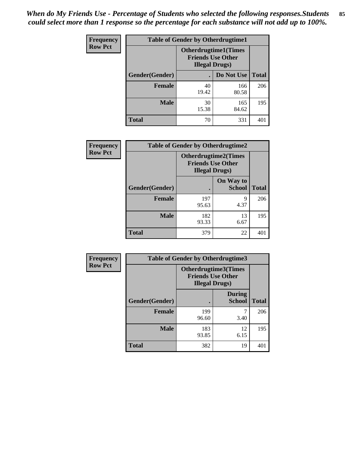| <b>Frequency</b> | <b>Table of Gender by Otherdrugtime1</b> |                                                                                   |              |              |
|------------------|------------------------------------------|-----------------------------------------------------------------------------------|--------------|--------------|
| <b>Row Pct</b>   |                                          | <b>Otherdrugtime1(Times</b><br><b>Friends Use Other</b><br><b>Illegal Drugs</b> ) |              |              |
|                  | Gender(Gender)                           |                                                                                   | Do Not Use   | <b>Total</b> |
|                  | <b>Female</b>                            | 40<br>19.42                                                                       | 166<br>80.58 | 206          |
|                  | <b>Male</b>                              | 30<br>15.38                                                                       | 165<br>84.62 | 195          |
|                  | <b>Total</b>                             | 70                                                                                | 331          | 401          |

| Frequency      | <b>Table of Gender by Otherdrugtime2</b> |                                                    |                             |              |
|----------------|------------------------------------------|----------------------------------------------------|-----------------------------|--------------|
| <b>Row Pct</b> |                                          | <b>Friends Use Other</b><br><b>Illegal Drugs</b> ) | <b>Otherdrugtime2(Times</b> |              |
|                | Gender(Gender)                           |                                                    | On Way to<br><b>School</b>  | <b>Total</b> |
|                | <b>Female</b>                            | 197<br>95.63                                       | 9<br>4.37                   | 206          |
|                | <b>Male</b>                              | 182<br>93.33                                       | 13<br>6.67                  | 195          |
|                | <b>Total</b>                             | 379                                                | 22                          | 401          |

| Frequency      | <b>Table of Gender by Otherdrugtime3</b> |                        |                                                         |              |
|----------------|------------------------------------------|------------------------|---------------------------------------------------------|--------------|
| <b>Row Pct</b> |                                          | <b>Illegal Drugs</b> ) | <b>Otherdrugtime3(Times</b><br><b>Friends Use Other</b> |              |
|                | Gender(Gender)                           |                        | <b>During</b><br><b>School</b>                          | <b>Total</b> |
|                | <b>Female</b>                            | 199<br>96.60           | 3.40                                                    | 206          |
|                | <b>Male</b>                              | 183<br>93.85           | 12<br>6.15                                              | 195          |
|                | <b>Total</b>                             | 382                    | 19                                                      | 401          |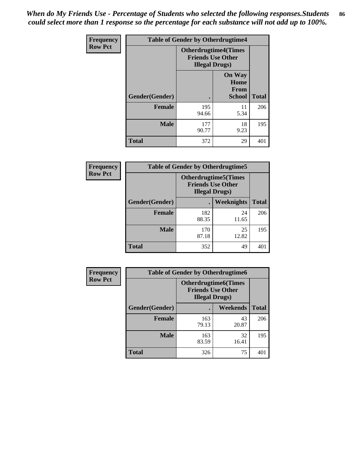*When do My Friends Use - Percentage of Students who selected the following responses.Students could select more than 1 response so the percentage for each substance will not add up to 100%.* **86**

| <b>Frequency</b> | <b>Table of Gender by Otherdrugtime4</b> |                                                    |                                                       |              |
|------------------|------------------------------------------|----------------------------------------------------|-------------------------------------------------------|--------------|
| <b>Row Pct</b>   |                                          | <b>Friends Use Other</b><br><b>Illegal Drugs</b> ) | <b>Otherdrugtime4(Times</b>                           |              |
|                  | Gender(Gender)                           |                                                    | <b>On Way</b><br>Home<br><b>From</b><br><b>School</b> | <b>Total</b> |
|                  | <b>Female</b>                            | 195<br>94.66                                       | 11<br>5.34                                            | 206          |
|                  | <b>Male</b>                              | 177<br>90.77                                       | 18<br>9.23                                            | 195          |
|                  | <b>Total</b>                             | 372                                                | 29                                                    | 401          |

| Frequency      | <b>Table of Gender by Otherdrugtime5</b> |                                                                                    |             |              |
|----------------|------------------------------------------|------------------------------------------------------------------------------------|-------------|--------------|
| <b>Row Pct</b> |                                          | <b>Otherdrugtime5</b> (Times<br><b>Friends Use Other</b><br><b>Illegal Drugs</b> ) |             |              |
|                | Gender(Gender)                           |                                                                                    | Weeknights  | <b>Total</b> |
|                | Female                                   | 182<br>88.35                                                                       | 24<br>11.65 | 206          |
|                | <b>Male</b>                              | 170<br>87.18                                                                       | 25<br>12.82 | 195          |
|                | <b>Total</b>                             | 352                                                                                | 49          | 401          |

| <b>Frequency</b> | <b>Table of Gender by Otherdrugtime6</b> |                                                                                   |             |              |
|------------------|------------------------------------------|-----------------------------------------------------------------------------------|-------------|--------------|
| <b>Row Pct</b>   |                                          | <b>Otherdrugtime6(Times</b><br><b>Friends Use Other</b><br><b>Illegal Drugs</b> ) |             |              |
|                  | Gender(Gender)                           |                                                                                   | Weekends    | <b>Total</b> |
|                  | Female                                   | 163<br>79.13                                                                      | 43<br>20.87 | 206          |
|                  | <b>Male</b>                              | 163<br>83.59                                                                      | 32<br>16.41 | 195          |
|                  | <b>Total</b>                             | 326                                                                               | 75          | 401          |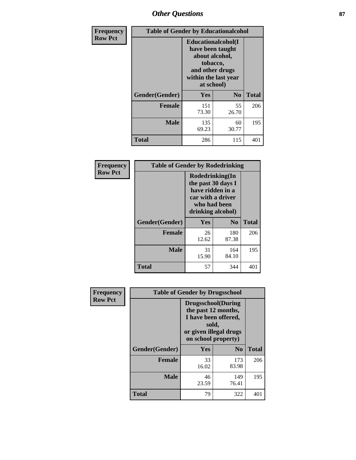# *Other Questions* **87**

| <b>Frequency</b> | <b>Table of Gender by Educationalcohol</b> |                                                                                                                                       |                |              |  |
|------------------|--------------------------------------------|---------------------------------------------------------------------------------------------------------------------------------------|----------------|--------------|--|
| <b>Row Pct</b>   |                                            | <b>Educationalcohol</b> (I<br>have been taught<br>about alcohol,<br>tobacco,<br>and other drugs<br>within the last year<br>at school) |                |              |  |
|                  | Gender(Gender)                             | Yes                                                                                                                                   | N <sub>0</sub> | <b>Total</b> |  |
|                  | <b>Female</b>                              | 151<br>73.30                                                                                                                          | 55<br>26.70    | 206          |  |
|                  | <b>Male</b>                                | 135<br>69.23                                                                                                                          | 60<br>30.77    | 195          |  |
|                  | <b>Total</b>                               | 286                                                                                                                                   | 115            | 401          |  |

| Frequency      | <b>Table of Gender by Rodedrinking</b> |                                                                                                                     |                |              |  |
|----------------|----------------------------------------|---------------------------------------------------------------------------------------------------------------------|----------------|--------------|--|
| <b>Row Pct</b> |                                        | Rodedrinking(In<br>the past 30 days I<br>have ridden in a<br>car with a driver<br>who had been<br>drinking alcohol) |                |              |  |
|                | Gender(Gender)                         | Yes                                                                                                                 | N <sub>0</sub> | <b>Total</b> |  |
|                | <b>Female</b>                          | 26<br>12.62                                                                                                         | 180<br>87.38   | 206          |  |
|                | <b>Male</b>                            | 31<br>15.90                                                                                                         | 164<br>84.10   | 195          |  |
|                | <b>Total</b>                           | 57                                                                                                                  | 344            | 401          |  |

| Frequency      | <b>Table of Gender by Drugsschool</b> |                                                                                                                                     |                |              |  |
|----------------|---------------------------------------|-------------------------------------------------------------------------------------------------------------------------------------|----------------|--------------|--|
| <b>Row Pct</b> |                                       | <b>Drugsschool</b> (During<br>the past 12 months,<br>I have been offered,<br>sold,<br>or given illegal drugs<br>on school property) |                |              |  |
|                | Gender(Gender)                        | Yes                                                                                                                                 | N <sub>0</sub> | <b>Total</b> |  |
|                | <b>Female</b>                         | 33<br>16.02                                                                                                                         | 173<br>83.98   | 206          |  |
|                | <b>Male</b>                           | 46<br>23.59                                                                                                                         | 149<br>76.41   | 195          |  |
|                | <b>Total</b>                          | 79                                                                                                                                  | 322            | 401          |  |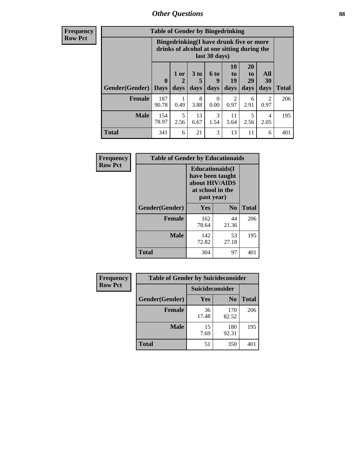## *Other Questions* **88**

**Frequency Row Pct**

| <b>Table of Gender by Bingedrinking</b> |                         |                                                                                                         |                   |                   |                        |                               |                   |              |
|-----------------------------------------|-------------------------|---------------------------------------------------------------------------------------------------------|-------------------|-------------------|------------------------|-------------------------------|-------------------|--------------|
|                                         |                         | Bingedrinking(I have drunk five or more<br>drinks of alcohol at one sitting during the<br>last 30 days) |                   |                   |                        |                               |                   |              |
| <b>Gender</b> (Gender)                  | $\bf{0}$<br><b>Days</b> | 1 or<br>days                                                                                            | 3 to<br>5<br>days | 6 to<br>9<br>days | 10<br>to<br>19<br>days | <b>20</b><br>to<br>29<br>days | All<br>30<br>days | <b>Total</b> |
| <b>Female</b>                           | 187<br>90.78            | 0.49                                                                                                    | 8<br>3.88         | 0<br>0.00         | 2<br>0.97              | 6<br>2.91                     | 2<br>0.97         | 206          |
| <b>Male</b>                             | 154<br>78.97            | 5<br>2.56                                                                                               | 13<br>6.67        | 3<br>1.54         | 11<br>5.64             | 5<br>2.56                     | 4<br>2.05         | 195          |
| <b>Total</b>                            | 341                     | 6                                                                                                       | 21                | 3                 | 13                     | 11                            | 6                 | 401          |

| Frequency      | <b>Table of Gender by Educationaids</b> |                                                                                                 |             |              |  |  |
|----------------|-----------------------------------------|-------------------------------------------------------------------------------------------------|-------------|--------------|--|--|
| <b>Row Pct</b> |                                         | <b>Educationaids</b> (I<br>have been taught<br>about HIV/AIDS<br>at school in the<br>past year) |             |              |  |  |
|                | Gender(Gender)                          | Yes                                                                                             | $\bf N_0$   | <b>Total</b> |  |  |
|                | <b>Female</b>                           | 162<br>78.64                                                                                    | 44<br>21.36 | 206          |  |  |
|                | <b>Male</b>                             | 142<br>72.82                                                                                    | 53<br>27.18 | 195          |  |  |
|                | <b>Total</b>                            | 304                                                                                             | 97          | 401          |  |  |

| <b>Frequency</b> | <b>Table of Gender by Suicideconsider</b> |                 |                |       |  |
|------------------|-------------------------------------------|-----------------|----------------|-------|--|
| <b>Row Pct</b>   |                                           | Suicideconsider |                |       |  |
|                  | Gender(Gender)                            | Yes             | N <sub>0</sub> | Total |  |
|                  | <b>Female</b>                             | 36<br>17.48     | 170<br>82.52   | 206   |  |
|                  | <b>Male</b>                               | 15<br>7.69      | 180<br>92.31   | 195   |  |
|                  | <b>Total</b>                              | 51              | 350            | 401   |  |